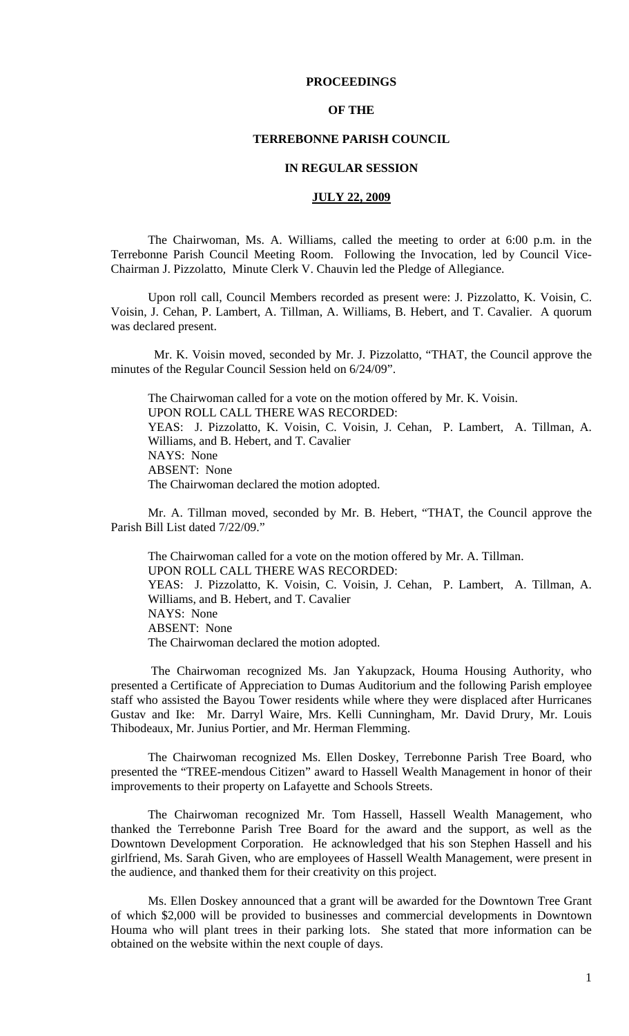## **PROCEEDINGS**

## **OF THE**

# **TERREBONNE PARISH COUNCIL**

## **IN REGULAR SESSION**

### **JULY 22, 2009**

 The Chairwoman, Ms. A. Williams, called the meeting to order at 6:00 p.m. in the Terrebonne Parish Council Meeting Room. Following the Invocation, led by Council Vice-Chairman J. Pizzolatto, Minute Clerk V. Chauvin led the Pledge of Allegiance.

Upon roll call, Council Members recorded as present were: J. Pizzolatto, K. Voisin, C. Voisin, J. Cehan, P. Lambert, A. Tillman, A. Williams, B. Hebert, and T. Cavalier. A quorum was declared present.

 Mr. K. Voisin moved, seconded by Mr. J. Pizzolatto, "THAT, the Council approve the minutes of the Regular Council Session held on 6/24/09".

The Chairwoman called for a vote on the motion offered by Mr. K. Voisin. UPON ROLL CALL THERE WAS RECORDED: YEAS: J. Pizzolatto, K. Voisin, C. Voisin, J. Cehan, P. Lambert, A. Tillman, A. Williams, and B. Hebert, and T. Cavalier NAYS: None ABSENT: None The Chairwoman declared the motion adopted.

Mr. A. Tillman moved, seconded by Mr. B. Hebert, "THAT, the Council approve the Parish Bill List dated 7/22/09."

The Chairwoman called for a vote on the motion offered by Mr. A. Tillman. UPON ROLL CALL THERE WAS RECORDED: YEAS: J. Pizzolatto, K. Voisin, C. Voisin, J. Cehan, P. Lambert, A. Tillman, A. Williams, and B. Hebert, and T. Cavalier NAYS: None ABSENT: None The Chairwoman declared the motion adopted.

 The Chairwoman recognized Ms. Jan Yakupzack, Houma Housing Authority, who presented a Certificate of Appreciation to Dumas Auditorium and the following Parish employee staff who assisted the Bayou Tower residents while where they were displaced after Hurricanes Gustav and Ike: Mr. Darryl Waire, Mrs. Kelli Cunningham, Mr. David Drury, Mr. Louis Thibodeaux, Mr. Junius Portier, and Mr. Herman Flemming.

The Chairwoman recognized Ms. Ellen Doskey, Terrebonne Parish Tree Board, who presented the "TREE-mendous Citizen" award to Hassell Wealth Management in honor of their improvements to their property on Lafayette and Schools Streets.

The Chairwoman recognized Mr. Tom Hassell, Hassell Wealth Management, who thanked the Terrebonne Parish Tree Board for the award and the support, as well as the Downtown Development Corporation. He acknowledged that his son Stephen Hassell and his girlfriend, Ms. Sarah Given, who are employees of Hassell Wealth Management, were present in the audience, and thanked them for their creativity on this project.

Ms. Ellen Doskey announced that a grant will be awarded for the Downtown Tree Grant of which \$2,000 will be provided to businesses and commercial developments in Downtown Houma who will plant trees in their parking lots. She stated that more information can be obtained on the website within the next couple of days.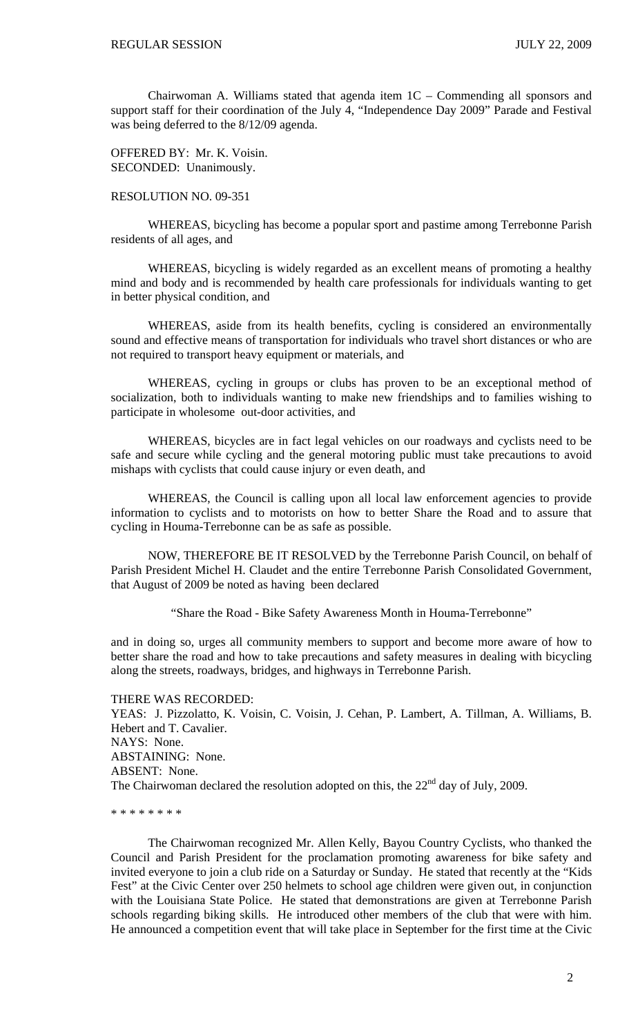Chairwoman A. Williams stated that agenda item 1C – Commending all sponsors and support staff for their coordination of the July 4, "Independence Day 2009" Parade and Festival was being deferred to the 8/12/09 agenda.

OFFERED BY: Mr. K. Voisin. SECONDED: Unanimously.

## RESOLUTION NO. 09-351

 WHEREAS, bicycling has become a popular sport and pastime among Terrebonne Parish residents of all ages, and

 WHEREAS, bicycling is widely regarded as an excellent means of promoting a healthy mind and body and is recommended by health care professionals for individuals wanting to get in better physical condition, and

 WHEREAS, aside from its health benefits, cycling is considered an environmentally sound and effective means of transportation for individuals who travel short distances or who are not required to transport heavy equipment or materials, and

 WHEREAS, cycling in groups or clubs has proven to be an exceptional method of socialization, both to individuals wanting to make new friendships and to families wishing to participate in wholesome out-door activities, and

 WHEREAS, bicycles are in fact legal vehicles on our roadways and cyclists need to be safe and secure while cycling and the general motoring public must take precautions to avoid mishaps with cyclists that could cause injury or even death, and

 WHEREAS, the Council is calling upon all local law enforcement agencies to provide information to cyclists and to motorists on how to better Share the Road and to assure that cycling in Houma-Terrebonne can be as safe as possible.

 NOW, THEREFORE BE IT RESOLVED by the Terrebonne Parish Council, on behalf of Parish President Michel H. Claudet and the entire Terrebonne Parish Consolidated Government, that August of 2009 be noted as having been declared

"Share the Road - Bike Safety Awareness Month in Houma-Terrebonne"

and in doing so, urges all community members to support and become more aware of how to better share the road and how to take precautions and safety measures in dealing with bicycling along the streets, roadways, bridges, and highways in Terrebonne Parish.

THERE WAS RECORDED: YEAS: J. Pizzolatto, K. Voisin, C. Voisin, J. Cehan, P. Lambert, A. Tillman, A. Williams, B. Hebert and T. Cavalier. NAYS: None. ABSTAINING: None. ABSENT: None. The Chairwoman declared the resolution adopted on this, the  $22<sup>nd</sup>$  day of July, 2009.

\* \* \* \* \* \* \* \*

The Chairwoman recognized Mr. Allen Kelly, Bayou Country Cyclists, who thanked the Council and Parish President for the proclamation promoting awareness for bike safety and invited everyone to join a club ride on a Saturday or Sunday. He stated that recently at the "Kids Fest" at the Civic Center over 250 helmets to school age children were given out, in conjunction with the Louisiana State Police. He stated that demonstrations are given at Terrebonne Parish schools regarding biking skills. He introduced other members of the club that were with him. He announced a competition event that will take place in September for the first time at the Civic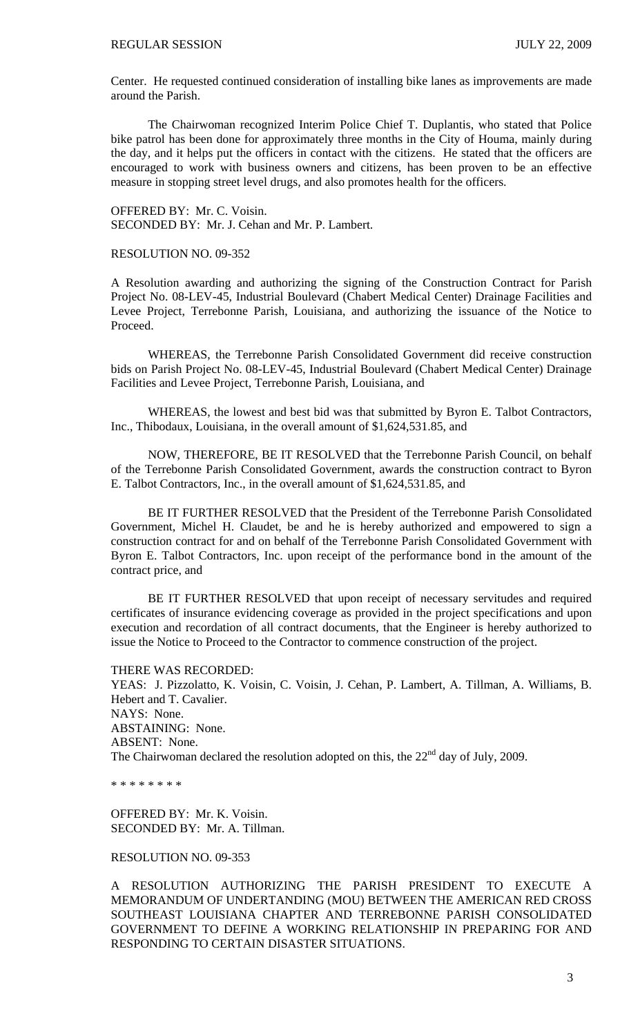Center. He requested continued consideration of installing bike lanes as improvements are made around the Parish.

The Chairwoman recognized Interim Police Chief T. Duplantis, who stated that Police bike patrol has been done for approximately three months in the City of Houma, mainly during the day, and it helps put the officers in contact with the citizens. He stated that the officers are encouraged to work with business owners and citizens, has been proven to be an effective measure in stopping street level drugs, and also promotes health for the officers.

OFFERED BY: Mr. C. Voisin. SECONDED BY: Mr. J. Cehan and Mr. P. Lambert.

RESOLUTION NO. 09-352

A Resolution awarding and authorizing the signing of the Construction Contract for Parish Project No. 08-LEV-45, Industrial Boulevard (Chabert Medical Center) Drainage Facilities and Levee Project, Terrebonne Parish, Louisiana, and authorizing the issuance of the Notice to Proceed.

 WHEREAS, the Terrebonne Parish Consolidated Government did receive construction bids on Parish Project No. 08-LEV-45, Industrial Boulevard (Chabert Medical Center) Drainage Facilities and Levee Project, Terrebonne Parish, Louisiana, and

 WHEREAS, the lowest and best bid was that submitted by Byron E. Talbot Contractors, Inc., Thibodaux, Louisiana, in the overall amount of \$1,624,531.85, and

 NOW, THEREFORE, BE IT RESOLVED that the Terrebonne Parish Council, on behalf of the Terrebonne Parish Consolidated Government, awards the construction contract to Byron E. Talbot Contractors, Inc., in the overall amount of \$1,624,531.85, and

 BE IT FURTHER RESOLVED that the President of the Terrebonne Parish Consolidated Government, Michel H. Claudet, be and he is hereby authorized and empowered to sign a construction contract for and on behalf of the Terrebonne Parish Consolidated Government with Byron E. Talbot Contractors, Inc. upon receipt of the performance bond in the amount of the contract price, and

 BE IT FURTHER RESOLVED that upon receipt of necessary servitudes and required certificates of insurance evidencing coverage as provided in the project specifications and upon execution and recordation of all contract documents, that the Engineer is hereby authorized to issue the Notice to Proceed to the Contractor to commence construction of the project.

THERE WAS RECORDED: YEAS: J. Pizzolatto, K. Voisin, C. Voisin, J. Cehan, P. Lambert, A. Tillman, A. Williams, B. Hebert and T. Cavalier. NAYS: None. ABSTAINING: None. ABSENT: None. The Chairwoman declared the resolution adopted on this, the  $22<sup>nd</sup>$  day of July, 2009.

\* \* \* \* \* \* \* \*

OFFERED BY: Mr. K. Voisin. SECONDED BY: Mr. A. Tillman.

### RESOLUTION NO. 09-353

A RESOLUTION AUTHORIZING THE PARISH PRESIDENT TO EXECUTE A MEMORANDUM OF UNDERTANDING (MOU) BETWEEN THE AMERICAN RED CROSS SOUTHEAST LOUISIANA CHAPTER AND TERREBONNE PARISH CONSOLIDATED GOVERNMENT TO DEFINE A WORKING RELATIONSHIP IN PREPARING FOR AND RESPONDING TO CERTAIN DISASTER SITUATIONS.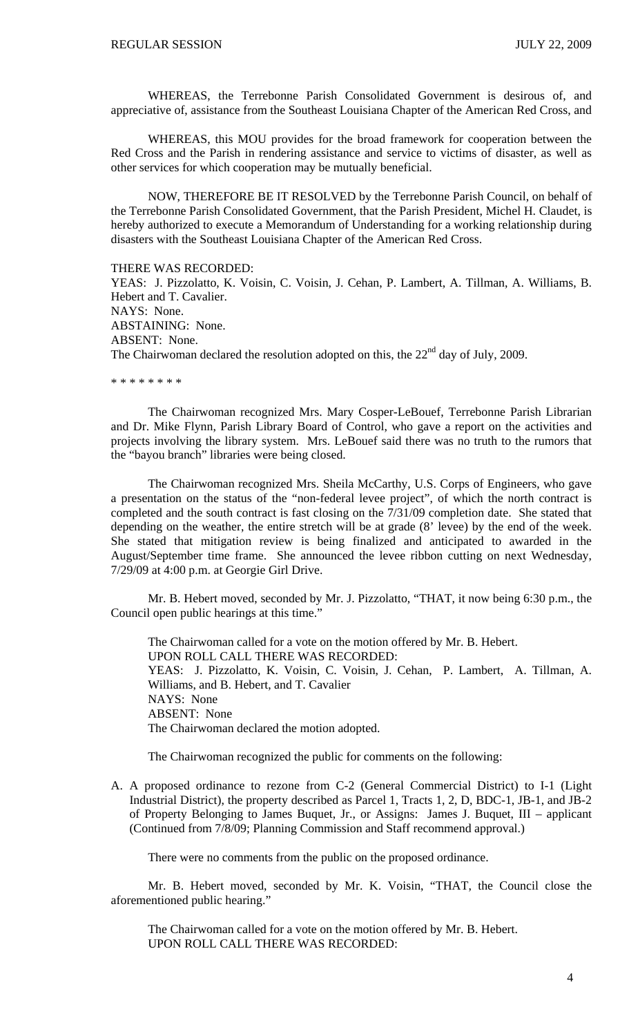WHEREAS, the Terrebonne Parish Consolidated Government is desirous of, and appreciative of, assistance from the Southeast Louisiana Chapter of the American Red Cross, and

 WHEREAS, this MOU provides for the broad framework for cooperation between the Red Cross and the Parish in rendering assistance and service to victims of disaster, as well as other services for which cooperation may be mutually beneficial.

 NOW, THEREFORE BE IT RESOLVED by the Terrebonne Parish Council, on behalf of the Terrebonne Parish Consolidated Government, that the Parish President, Michel H. Claudet, is hereby authorized to execute a Memorandum of Understanding for a working relationship during disasters with the Southeast Louisiana Chapter of the American Red Cross.

### THERE WAS RECORDED:

YEAS: J. Pizzolatto, K. Voisin, C. Voisin, J. Cehan, P. Lambert, A. Tillman, A. Williams, B. Hebert and T. Cavalier. NAYS: None. ABSTAINING: None. ABSENT: None. The Chairwoman declared the resolution adopted on this, the  $22<sup>nd</sup>$  day of July, 2009.

\* \* \* \* \* \* \* \*

The Chairwoman recognized Mrs. Mary Cosper-LeBouef, Terrebonne Parish Librarian and Dr. Mike Flynn, Parish Library Board of Control, who gave a report on the activities and projects involving the library system. Mrs. LeBouef said there was no truth to the rumors that the "bayou branch" libraries were being closed.

The Chairwoman recognized Mrs. Sheila McCarthy, U.S. Corps of Engineers, who gave a presentation on the status of the "non-federal levee project", of which the north contract is completed and the south contract is fast closing on the 7/31/09 completion date. She stated that depending on the weather, the entire stretch will be at grade (8' levee) by the end of the week. She stated that mitigation review is being finalized and anticipated to awarded in the August/September time frame. She announced the levee ribbon cutting on next Wednesday, 7/29/09 at 4:00 p.m. at Georgie Girl Drive.

 Mr. B. Hebert moved, seconded by Mr. J. Pizzolatto, "THAT, it now being 6:30 p.m., the Council open public hearings at this time."

 The Chairwoman called for a vote on the motion offered by Mr. B. Hebert. UPON ROLL CALL THERE WAS RECORDED: YEAS: J. Pizzolatto, K. Voisin, C. Voisin, J. Cehan, P. Lambert, A. Tillman, A. Williams, and B. Hebert, and T. Cavalier NAYS: None ABSENT: None The Chairwoman declared the motion adopted.

The Chairwoman recognized the public for comments on the following:

A. A proposed ordinance to rezone from C-2 (General Commercial District) to I-1 (Light Industrial District), the property described as Parcel 1, Tracts 1, 2, D, BDC-1, JB-1, and JB-2 of Property Belonging to James Buquet, Jr., or Assigns: James J. Buquet, III – applicant (Continued from 7/8/09; Planning Commission and Staff recommend approval.)

There were no comments from the public on the proposed ordinance.

 Mr. B. Hebert moved, seconded by Mr. K. Voisin, "THAT, the Council close the aforementioned public hearing."

 The Chairwoman called for a vote on the motion offered by Mr. B. Hebert. UPON ROLL CALL THERE WAS RECORDED: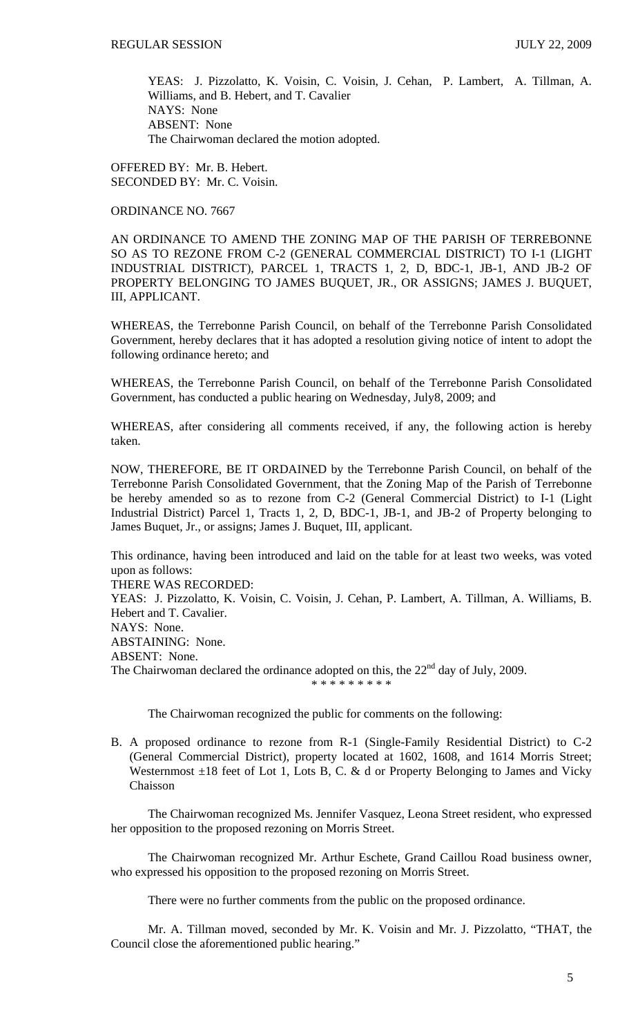YEAS: J. Pizzolatto, K. Voisin, C. Voisin, J. Cehan, P. Lambert, A. Tillman, A. Williams, and B. Hebert, and T. Cavalier NAYS: None ABSENT: None The Chairwoman declared the motion adopted.

OFFERED BY: Mr. B. Hebert. SECONDED BY: Mr. C. Voisin.

ORDINANCE NO. 7667

AN ORDINANCE TO AMEND THE ZONING MAP OF THE PARISH OF TERREBONNE SO AS TO REZONE FROM C-2 (GENERAL COMMERCIAL DISTRICT) TO I-1 (LIGHT INDUSTRIAL DISTRICT), PARCEL 1, TRACTS 1, 2, D, BDC-1, JB-1, AND JB-2 OF PROPERTY BELONGING TO JAMES BUQUET, JR., OR ASSIGNS; JAMES J. BUQUET, III, APPLICANT.

WHEREAS, the Terrebonne Parish Council, on behalf of the Terrebonne Parish Consolidated Government, hereby declares that it has adopted a resolution giving notice of intent to adopt the following ordinance hereto; and

WHEREAS, the Terrebonne Parish Council, on behalf of the Terrebonne Parish Consolidated Government, has conducted a public hearing on Wednesday, July8, 2009; and

WHEREAS, after considering all comments received, if any, the following action is hereby taken.

NOW, THEREFORE, BE IT ORDAINED by the Terrebonne Parish Council, on behalf of the Terrebonne Parish Consolidated Government, that the Zoning Map of the Parish of Terrebonne be hereby amended so as to rezone from C-2 (General Commercial District) to I-1 (Light Industrial District) Parcel 1, Tracts 1, 2, D, BDC-1, JB-1, and JB-2 of Property belonging to James Buquet, Jr., or assigns; James J. Buquet, III, applicant.

This ordinance, having been introduced and laid on the table for at least two weeks, was voted upon as follows:

THERE WAS RECORDED:

YEAS: J. Pizzolatto, K. Voisin, C. Voisin, J. Cehan, P. Lambert, A. Tillman, A. Williams, B. Hebert and T. Cavalier.

NAYS: None.

ABSTAINING: None.

ABSENT: None.

The Chairwoman declared the ordinance adopted on this, the  $22<sup>nd</sup>$  day of July, 2009.

\* \* \* \* \* \* \* \* \*

The Chairwoman recognized the public for comments on the following:

B. A proposed ordinance to rezone from R-1 (Single-Family Residential District) to C-2 (General Commercial District), property located at 1602, 1608, and 1614 Morris Street; Westernmost  $\pm 18$  feet of Lot 1, Lots B, C. & d or Property Belonging to James and Vicky Chaisson

 The Chairwoman recognized Ms. Jennifer Vasquez, Leona Street resident, who expressed her opposition to the proposed rezoning on Morris Street.

 The Chairwoman recognized Mr. Arthur Eschete, Grand Caillou Road business owner, who expressed his opposition to the proposed rezoning on Morris Street.

There were no further comments from the public on the proposed ordinance.

 Mr. A. Tillman moved, seconded by Mr. K. Voisin and Mr. J. Pizzolatto, "THAT, the Council close the aforementioned public hearing."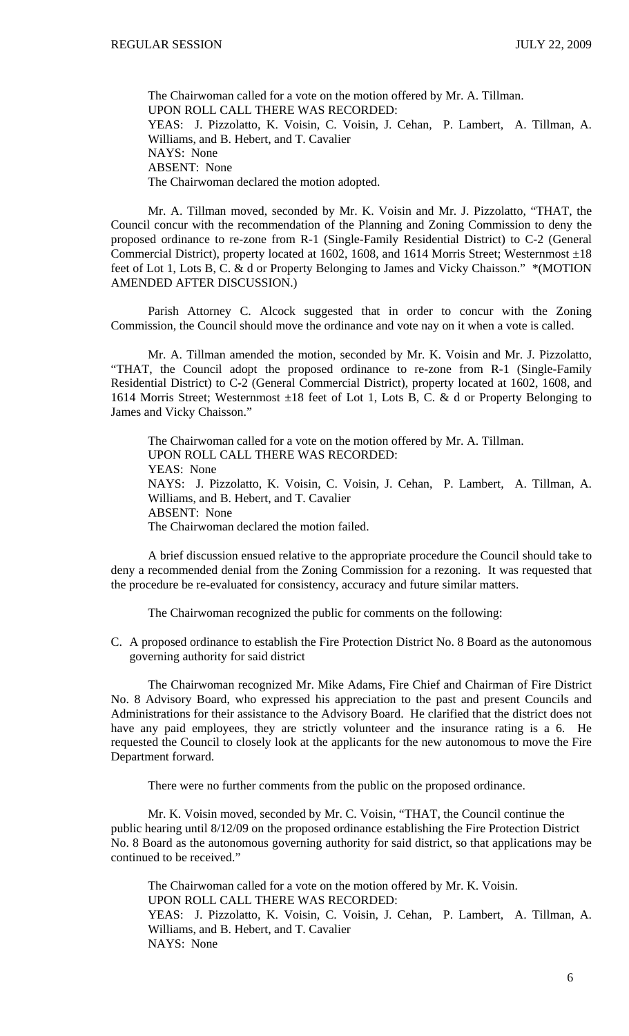The Chairwoman called for a vote on the motion offered by Mr. A. Tillman. UPON ROLL CALL THERE WAS RECORDED: YEAS: J. Pizzolatto, K. Voisin, C. Voisin, J. Cehan, P. Lambert, A. Tillman, A. Williams, and B. Hebert, and T. Cavalier NAYS: None ABSENT: None The Chairwoman declared the motion adopted.

 Mr. A. Tillman moved, seconded by Mr. K. Voisin and Mr. J. Pizzolatto, "THAT, the Council concur with the recommendation of the Planning and Zoning Commission to deny the proposed ordinance to re-zone from R-1 (Single-Family Residential District) to C-2 (General Commercial District), property located at 1602, 1608, and 1614 Morris Street; Westernmost  $\pm 18$ feet of Lot 1, Lots B, C. & d or Property Belonging to James and Vicky Chaisson." \*(MOTION AMENDED AFTER DISCUSSION.)

 Parish Attorney C. Alcock suggested that in order to concur with the Zoning Commission, the Council should move the ordinance and vote nay on it when a vote is called.

 Mr. A. Tillman amended the motion, seconded by Mr. K. Voisin and Mr. J. Pizzolatto, "THAT, the Council adopt the proposed ordinance to re-zone from R-1 (Single-Family Residential District) to C-2 (General Commercial District), property located at 1602, 1608, and 1614 Morris Street; Westernmost  $\pm 18$  feet of Lot 1, Lots B, C. & d or Property Belonging to James and Vicky Chaisson."

 The Chairwoman called for a vote on the motion offered by Mr. A. Tillman. UPON ROLL CALL THERE WAS RECORDED: YEAS: None NAYS: J. Pizzolatto, K. Voisin, C. Voisin, J. Cehan, P. Lambert, A. Tillman, A. Williams, and B. Hebert, and T. Cavalier ABSENT: None The Chairwoman declared the motion failed.

 A brief discussion ensued relative to the appropriate procedure the Council should take to deny a recommended denial from the Zoning Commission for a rezoning. It was requested that the procedure be re-evaluated for consistency, accuracy and future similar matters.

The Chairwoman recognized the public for comments on the following:

C. A proposed ordinance to establish the Fire Protection District No. 8 Board as the autonomous governing authority for said district

 The Chairwoman recognized Mr. Mike Adams, Fire Chief and Chairman of Fire District No. 8 Advisory Board, who expressed his appreciation to the past and present Councils and Administrations for their assistance to the Advisory Board. He clarified that the district does not have any paid employees, they are strictly volunteer and the insurance rating is a 6. He requested the Council to closely look at the applicants for the new autonomous to move the Fire Department forward.

There were no further comments from the public on the proposed ordinance.

 Mr. K. Voisin moved, seconded by Mr. C. Voisin, "THAT, the Council continue the public hearing until 8/12/09 on the proposed ordinance establishing the Fire Protection District No. 8 Board as the autonomous governing authority for said district, so that applications may be continued to be received."

 The Chairwoman called for a vote on the motion offered by Mr. K. Voisin. UPON ROLL CALL THERE WAS RECORDED: YEAS: J. Pizzolatto, K. Voisin, C. Voisin, J. Cehan, P. Lambert, A. Tillman, A. Williams, and B. Hebert, and T. Cavalier NAYS: None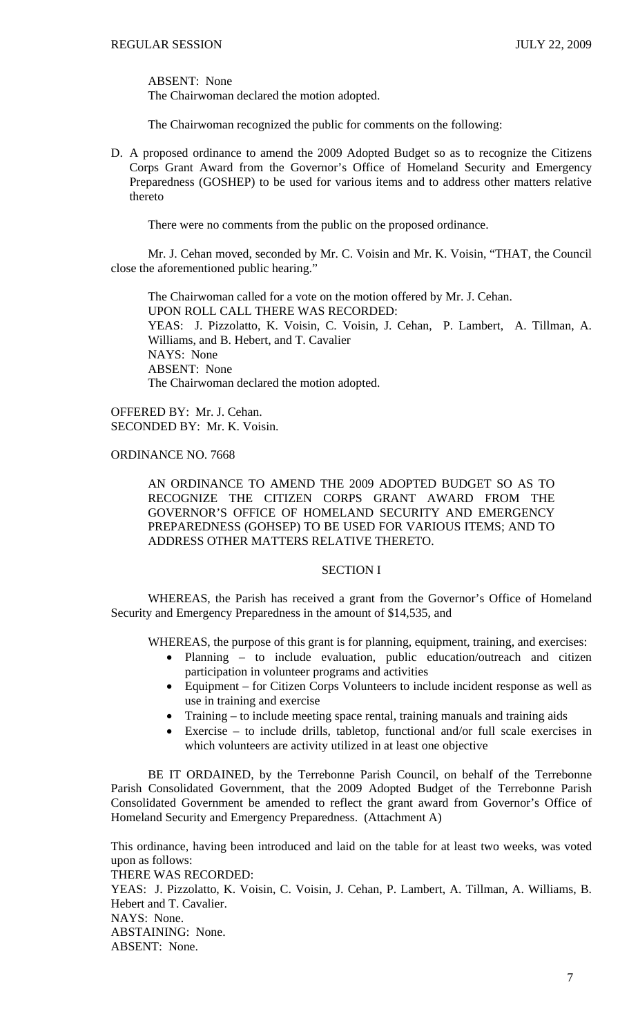ABSENT: None

The Chairwoman declared the motion adopted.

The Chairwoman recognized the public for comments on the following:

D. A proposed ordinance to amend the 2009 Adopted Budget so as to recognize the Citizens Corps Grant Award from the Governor's Office of Homeland Security and Emergency Preparedness (GOSHEP) to be used for various items and to address other matters relative thereto

There were no comments from the public on the proposed ordinance.

 Mr. J. Cehan moved, seconded by Mr. C. Voisin and Mr. K. Voisin, "THAT, the Council close the aforementioned public hearing."

 The Chairwoman called for a vote on the motion offered by Mr. J. Cehan. UPON ROLL CALL THERE WAS RECORDED: YEAS: J. Pizzolatto, K. Voisin, C. Voisin, J. Cehan, P. Lambert, A. Tillman, A. Williams, and B. Hebert, and T. Cavalier NAYS: None ABSENT: None The Chairwoman declared the motion adopted.

OFFERED BY: Mr. J. Cehan. SECONDED BY: Mr. K. Voisin.

ORDINANCE NO. 7668

AN ORDINANCE TO AMEND THE 2009 ADOPTED BUDGET SO AS TO RECOGNIZE THE CITIZEN CORPS GRANT AWARD FROM THE GOVERNOR'S OFFICE OF HOMELAND SECURITY AND EMERGENCY PREPAREDNESS (GOHSEP) TO BE USED FOR VARIOUS ITEMS; AND TO ADDRESS OTHER MATTERS RELATIVE THERETO.

## SECTION I

WHEREAS, the Parish has received a grant from the Governor's Office of Homeland Security and Emergency Preparedness in the amount of \$14,535, and

WHEREAS, the purpose of this grant is for planning, equipment, training, and exercises:

- Planning to include evaluation, public education/outreach and citizen participation in volunteer programs and activities
- Equipment for Citizen Corps Volunteers to include incident response as well as use in training and exercise
- Training to include meeting space rental, training manuals and training aids
- Exercise to include drills, tabletop, functional and/or full scale exercises in which volunteers are activity utilized in at least one objective

BE IT ORDAINED, by the Terrebonne Parish Council, on behalf of the Terrebonne Parish Consolidated Government, that the 2009 Adopted Budget of the Terrebonne Parish Consolidated Government be amended to reflect the grant award from Governor's Office of Homeland Security and Emergency Preparedness. (Attachment A)

This ordinance, having been introduced and laid on the table for at least two weeks, was voted upon as follows: THERE WAS RECORDED: YEAS: J. Pizzolatto, K. Voisin, C. Voisin, J. Cehan, P. Lambert, A. Tillman, A. Williams, B. Hebert and T. Cavalier. NAYS: None. ABSTAINING: None. ABSENT: None.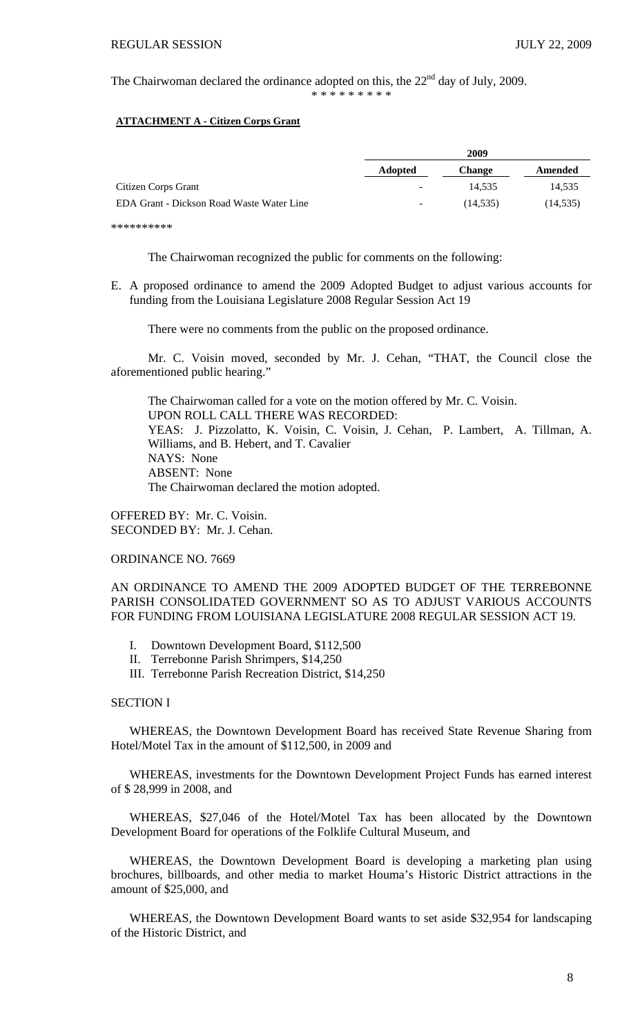The Chairwoman declared the ordinance adopted on this, the  $22<sup>nd</sup>$  day of July, 2009. \* \* \* \* \* \* \* \* \*

### **ATTACHMENT A - Citizen Corps Grant**

|                                           |                          | 2009          |           |  |
|-------------------------------------------|--------------------------|---------------|-----------|--|
|                                           | <b>Adopted</b>           | <b>Change</b> | Amended   |  |
| Citizen Corps Grant                       | $\overline{\phantom{a}}$ | 14.535        | 14.535    |  |
| EDA Grant - Dickson Road Waste Water Line | $\overline{\phantom{a}}$ | (14, 535)     | (14, 535) |  |
|                                           |                          |               |           |  |

\*\*\*\*\*\*\*\*\*\*

The Chairwoman recognized the public for comments on the following:

E. A proposed ordinance to amend the 2009 Adopted Budget to adjust various accounts for funding from the Louisiana Legislature 2008 Regular Session Act 19

There were no comments from the public on the proposed ordinance.

 Mr. C. Voisin moved, seconded by Mr. J. Cehan, "THAT, the Council close the aforementioned public hearing."

 The Chairwoman called for a vote on the motion offered by Mr. C. Voisin. UPON ROLL CALL THERE WAS RECORDED: YEAS: J. Pizzolatto, K. Voisin, C. Voisin, J. Cehan, P. Lambert, A. Tillman, A. Williams, and B. Hebert, and T. Cavalier NAYS: None ABSENT: None The Chairwoman declared the motion adopted.

OFFERED BY: Mr. C. Voisin. SECONDED BY: Mr. J. Cehan.

ORDINANCE NO. 7669

AN ORDINANCE TO AMEND THE 2009 ADOPTED BUDGET OF THE TERREBONNE PARISH CONSOLIDATED GOVERNMENT SO AS TO ADJUST VARIOUS ACCOUNTS FOR FUNDING FROM LOUISIANA LEGISLATURE 2008 REGULAR SESSION ACT 19.

- I. Downtown Development Board, \$112,500
- II. Terrebonne Parish Shrimpers, \$14,250
- III. Terrebonne Parish Recreation District, \$14,250

## SECTION I

 WHEREAS, the Downtown Development Board has received State Revenue Sharing from Hotel/Motel Tax in the amount of \$112,500, in 2009 and

 WHEREAS, investments for the Downtown Development Project Funds has earned interest of \$ 28,999 in 2008, and

 WHEREAS, \$27,046 of the Hotel/Motel Tax has been allocated by the Downtown Development Board for operations of the Folklife Cultural Museum, and

 WHEREAS, the Downtown Development Board is developing a marketing plan using brochures, billboards, and other media to market Houma's Historic District attractions in the amount of \$25,000, and

 WHEREAS, the Downtown Development Board wants to set aside \$32,954 for landscaping of the Historic District, and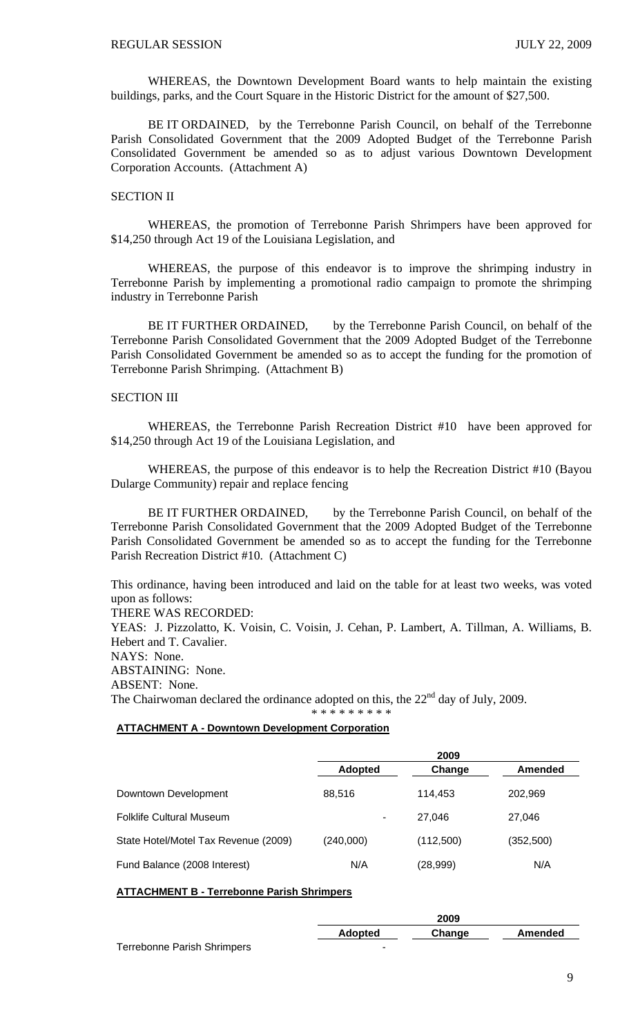WHEREAS, the Downtown Development Board wants to help maintain the existing buildings, parks, and the Court Square in the Historic District for the amount of \$27,500.

BE IT ORDAINED, by the Terrebonne Parish Council, on behalf of the Terrebonne Parish Consolidated Government that the 2009 Adopted Budget of the Terrebonne Parish Consolidated Government be amended so as to adjust various Downtown Development Corporation Accounts. (Attachment A)

## SECTION II

WHEREAS, the promotion of Terrebonne Parish Shrimpers have been approved for \$14,250 through Act 19 of the Louisiana Legislation, and

WHEREAS, the purpose of this endeavor is to improve the shrimping industry in Terrebonne Parish by implementing a promotional radio campaign to promote the shrimping industry in Terrebonne Parish

BE IT FURTHER ORDAINED, by the Terrebonne Parish Council, on behalf of the Terrebonne Parish Consolidated Government that the 2009 Adopted Budget of the Terrebonne Parish Consolidated Government be amended so as to accept the funding for the promotion of Terrebonne Parish Shrimping. (Attachment B)

## SECTION III

WHEREAS, the Terrebonne Parish Recreation District #10 have been approved for \$14,250 through Act 19 of the Louisiana Legislation, and

WHEREAS, the purpose of this endeavor is to help the Recreation District #10 (Bayou Dularge Community) repair and replace fencing

BE IT FURTHER ORDAINED, by the Terrebonne Parish Council, on behalf of the Terrebonne Parish Consolidated Government that the 2009 Adopted Budget of the Terrebonne Parish Consolidated Government be amended so as to accept the funding for the Terrebonne Parish Recreation District #10. (Attachment C)

This ordinance, having been introduced and laid on the table for at least two weeks, was voted upon as follows:

THERE WAS RECORDED:

YEAS: J. Pizzolatto, K. Voisin, C. Voisin, J. Cehan, P. Lambert, A. Tillman, A. Williams, B. Hebert and T. Cavalier. NAYS: None. ABSTAINING: None. ABSENT: None. The Chairwoman declared the ordinance adopted on this, the  $22<sup>nd</sup>$  day of July, 2009. \* \* \* \* \* \* \* \* \*

### **ATTACHMENT A - Downtown Development Corporation**

|                                      | 2009           |           |            |  |
|--------------------------------------|----------------|-----------|------------|--|
|                                      | <b>Adopted</b> | Change    | Amended    |  |
| Downtown Development                 | 88,516         | 114.453   | 202,969    |  |
| <b>Folklife Cultural Museum</b>      | ۰              | 27.046    | 27.046     |  |
| State Hotel/Motel Tax Revenue (2009) | (240,000)      | (112,500) | (352, 500) |  |
| Fund Balance (2008 Interest)         | N/A            | (28,999)  | N/A        |  |

### **ATTACHMENT B - Terrebonne Parish Shrimpers**

|                                    |                | 2009   |         |
|------------------------------------|----------------|--------|---------|
|                                    | <b>Adopted</b> | Change | Amended |
| <b>Terrebonne Parish Shrimpers</b> | -              |        |         |

9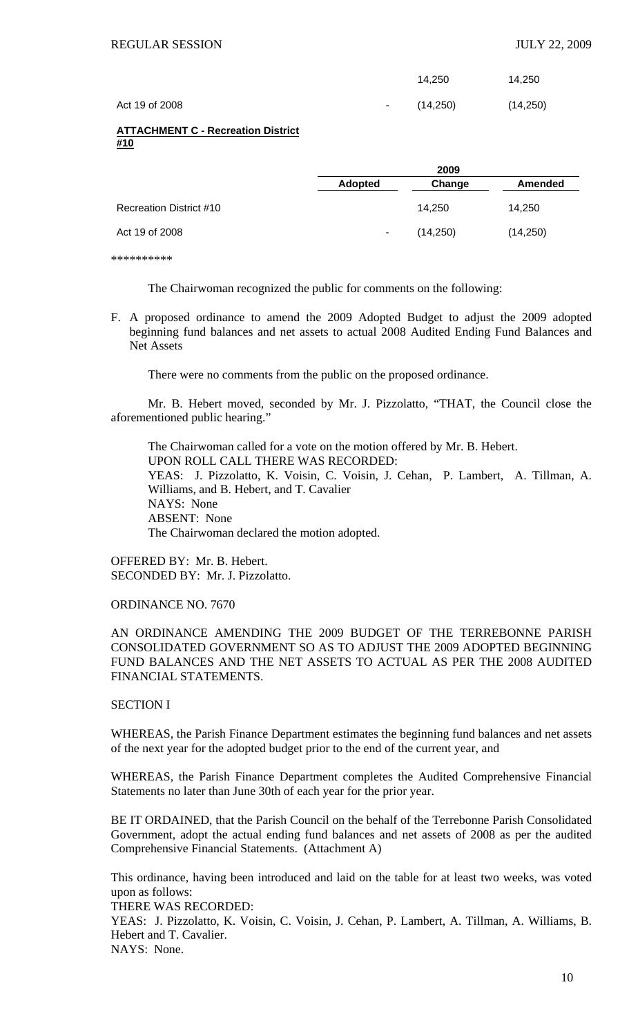|                |                 | 14.250    | 14,250   |
|----------------|-----------------|-----------|----------|
| Act 19 of 2008 | $\sim 10^{-10}$ | (14, 250) | (14,250) |

### **ATTACHMENT C - Recreation District #10**

|                         | 2009           |          |                |  |
|-------------------------|----------------|----------|----------------|--|
|                         | <b>Adopted</b> | Change   | <b>Amended</b> |  |
| Recreation District #10 |                | 14.250   | 14,250         |  |
| Act 19 of 2008          | ۰.             | (14,250) | (14, 250)      |  |

\*\*\*\*\*\*\*\*\*\*

The Chairwoman recognized the public for comments on the following:

F. A proposed ordinance to amend the 2009 Adopted Budget to adjust the 2009 adopted beginning fund balances and net assets to actual 2008 Audited Ending Fund Balances and Net Assets

There were no comments from the public on the proposed ordinance.

 Mr. B. Hebert moved, seconded by Mr. J. Pizzolatto, "THAT, the Council close the aforementioned public hearing."

 The Chairwoman called for a vote on the motion offered by Mr. B. Hebert. UPON ROLL CALL THERE WAS RECORDED: YEAS: J. Pizzolatto, K. Voisin, C. Voisin, J. Cehan, P. Lambert, A. Tillman, A. Williams, and B. Hebert, and T. Cavalier NAYS: None ABSENT: None The Chairwoman declared the motion adopted.

OFFERED BY: Mr. B. Hebert. SECONDED BY: Mr. J. Pizzolatto.

ORDINANCE NO. 7670

AN ORDINANCE AMENDING THE 2009 BUDGET OF THE TERREBONNE PARISH CONSOLIDATED GOVERNMENT SO AS TO ADJUST THE 2009 ADOPTED BEGINNING FUND BALANCES AND THE NET ASSETS TO ACTUAL AS PER THE 2008 AUDITED FINANCIAL STATEMENTS.

# SECTION I

WHEREAS, the Parish Finance Department estimates the beginning fund balances and net assets of the next year for the adopted budget prior to the end of the current year, and

WHEREAS, the Parish Finance Department completes the Audited Comprehensive Financial Statements no later than June 30th of each year for the prior year.

BE IT ORDAINED, that the Parish Council on the behalf of the Terrebonne Parish Consolidated Government, adopt the actual ending fund balances and net assets of 2008 as per the audited Comprehensive Financial Statements. (Attachment A)

This ordinance, having been introduced and laid on the table for at least two weeks, was voted upon as follows:

THERE WAS RECORDED:

YEAS: J. Pizzolatto, K. Voisin, C. Voisin, J. Cehan, P. Lambert, A. Tillman, A. Williams, B. Hebert and T. Cavalier.

NAYS: None.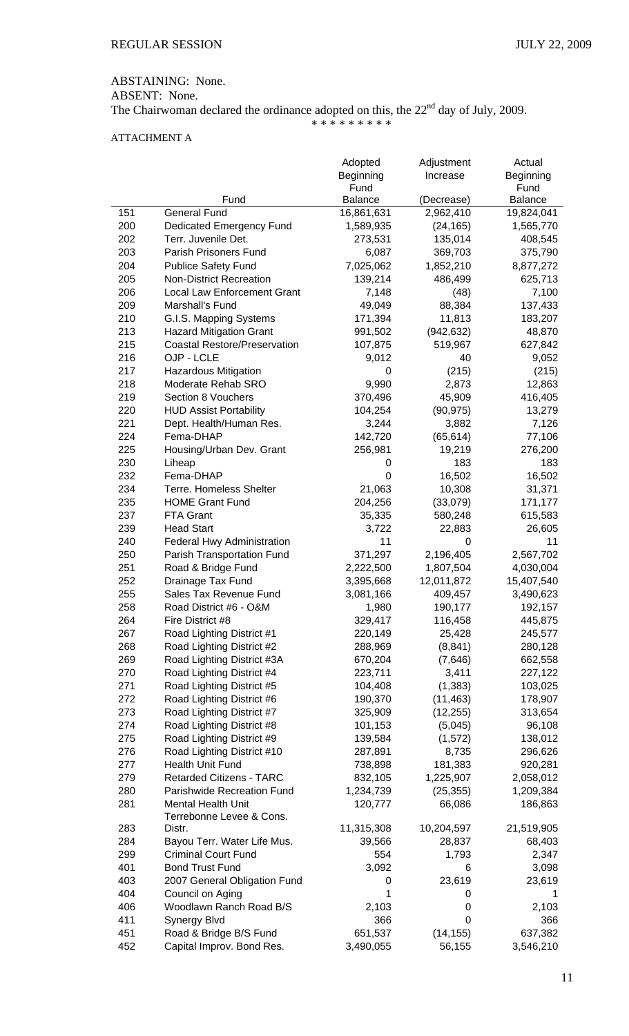ABSTAINING: None.

ABSENT: None.

The Chairwoman declared the ordinance adopted on this, the  $22<sup>nd</sup>$  day of July, 2009. \* \* \* \* \* \* \* \* \*

# ATTACHMENT A

|            |                                                        | Adopted            | Adjustment           | Actual             |
|------------|--------------------------------------------------------|--------------------|----------------------|--------------------|
|            |                                                        | Beginning<br>Fund  | Increase             | Beginning<br>Fund  |
|            | Fund                                                   | <b>Balance</b>     | (Decrease)           | Balance            |
| 151        | <b>General Fund</b>                                    | 16,861,631         | 2,962,410            | 19,824,041         |
| 200        | <b>Dedicated Emergency Fund</b>                        | 1,589,935          | (24, 165)            | 1,565,770          |
| 202        | Terr. Juvenile Det.                                    | 273,531            | 135,014              | 408,545            |
| 203        | Parish Prisoners Fund                                  | 6,087              | 369,703              | 375,790            |
| 204        | <b>Publice Safety Fund</b>                             | 7,025,062          | 1,852,210            | 8,877,272          |
| 205        | <b>Non-District Recreation</b>                         | 139,214            | 486,499              | 625,713            |
| 206        | <b>Local Law Enforcement Grant</b>                     | 7,148              | (48)                 | 7,100              |
| 209        | Marshall's Fund                                        | 49,049             | 88,384               | 137,433            |
| 210        | G.I.S. Mapping Systems                                 | 171,394            | 11,813               | 183,207            |
| 213        | <b>Hazard Mitigation Grant</b>                         | 991,502            | (942, 632)           | 48,870             |
| 215        | <b>Coastal Restore/Preservation</b>                    | 107,875            | 519,967              | 627,842            |
| 216        | OJP - LCLE                                             | 9,012              | 40                   | 9,052              |
| 217        | <b>Hazardous Mitigation</b>                            | 0                  | (215)                | (215)              |
| 218        | Moderate Rehab SRO                                     | 9,990              | 2,873                | 12,863             |
| 219        | Section 8 Vouchers                                     | 370,496            | 45,909               | 416,405            |
| 220        | <b>HUD Assist Portability</b>                          | 104,254            | (90, 975)            | 13,279             |
| 221        | Dept. Health/Human Res.                                | 3,244              | 3,882                | 7,126              |
| 224        | Fema-DHAP                                              | 142,720            | (65, 614)            | 77,106             |
| 225        | Housing/Urban Dev. Grant                               | 256,981            | 19,219               | 276,200            |
| 230        | Liheap                                                 | 0                  | 183                  | 183                |
| 232        | Fema-DHAP                                              | 0                  | 16,502               | 16,502             |
| 234        | <b>Terre. Homeless Shelter</b>                         | 21,063             | 10,308               | 31,371             |
| 235        | <b>HOME Grant Fund</b>                                 | 204,256            | (33,079)             | 171,177            |
| 237        | FTA Grant                                              | 35,335             | 580,248              | 615,583            |
| 239        | <b>Head Start</b>                                      | 3,722              | 22,883               | 26,605             |
| 240        | Federal Hwy Administration                             | 11                 | 0                    | 11                 |
| 250        | Parish Transportation Fund                             | 371,297            | 2,196,405            | 2,567,702          |
| 251        | Road & Bridge Fund                                     | 2,222,500          | 1,807,504            | 4,030,004          |
| 252        | Drainage Tax Fund                                      | 3,395,668          | 12,011,872           | 15,407,540         |
| 255        | Sales Tax Revenue Fund                                 | 3,081,166          | 409,457              | 3,490,623          |
| 258        | Road District #6 - O&M                                 | 1,980              | 190,177              | 192,157            |
| 264        | Fire District #8                                       | 329,417            | 116,458              | 445,875            |
| 267        | Road Lighting District #1                              | 220,149            | 25,428               | 245,577            |
| 268        | Road Lighting District #2                              | 288,969            | (8, 841)             | 280,128            |
| 269        | Road Lighting District #3A                             | 670,204            | (7,646)              | 662,558            |
| 270        | Road Lighting District #4                              | 223,711            | 3,411                | 227,122            |
| 271        | Road Lighting District #5                              | 104,408            | (1, 383)             | 103,025            |
| 272        | Road Lighting District #6                              | 190,370            | (11, 463)            | 178,907            |
| 273        | Road Lighting District #7                              | 325,909            | (12, 255)<br>(5,045) | 313,654            |
| 274        | Road Lighting District #8<br>Road Lighting District #9 | 101,153            | (1, 572)             | 96,108             |
| 275<br>276 | Road Lighting District #10                             | 139,584<br>287,891 | 8,735                | 138,012<br>296,626 |
| 277        | Health Unit Fund                                       | 738,898            | 181,383              | 920,281            |
| 279        | <b>Retarded Citizens - TARC</b>                        | 832,105            | 1,225,907            | 2,058,012          |
| 280        | Parishwide Recreation Fund                             | 1,234,739          | (25, 355)            | 1,209,384          |
| 281        | <b>Mental Health Unit</b>                              | 120,777            | 66,086               | 186,863            |
|            | Terrebonne Levee & Cons.                               |                    |                      |                    |
| 283        | Distr.                                                 | 11,315,308         | 10,204,597           | 21,519,905         |
| 284        | Bayou Terr. Water Life Mus.                            | 39,566             | 28,837               | 68,403             |
| 299        | <b>Criminal Court Fund</b>                             | 554                | 1,793                | 2,347              |
| 401        | <b>Bond Trust Fund</b>                                 | 3,092              | 6                    | 3,098              |
| 403        | 2007 General Obligation Fund                           | 0                  | 23,619               | 23,619             |
| 404        | Council on Aging                                       | 1                  | 0                    | 1                  |
| 406        | Woodlawn Ranch Road B/S                                | 2,103              | 0                    | 2,103              |
| 411        | Synergy Blvd                                           | 366                | 0                    | 366                |
| 451        | Road & Bridge B/S Fund                                 | 651,537            | (14, 155)            | 637,382            |
| 452        | Capital Improv. Bond Res.                              | 3,490,055          | 56,155               | 3,546,210          |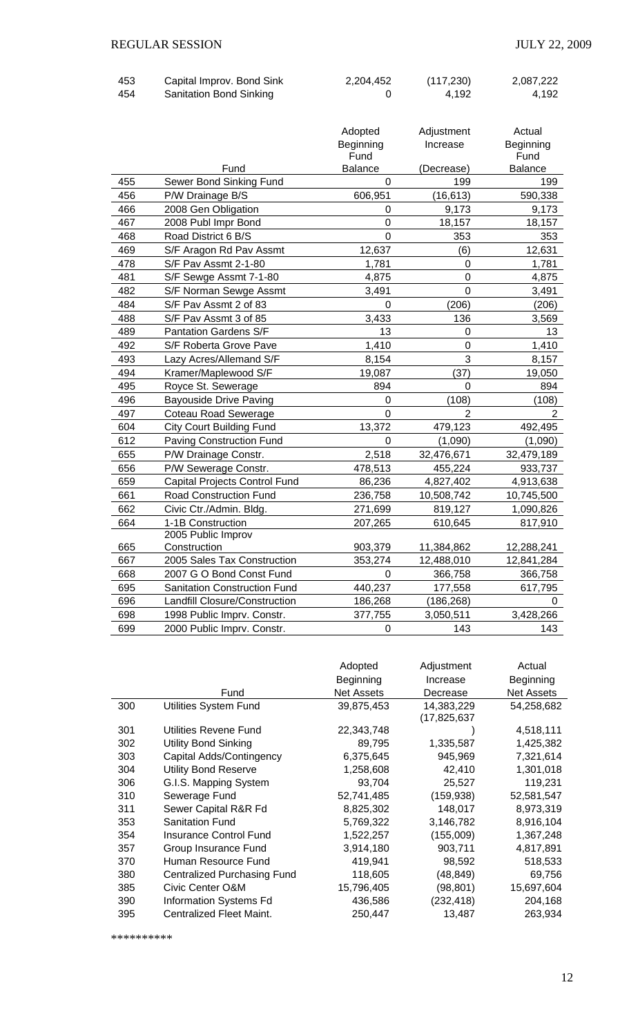| 453 | Capital Improv. Bond Sink      | 2,204,452 | (117, 230) | 2,087,222 |
|-----|--------------------------------|-----------|------------|-----------|
| 454 | <b>Sanitation Bond Sinking</b> |           | 4.192      | 4,192     |

|     |                                      | Adopted<br>Beginning<br>Fund | Adjustment<br>Increase | Actual<br>Beginning<br>Fund |
|-----|--------------------------------------|------------------------------|------------------------|-----------------------------|
|     | Fund                                 | <b>Balance</b>               | (Decrease)             | <b>Balance</b>              |
| 455 | Sewer Bond Sinking Fund              | $\Omega$                     | 199                    | 199                         |
| 456 | P/W Drainage B/S                     | 606,951                      | (16, 613)              | 590,338                     |
| 466 | 2008 Gen Obligation                  | 0                            | 9,173                  | 9,173                       |
| 467 | 2008 Publ Impr Bond                  | $\mathbf 0$                  | 18,157                 | 18,157                      |
| 468 | Road District 6 B/S                  | $\overline{0}$               | 353                    | 353                         |
| 469 | S/F Aragon Rd Pav Assmt              | 12,637                       | (6)                    | 12,631                      |
| 478 | S/F Pav Assmt 2-1-80                 | 1,781                        | $\mathbf 0$            | 1,781                       |
| 481 | S/F Sewge Assmt 7-1-80               | 4,875                        | $\overline{0}$         | 4,875                       |
| 482 | S/F Norman Sewge Assmt               | 3,491                        | $\overline{0}$         | 3,491                       |
| 484 | S/F Pav Assmt 2 of 83                | 0                            | (206)                  | (206)                       |
| 488 | S/F Pav Assmt 3 of 85                | 3,433                        | 136                    | 3,569                       |
| 489 | <b>Pantation Gardens S/F</b>         | 13                           | $\overline{0}$         | 13                          |
| 492 | S/F Roberta Grove Pave               | 1,410                        | $\mathbf 0$            | 1,410                       |
| 493 | Lazy Acres/Allemand S/F              | 8,154                        | 3                      | 8,157                       |
| 494 | Kramer/Maplewood S/F                 | 19,087                       | (37)                   | 19,050                      |
| 495 | Royce St. Sewerage                   | 894                          | $\mathbf 0$            | 894                         |
| 496 | <b>Bayouside Drive Paving</b>        | $\mathbf 0$                  | (108)                  | (108)                       |
| 497 | <b>Coteau Road Sewerage</b>          | $\Omega$                     | $\overline{2}$         | $\overline{2}$              |
| 604 | <b>City Court Building Fund</b>      | 13,372                       | 479,123                | 492,495                     |
| 612 | Paving Construction Fund             | $\Omega$                     | (1,090)                | (1,090)                     |
| 655 | P/W Drainage Constr.                 | 2,518                        | 32,476,671             | 32,479,189                  |
| 656 | P/W Sewerage Constr.                 | 478,513                      | 455,224                | 933,737                     |
| 659 | <b>Capital Projects Control Fund</b> | 86,236                       | 4,827,402              | 4,913,638                   |
| 661 | Road Construction Fund               | 236,758                      | 10,508,742             | 10,745,500                  |
| 662 | Civic Ctr./Admin. Bldg.              | 271,699                      | 819,127                | 1,090,826                   |
| 664 | 1-1B Construction                    | 207,265                      | 610,645                | 817,910                     |
|     | 2005 Public Improv                   |                              |                        |                             |
| 665 | Construction                         | 903,379                      | 11,384,862             | 12,288,241                  |
| 667 | 2005 Sales Tax Construction          | 353,274                      | 12,488,010             | 12,841,284                  |
| 668 | 2007 G O Bond Const Fund             | 0                            | 366,758                | 366,758                     |
| 695 | <b>Sanitation Construction Fund</b>  | 440,237                      | 177,558                | 617,795                     |
| 696 | Landfill Closure/Construction        | 186,268                      | (186, 268)             | $\Omega$                    |
| 698 | 1998 Public Imprv. Constr.           | 377,755                      | 3,050,511              | 3,428,266                   |
| 699 | 2000 Public Imprv. Constr.           | $\boldsymbol{0}$             | 143                    | 143                         |

|     |                                    | Adopted<br>Beginning | Adjustment<br>Increase    | Actual<br>Beginning |
|-----|------------------------------------|----------------------|---------------------------|---------------------|
|     | Fund                               | <b>Net Assets</b>    | Decrease                  | <b>Net Assets</b>   |
| 300 | Utilities System Fund              | 39,875,453           | 14,383,229<br>(17,825,637 | 54,258,682          |
| 301 | Utilities Revene Fund              | 22,343,748           |                           | 4,518,111           |
| 302 | <b>Utility Bond Sinking</b>        | 89,795               | 1,335,587                 | 1,425,382           |
| 303 | Capital Adds/Contingency           | 6,375,645            | 945,969                   | 7,321,614           |
| 304 | <b>Utility Bond Reserve</b>        | 1,258,608            | 42,410                    | 1,301,018           |
| 306 | G.I.S. Mapping System              | 93,704               | 25,527                    | 119,231             |
| 310 | Sewerage Fund                      | 52,741,485           | (159, 938)                | 52,581,547          |
| 311 | Sewer Capital R&R Fd               | 8,825,302            | 148,017                   | 8,973,319           |
| 353 | <b>Sanitation Fund</b>             | 5,769,322            | 3,146,782                 | 8,916,104           |
| 354 | <b>Insurance Control Fund</b>      | 1,522,257            | (155,009)                 | 1,367,248           |
| 357 | Group Insurance Fund               | 3,914,180            | 903,711                   | 4,817,891           |
| 370 | Human Resource Fund                | 419,941              | 98,592                    | 518,533             |
| 380 | <b>Centralized Purchasing Fund</b> | 118,605              | (48, 849)                 | 69,756              |
| 385 | Civic Center O&M                   | 15,796,405           | (98, 801)                 | 15,697,604          |
| 390 | <b>Information Systems Fd</b>      | 436,586              | (232, 418)                | 204,168             |
| 395 | Centralized Fleet Maint.           | 250,447              | 13,487                    | 263,934             |

\*\*\*\*\*\*\*\*\*\*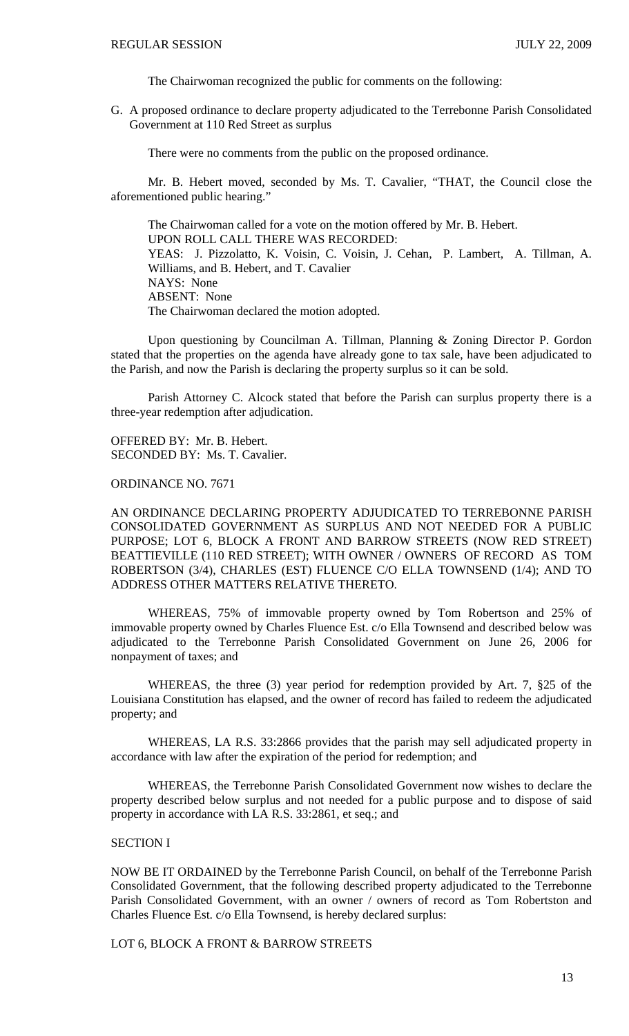The Chairwoman recognized the public for comments on the following:

G. A proposed ordinance to declare property adjudicated to the Terrebonne Parish Consolidated Government at 110 Red Street as surplus

There were no comments from the public on the proposed ordinance.

 Mr. B. Hebert moved, seconded by Ms. T. Cavalier, "THAT, the Council close the aforementioned public hearing."

 The Chairwoman called for a vote on the motion offered by Mr. B. Hebert. UPON ROLL CALL THERE WAS RECORDED: YEAS: J. Pizzolatto, K. Voisin, C. Voisin, J. Cehan, P. Lambert, A. Tillman, A. Williams, and B. Hebert, and T. Cavalier NAYS: None ABSENT: None The Chairwoman declared the motion adopted.

 Upon questioning by Councilman A. Tillman, Planning & Zoning Director P. Gordon stated that the properties on the agenda have already gone to tax sale, have been adjudicated to the Parish, and now the Parish is declaring the property surplus so it can be sold.

 Parish Attorney C. Alcock stated that before the Parish can surplus property there is a three-year redemption after adjudication.

OFFERED BY: Mr. B. Hebert. SECONDED BY: Ms. T. Cavalier.

ORDINANCE NO. 7671

AN ORDINANCE DECLARING PROPERTY ADJUDICATED TO TERREBONNE PARISH CONSOLIDATED GOVERNMENT AS SURPLUS AND NOT NEEDED FOR A PUBLIC PURPOSE; LOT 6, BLOCK A FRONT AND BARROW STREETS (NOW RED STREET) BEATTIEVILLE (110 RED STREET); WITH OWNER / OWNERS OF RECORD AS TOM ROBERTSON (3/4), CHARLES (EST) FLUENCE C/O ELLA TOWNSEND (1/4); AND TO ADDRESS OTHER MATTERS RELATIVE THERETO.

 WHEREAS, 75% of immovable property owned by Tom Robertson and 25% of immovable property owned by Charles Fluence Est. c/o Ella Townsend and described below was adjudicated to the Terrebonne Parish Consolidated Government on June 26, 2006 for nonpayment of taxes; and

 WHEREAS, the three (3) year period for redemption provided by Art. 7, §25 of the Louisiana Constitution has elapsed, and the owner of record has failed to redeem the adjudicated property; and

 WHEREAS, LA R.S. 33:2866 provides that the parish may sell adjudicated property in accordance with law after the expiration of the period for redemption; and

 WHEREAS, the Terrebonne Parish Consolidated Government now wishes to declare the property described below surplus and not needed for a public purpose and to dispose of said property in accordance with LA R.S. 33:2861, et seq.; and

### SECTION I

NOW BE IT ORDAINED by the Terrebonne Parish Council, on behalf of the Terrebonne Parish Consolidated Government, that the following described property adjudicated to the Terrebonne Parish Consolidated Government, with an owner / owners of record as Tom Robertston and Charles Fluence Est. c/o Ella Townsend, is hereby declared surplus:

LOT 6, BLOCK A FRONT & BARROW STREETS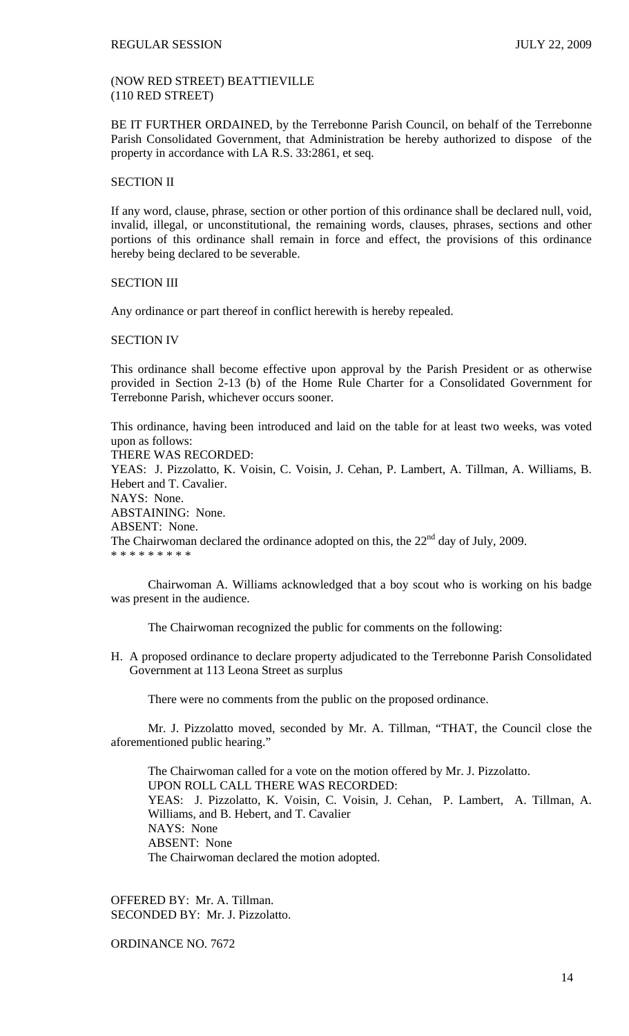# (NOW RED STREET) BEATTIEVILLE (110 RED STREET)

BE IT FURTHER ORDAINED, by the Terrebonne Parish Council, on behalf of the Terrebonne Parish Consolidated Government, that Administration be hereby authorized to dispose of the property in accordance with LA R.S. 33:2861, et seq.

## SECTION II

If any word, clause, phrase, section or other portion of this ordinance shall be declared null, void, invalid, illegal, or unconstitutional, the remaining words, clauses, phrases, sections and other portions of this ordinance shall remain in force and effect, the provisions of this ordinance hereby being declared to be severable.

## SECTION III

Any ordinance or part thereof in conflict herewith is hereby repealed.

### SECTION IV

This ordinance shall become effective upon approval by the Parish President or as otherwise provided in Section 2-13 (b) of the Home Rule Charter for a Consolidated Government for Terrebonne Parish, whichever occurs sooner.

This ordinance, having been introduced and laid on the table for at least two weeks, was voted upon as follows:

THERE WAS RECORDED: YEAS: J. Pizzolatto, K. Voisin, C. Voisin, J. Cehan, P. Lambert, A. Tillman, A. Williams, B. Hebert and T. Cavalier. NAYS: None. ABSTAINING: None. ABSENT: None. The Chairwoman declared the ordinance adopted on this, the  $22<sup>nd</sup>$  day of July, 2009. \* \* \* \* \* \* \* \* \*

 Chairwoman A. Williams acknowledged that a boy scout who is working on his badge was present in the audience.

The Chairwoman recognized the public for comments on the following:

H. A proposed ordinance to declare property adjudicated to the Terrebonne Parish Consolidated Government at 113 Leona Street as surplus

There were no comments from the public on the proposed ordinance.

 Mr. J. Pizzolatto moved, seconded by Mr. A. Tillman, "THAT, the Council close the aforementioned public hearing."

 The Chairwoman called for a vote on the motion offered by Mr. J. Pizzolatto. UPON ROLL CALL THERE WAS RECORDED: YEAS: J. Pizzolatto, K. Voisin, C. Voisin, J. Cehan, P. Lambert, A. Tillman, A. Williams, and B. Hebert, and T. Cavalier NAYS: None ABSENT: None The Chairwoman declared the motion adopted.

OFFERED BY: Mr. A. Tillman. SECONDED BY: Mr. J. Pizzolatto.

ORDINANCE NO. 7672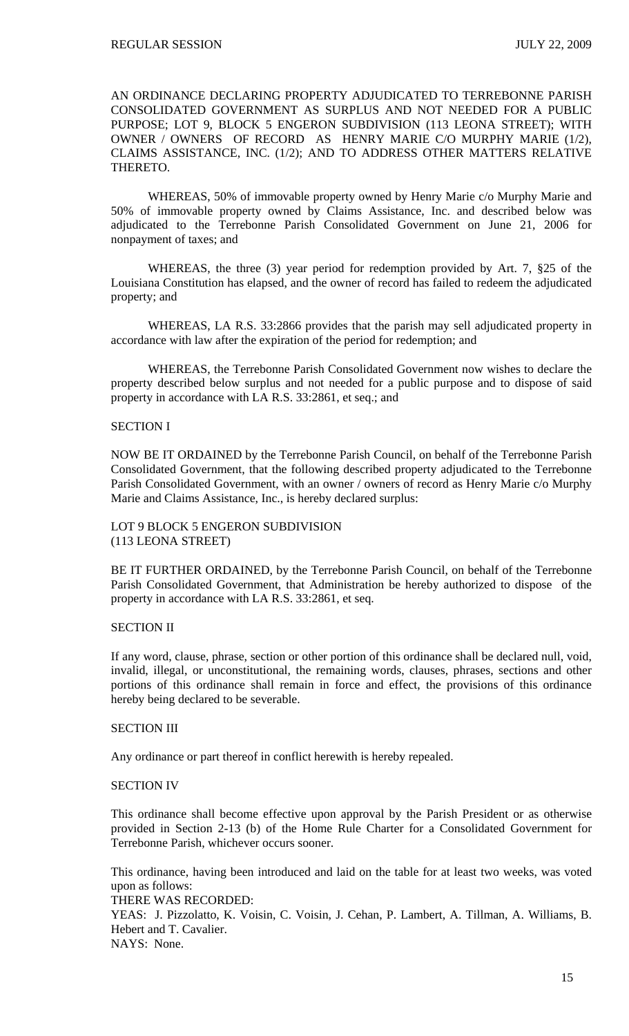AN ORDINANCE DECLARING PROPERTY ADJUDICATED TO TERREBONNE PARISH CONSOLIDATED GOVERNMENT AS SURPLUS AND NOT NEEDED FOR A PUBLIC PURPOSE; LOT 9, BLOCK 5 ENGERON SUBDIVISION (113 LEONA STREET); WITH OWNER / OWNERS OF RECORD AS HENRY MARIE C/O MURPHY MARIE (1/2), CLAIMS ASSISTANCE, INC. (1/2); AND TO ADDRESS OTHER MATTERS RELATIVE THERETO.

 WHEREAS, 50% of immovable property owned by Henry Marie c/o Murphy Marie and 50% of immovable property owned by Claims Assistance, Inc. and described below was adjudicated to the Terrebonne Parish Consolidated Government on June 21, 2006 for nonpayment of taxes; and

 WHEREAS, the three (3) year period for redemption provided by Art. 7, §25 of the Louisiana Constitution has elapsed, and the owner of record has failed to redeem the adjudicated property; and

 WHEREAS, LA R.S. 33:2866 provides that the parish may sell adjudicated property in accordance with law after the expiration of the period for redemption; and

 WHEREAS, the Terrebonne Parish Consolidated Government now wishes to declare the property described below surplus and not needed for a public purpose and to dispose of said property in accordance with LA R.S. 33:2861, et seq.; and

# SECTION I

NOW BE IT ORDAINED by the Terrebonne Parish Council, on behalf of the Terrebonne Parish Consolidated Government, that the following described property adjudicated to the Terrebonne Parish Consolidated Government, with an owner / owners of record as Henry Marie c/o Murphy Marie and Claims Assistance, Inc., is hereby declared surplus:

LOT 9 BLOCK 5 ENGERON SUBDIVISION (113 LEONA STREET)

BE IT FURTHER ORDAINED, by the Terrebonne Parish Council, on behalf of the Terrebonne Parish Consolidated Government, that Administration be hereby authorized to dispose of the property in accordance with LA R.S. 33:2861, et seq.

## SECTION II

If any word, clause, phrase, section or other portion of this ordinance shall be declared null, void, invalid, illegal, or unconstitutional, the remaining words, clauses, phrases, sections and other portions of this ordinance shall remain in force and effect, the provisions of this ordinance hereby being declared to be severable.

# SECTION III

Any ordinance or part thereof in conflict herewith is hereby repealed.

## SECTION IV

This ordinance shall become effective upon approval by the Parish President or as otherwise provided in Section 2-13 (b) of the Home Rule Charter for a Consolidated Government for Terrebonne Parish, whichever occurs sooner.

This ordinance, having been introduced and laid on the table for at least two weeks, was voted upon as follows: THERE WAS RECORDED:

YEAS: J. Pizzolatto, K. Voisin, C. Voisin, J. Cehan, P. Lambert, A. Tillman, A. Williams, B. Hebert and T. Cavalier. NAYS: None.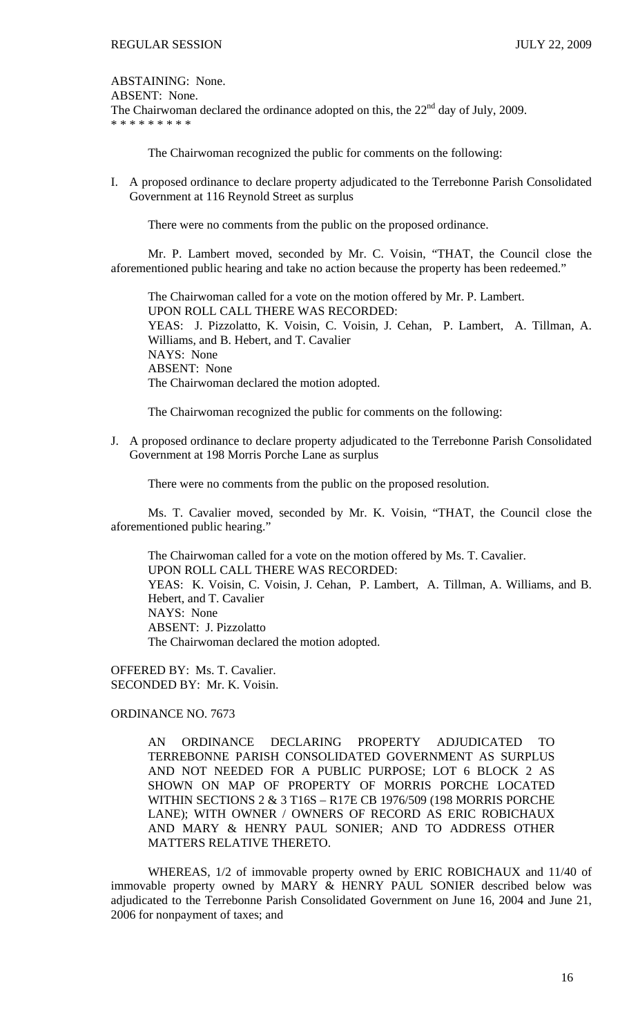ABSTAINING: None.

ABSENT: None.

The Chairwoman declared the ordinance adopted on this, the  $22<sup>nd</sup>$  day of July, 2009. \* \* \* \* \* \* \* \* \*

The Chairwoman recognized the public for comments on the following:

I. A proposed ordinance to declare property adjudicated to the Terrebonne Parish Consolidated Government at 116 Reynold Street as surplus

There were no comments from the public on the proposed ordinance.

 Mr. P. Lambert moved, seconded by Mr. C. Voisin, "THAT, the Council close the aforementioned public hearing and take no action because the property has been redeemed."

 The Chairwoman called for a vote on the motion offered by Mr. P. Lambert. UPON ROLL CALL THERE WAS RECORDED: YEAS: J. Pizzolatto, K. Voisin, C. Voisin, J. Cehan, P. Lambert, A. Tillman, A. Williams, and B. Hebert, and T. Cavalier NAYS: None ABSENT: None The Chairwoman declared the motion adopted.

The Chairwoman recognized the public for comments on the following:

J. A proposed ordinance to declare property adjudicated to the Terrebonne Parish Consolidated Government at 198 Morris Porche Lane as surplus

There were no comments from the public on the proposed resolution.

 Ms. T. Cavalier moved, seconded by Mr. K. Voisin, "THAT, the Council close the aforementioned public hearing."

 The Chairwoman called for a vote on the motion offered by Ms. T. Cavalier. UPON ROLL CALL THERE WAS RECORDED: YEAS: K. Voisin, C. Voisin, J. Cehan, P. Lambert, A. Tillman, A. Williams, and B. Hebert, and T. Cavalier NAYS: None ABSENT: J. Pizzolatto The Chairwoman declared the motion adopted.

OFFERED BY: Ms. T. Cavalier. SECONDED BY: Mr. K. Voisin.

ORDINANCE NO. 7673

AN ORDINANCE DECLARING PROPERTY ADJUDICATED TO TERREBONNE PARISH CONSOLIDATED GOVERNMENT AS SURPLUS AND NOT NEEDED FOR A PUBLIC PURPOSE; LOT 6 BLOCK 2 AS SHOWN ON MAP OF PROPERTY OF MORRIS PORCHE LOCATED WITHIN SECTIONS 2 & 3 T16S – R17E CB 1976/509 (198 MORRIS PORCHE LANE); WITH OWNER / OWNERS OF RECORD AS ERIC ROBICHAUX AND MARY & HENRY PAUL SONIER; AND TO ADDRESS OTHER MATTERS RELATIVE THERETO.

 WHEREAS, 1/2 of immovable property owned by ERIC ROBICHAUX and 11/40 of immovable property owned by MARY & HENRY PAUL SONIER described below was adjudicated to the Terrebonne Parish Consolidated Government on June 16, 2004 and June 21, 2006 for nonpayment of taxes; and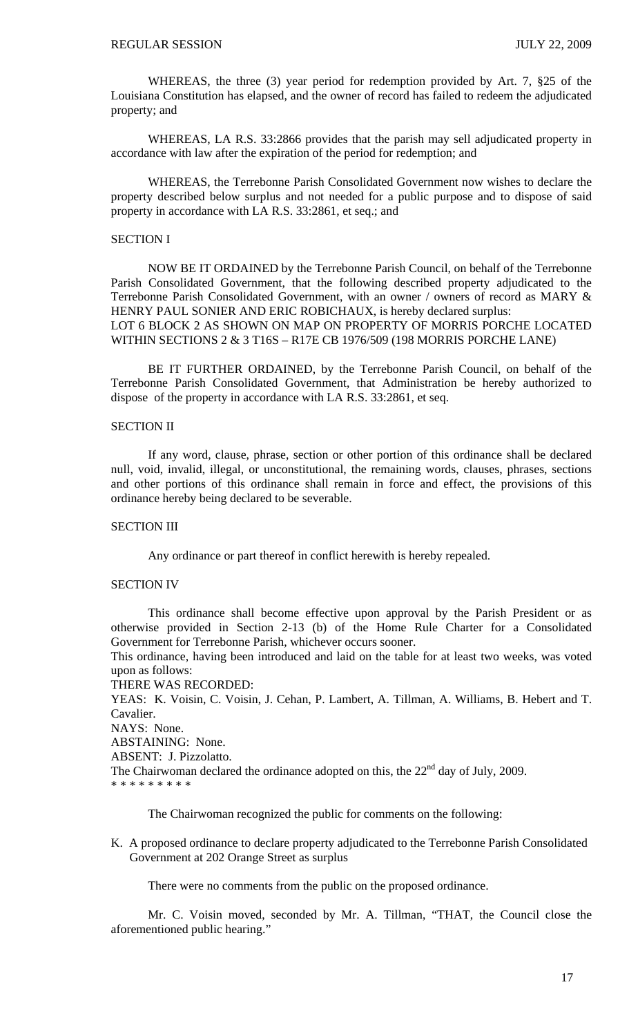WHEREAS, the three (3) year period for redemption provided by Art. 7, §25 of the Louisiana Constitution has elapsed, and the owner of record has failed to redeem the adjudicated property; and

 WHEREAS, LA R.S. 33:2866 provides that the parish may sell adjudicated property in accordance with law after the expiration of the period for redemption; and

 WHEREAS, the Terrebonne Parish Consolidated Government now wishes to declare the property described below surplus and not needed for a public purpose and to dispose of said property in accordance with LA R.S. 33:2861, et seq.; and

# SECTION I

NOW BE IT ORDAINED by the Terrebonne Parish Council, on behalf of the Terrebonne Parish Consolidated Government, that the following described property adjudicated to the Terrebonne Parish Consolidated Government, with an owner / owners of record as MARY & HENRY PAUL SONIER AND ERIC ROBICHAUX, is hereby declared surplus: LOT 6 BLOCK 2 AS SHOWN ON MAP ON PROPERTY OF MORRIS PORCHE LOCATED WITHIN SECTIONS 2 & 3 T16S – R17E CB 1976/509 (198 MORRIS PORCHE LANE)

BE IT FURTHER ORDAINED, by the Terrebonne Parish Council, on behalf of the Terrebonne Parish Consolidated Government, that Administration be hereby authorized to dispose of the property in accordance with LA R.S. 33:2861, et seq.

# SECTION II

If any word, clause, phrase, section or other portion of this ordinance shall be declared null, void, invalid, illegal, or unconstitutional, the remaining words, clauses, phrases, sections and other portions of this ordinance shall remain in force and effect, the provisions of this ordinance hereby being declared to be severable.

# SECTION III

Any ordinance or part thereof in conflict herewith is hereby repealed.

# SECTION IV

This ordinance shall become effective upon approval by the Parish President or as otherwise provided in Section 2-13 (b) of the Home Rule Charter for a Consolidated Government for Terrebonne Parish, whichever occurs sooner.

This ordinance, having been introduced and laid on the table for at least two weeks, was voted upon as follows:

THERE WAS RECORDED:

YEAS: K. Voisin, C. Voisin, J. Cehan, P. Lambert, A. Tillman, A. Williams, B. Hebert and T. Cavalier.

NAYS: None.

ABSTAINING: None.

ABSENT: J. Pizzolatto.

The Chairwoman declared the ordinance adopted on this, the  $22<sup>nd</sup>$  day of July, 2009.

\* \* \* \* \* \* \* \*

The Chairwoman recognized the public for comments on the following:

K. A proposed ordinance to declare property adjudicated to the Terrebonne Parish Consolidated Government at 202 Orange Street as surplus

There were no comments from the public on the proposed ordinance.

 Mr. C. Voisin moved, seconded by Mr. A. Tillman, "THAT, the Council close the aforementioned public hearing."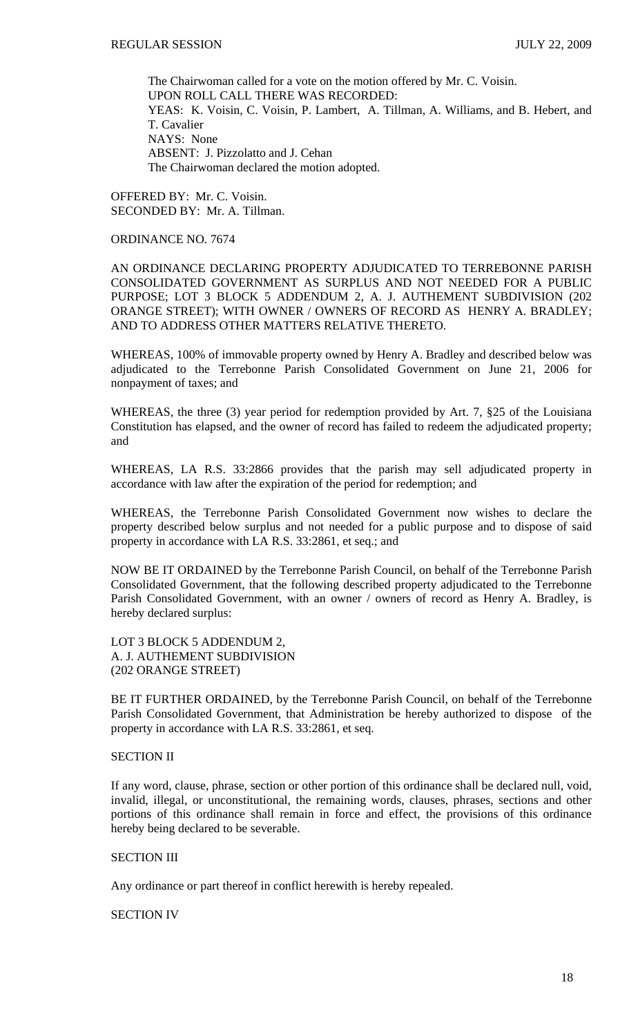The Chairwoman called for a vote on the motion offered by Mr. C. Voisin. UPON ROLL CALL THERE WAS RECORDED: YEAS: K. Voisin, C. Voisin, P. Lambert, A. Tillman, A. Williams, and B. Hebert, and T. Cavalier NAYS: None ABSENT: J. Pizzolatto and J. Cehan The Chairwoman declared the motion adopted.

OFFERED BY: Mr. C. Voisin. SECONDED BY: Mr. A. Tillman.

# ORDINANCE NO. 7674

AN ORDINANCE DECLARING PROPERTY ADJUDICATED TO TERREBONNE PARISH CONSOLIDATED GOVERNMENT AS SURPLUS AND NOT NEEDED FOR A PUBLIC PURPOSE; LOT 3 BLOCK 5 ADDENDUM 2, A. J. AUTHEMENT SUBDIVISION (202 ORANGE STREET); WITH OWNER / OWNERS OF RECORD AS HENRY A. BRADLEY; AND TO ADDRESS OTHER MATTERS RELATIVE THERETO.

WHEREAS, 100% of immovable property owned by Henry A. Bradley and described below was adjudicated to the Terrebonne Parish Consolidated Government on June 21, 2006 for nonpayment of taxes; and

WHEREAS, the three (3) year period for redemption provided by Art. 7, §25 of the Louisiana Constitution has elapsed, and the owner of record has failed to redeem the adjudicated property; and

WHEREAS, LA R.S. 33:2866 provides that the parish may sell adjudicated property in accordance with law after the expiration of the period for redemption; and

WHEREAS, the Terrebonne Parish Consolidated Government now wishes to declare the property described below surplus and not needed for a public purpose and to dispose of said property in accordance with LA R.S. 33:2861, et seq.; and

NOW BE IT ORDAINED by the Terrebonne Parish Council, on behalf of the Terrebonne Parish Consolidated Government, that the following described property adjudicated to the Terrebonne Parish Consolidated Government, with an owner / owners of record as Henry A. Bradley, is hereby declared surplus:

LOT 3 BLOCK 5 ADDENDUM 2, A. J. AUTHEMENT SUBDIVISION (202 ORANGE STREET)

BE IT FURTHER ORDAINED, by the Terrebonne Parish Council, on behalf of the Terrebonne Parish Consolidated Government, that Administration be hereby authorized to dispose of the property in accordance with LA R.S. 33:2861, et seq.

### SECTION II

If any word, clause, phrase, section or other portion of this ordinance shall be declared null, void, invalid, illegal, or unconstitutional, the remaining words, clauses, phrases, sections and other portions of this ordinance shall remain in force and effect, the provisions of this ordinance hereby being declared to be severable.

# SECTION III

Any ordinance or part thereof in conflict herewith is hereby repealed.

SECTION IV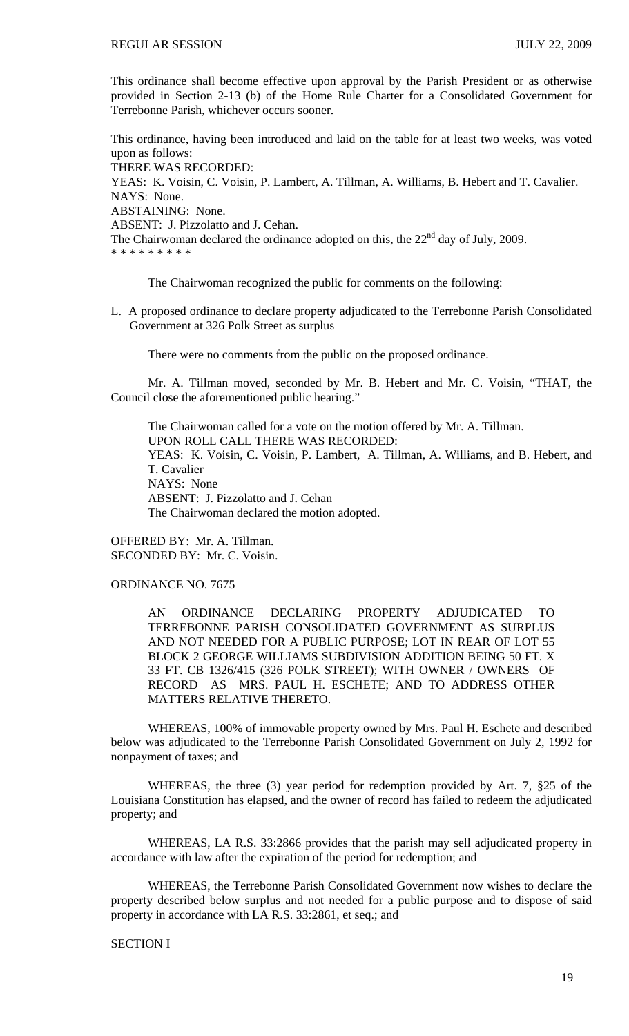This ordinance shall become effective upon approval by the Parish President or as otherwise provided in Section 2-13 (b) of the Home Rule Charter for a Consolidated Government for Terrebonne Parish, whichever occurs sooner.

This ordinance, having been introduced and laid on the table for at least two weeks, was voted upon as follows: THERE WAS RECORDED: YEAS: K. Voisin, C. Voisin, P. Lambert, A. Tillman, A. Williams, B. Hebert and T. Cavalier. NAYS: None. ABSTAINING: None. ABSENT: J. Pizzolatto and J. Cehan. The Chairwoman declared the ordinance adopted on this, the  $22<sup>nd</sup>$  day of July, 2009.

\* \* \* \* \* \* \* \* \*

The Chairwoman recognized the public for comments on the following:

L. A proposed ordinance to declare property adjudicated to the Terrebonne Parish Consolidated Government at 326 Polk Street as surplus

There were no comments from the public on the proposed ordinance.

 Mr. A. Tillman moved, seconded by Mr. B. Hebert and Mr. C. Voisin, "THAT, the Council close the aforementioned public hearing."

 The Chairwoman called for a vote on the motion offered by Mr. A. Tillman. UPON ROLL CALL THERE WAS RECORDED: YEAS: K. Voisin, C. Voisin, P. Lambert, A. Tillman, A. Williams, and B. Hebert, and T. Cavalier NAYS: None ABSENT: J. Pizzolatto and J. Cehan The Chairwoman declared the motion adopted.

OFFERED BY: Mr. A. Tillman. SECONDED BY: Mr. C. Voisin.

# ORDINANCE NO. 7675

AN ORDINANCE DECLARING PROPERTY ADJUDICATED TO TERREBONNE PARISH CONSOLIDATED GOVERNMENT AS SURPLUS AND NOT NEEDED FOR A PUBLIC PURPOSE; LOT IN REAR OF LOT 55 BLOCK 2 GEORGE WILLIAMS SUBDIVISION ADDITION BEING 50 FT. X 33 FT. CB 1326/415 (326 POLK STREET); WITH OWNER / OWNERS OF RECORD AS MRS. PAUL H. ESCHETE; AND TO ADDRESS OTHER MATTERS RELATIVE THERETO.

 WHEREAS, 100% of immovable property owned by Mrs. Paul H. Eschete and described below was adjudicated to the Terrebonne Parish Consolidated Government on July 2, 1992 for nonpayment of taxes; and

 WHEREAS, the three (3) year period for redemption provided by Art. 7, §25 of the Louisiana Constitution has elapsed, and the owner of record has failed to redeem the adjudicated property; and

 WHEREAS, LA R.S. 33:2866 provides that the parish may sell adjudicated property in accordance with law after the expiration of the period for redemption; and

 WHEREAS, the Terrebonne Parish Consolidated Government now wishes to declare the property described below surplus and not needed for a public purpose and to dispose of said property in accordance with LA R.S. 33:2861, et seq.; and

# SECTION I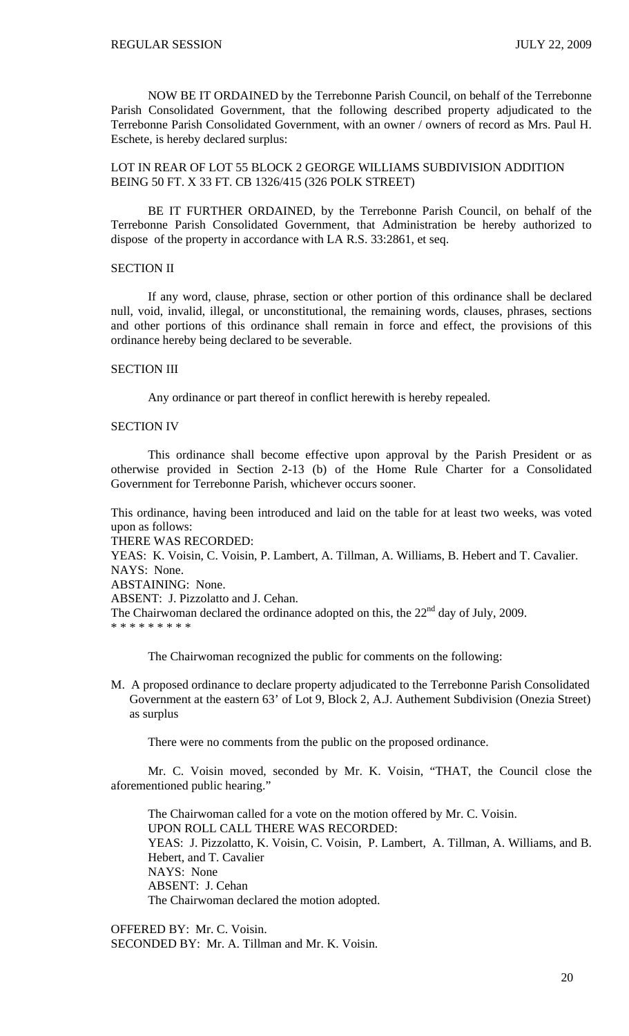NOW BE IT ORDAINED by the Terrebonne Parish Council, on behalf of the Terrebonne Parish Consolidated Government, that the following described property adjudicated to the Terrebonne Parish Consolidated Government, with an owner / owners of record as Mrs. Paul H. Eschete, is hereby declared surplus:

LOT IN REAR OF LOT 55 BLOCK 2 GEORGE WILLIAMS SUBDIVISION ADDITION BEING 50 FT. X 33 FT. CB 1326/415 (326 POLK STREET)

 BE IT FURTHER ORDAINED, by the Terrebonne Parish Council, on behalf of the Terrebonne Parish Consolidated Government, that Administration be hereby authorized to dispose of the property in accordance with LA R.S. 33:2861, et seq.

# SECTION II

If any word, clause, phrase, section or other portion of this ordinance shall be declared null, void, invalid, illegal, or unconstitutional, the remaining words, clauses, phrases, sections and other portions of this ordinance shall remain in force and effect, the provisions of this ordinance hereby being declared to be severable.

### SECTION III

Any ordinance or part thereof in conflict herewith is hereby repealed.

# SECTION IV

This ordinance shall become effective upon approval by the Parish President or as otherwise provided in Section 2-13 (b) of the Home Rule Charter for a Consolidated Government for Terrebonne Parish, whichever occurs sooner.

This ordinance, having been introduced and laid on the table for at least two weeks, was voted upon as follows:

THERE WAS RECORDED:

YEAS: K. Voisin, C. Voisin, P. Lambert, A. Tillman, A. Williams, B. Hebert and T. Cavalier. NAYS: None.

ABSTAINING: None.

ABSENT: J. Pizzolatto and J. Cehan.

The Chairwoman declared the ordinance adopted on this, the  $22<sup>nd</sup>$  day of July, 2009. \* \* \* \* \* \* \* \* \*

The Chairwoman recognized the public for comments on the following:

M. A proposed ordinance to declare property adjudicated to the Terrebonne Parish Consolidated Government at the eastern 63' of Lot 9, Block 2, A.J. Authement Subdivision (Onezia Street) as surplus

There were no comments from the public on the proposed ordinance.

 Mr. C. Voisin moved, seconded by Mr. K. Voisin, "THAT, the Council close the aforementioned public hearing.'

 The Chairwoman called for a vote on the motion offered by Mr. C. Voisin. UPON ROLL CALL THERE WAS RECORDED: YEAS: J. Pizzolatto, K. Voisin, C. Voisin, P. Lambert, A. Tillman, A. Williams, and B. Hebert, and T. Cavalier NAYS: None ABSENT: J. Cehan The Chairwoman declared the motion adopted.

OFFERED BY: Mr. C. Voisin. SECONDED BY: Mr. A. Tillman and Mr. K. Voisin.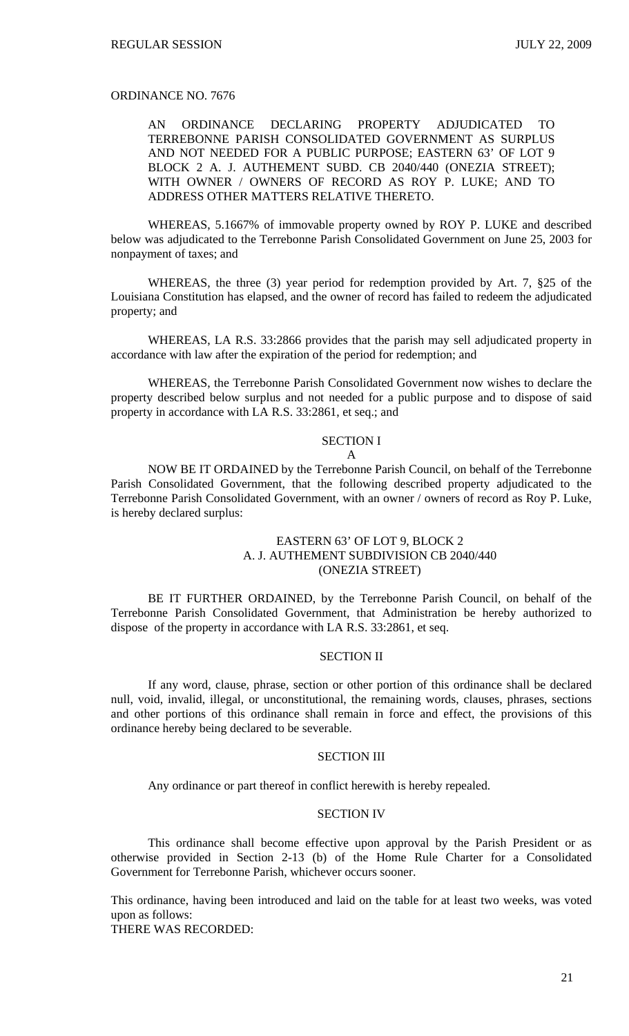# ORDINANCE NO. 7676

# AN ORDINANCE DECLARING PROPERTY ADJUDICATED TO TERREBONNE PARISH CONSOLIDATED GOVERNMENT AS SURPLUS AND NOT NEEDED FOR A PUBLIC PURPOSE; EASTERN 63' OF LOT 9 BLOCK 2 A. J. AUTHEMENT SUBD. CB 2040/440 (ONEZIA STREET); WITH OWNER / OWNERS OF RECORD AS ROY P. LUKE; AND TO ADDRESS OTHER MATTERS RELATIVE THERETO.

 WHEREAS, 5.1667% of immovable property owned by ROY P. LUKE and described below was adjudicated to the Terrebonne Parish Consolidated Government on June 25, 2003 for nonpayment of taxes; and

 WHEREAS, the three (3) year period for redemption provided by Art. 7, §25 of the Louisiana Constitution has elapsed, and the owner of record has failed to redeem the adjudicated property; and

 WHEREAS, LA R.S. 33:2866 provides that the parish may sell adjudicated property in accordance with law after the expiration of the period for redemption; and

 WHEREAS, the Terrebonne Parish Consolidated Government now wishes to declare the property described below surplus and not needed for a public purpose and to dispose of said property in accordance with LA R.S. 33:2861, et seq.; and

# SECTION I

#### A

NOW BE IT ORDAINED by the Terrebonne Parish Council, on behalf of the Terrebonne Parish Consolidated Government, that the following described property adjudicated to the Terrebonne Parish Consolidated Government, with an owner / owners of record as Roy P. Luke, is hereby declared surplus:

# EASTERN 63' OF LOT 9, BLOCK 2 A. J. AUTHEMENT SUBDIVISION CB 2040/440 (ONEZIA STREET)

 BE IT FURTHER ORDAINED, by the Terrebonne Parish Council, on behalf of the Terrebonne Parish Consolidated Government, that Administration be hereby authorized to dispose of the property in accordance with LA R.S. 33:2861, et seq.

## SECTION II

If any word, clause, phrase, section or other portion of this ordinance shall be declared null, void, invalid, illegal, or unconstitutional, the remaining words, clauses, phrases, sections and other portions of this ordinance shall remain in force and effect, the provisions of this ordinance hereby being declared to be severable.

### SECTION III

Any ordinance or part thereof in conflict herewith is hereby repealed.

## SECTION IV

This ordinance shall become effective upon approval by the Parish President or as otherwise provided in Section 2-13 (b) of the Home Rule Charter for a Consolidated Government for Terrebonne Parish, whichever occurs sooner.

This ordinance, having been introduced and laid on the table for at least two weeks, was voted upon as follows:

THERE WAS RECORDED: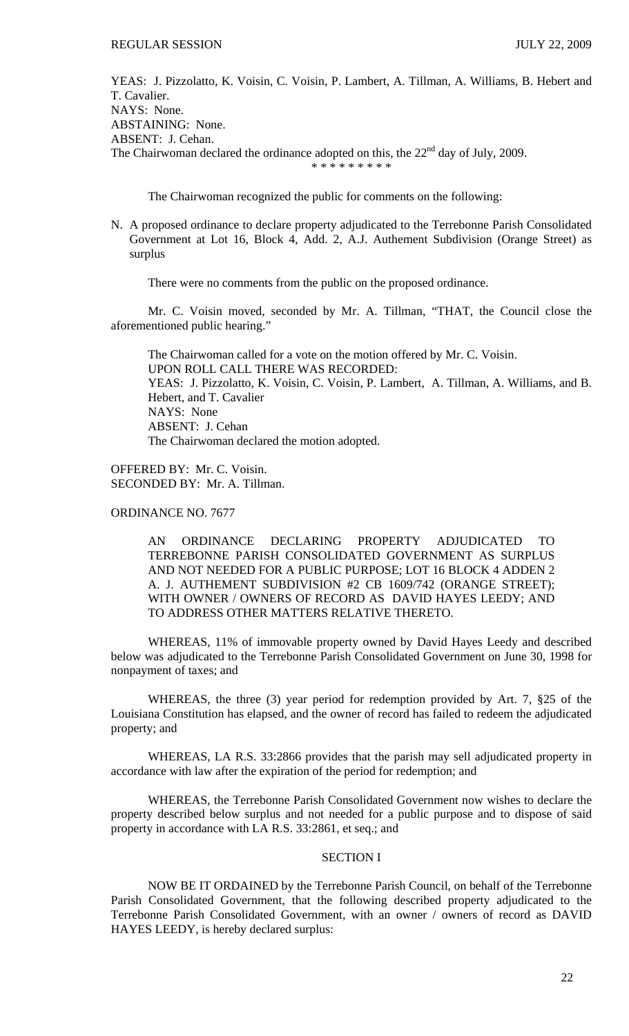YEAS: J. Pizzolatto, K. Voisin, C. Voisin, P. Lambert, A. Tillman, A. Williams, B. Hebert and T. Cavalier. NAYS: None. ABSTAINING: None. ABSENT: J. Cehan. The Chairwoman declared the ordinance adopted on this, the  $22<sup>nd</sup>$  day of July, 2009. \* \* \* \* \* \* \* \* \*

The Chairwoman recognized the public for comments on the following:

N. A proposed ordinance to declare property adjudicated to the Terrebonne Parish Consolidated Government at Lot 16, Block 4, Add. 2, A.J. Authement Subdivision (Orange Street) as surplus

There were no comments from the public on the proposed ordinance.

 Mr. C. Voisin moved, seconded by Mr. A. Tillman, "THAT, the Council close the aforementioned public hearing."

 The Chairwoman called for a vote on the motion offered by Mr. C. Voisin. UPON ROLL CALL THERE WAS RECORDED: YEAS: J. Pizzolatto, K. Voisin, C. Voisin, P. Lambert, A. Tillman, A. Williams, and B. Hebert, and T. Cavalier NAYS: None ABSENT: J. Cehan The Chairwoman declared the motion adopted.

OFFERED BY: Mr. C. Voisin. SECONDED BY: Mr. A. Tillman.

ORDINANCE NO. 7677

AN ORDINANCE DECLARING PROPERTY ADJUDICATED TO TERREBONNE PARISH CONSOLIDATED GOVERNMENT AS SURPLUS AND NOT NEEDED FOR A PUBLIC PURPOSE; LOT 16 BLOCK 4 ADDEN 2 A. J. AUTHEMENT SUBDIVISION #2 CB 1609/742 (ORANGE STREET); WITH OWNER / OWNERS OF RECORD AS DAVID HAYES LEEDY; AND TO ADDRESS OTHER MATTERS RELATIVE THERETO.

 WHEREAS, 11% of immovable property owned by David Hayes Leedy and described below was adjudicated to the Terrebonne Parish Consolidated Government on June 30, 1998 for nonpayment of taxes; and

 WHEREAS, the three (3) year period for redemption provided by Art. 7, §25 of the Louisiana Constitution has elapsed, and the owner of record has failed to redeem the adjudicated property; and

 WHEREAS, LA R.S. 33:2866 provides that the parish may sell adjudicated property in accordance with law after the expiration of the period for redemption; and

 WHEREAS, the Terrebonne Parish Consolidated Government now wishes to declare the property described below surplus and not needed for a public purpose and to dispose of said property in accordance with LA R.S. 33:2861, et seq.; and

# SECTION I

NOW BE IT ORDAINED by the Terrebonne Parish Council, on behalf of the Terrebonne Parish Consolidated Government, that the following described property adjudicated to the Terrebonne Parish Consolidated Government, with an owner / owners of record as DAVID HAYES LEEDY, is hereby declared surplus: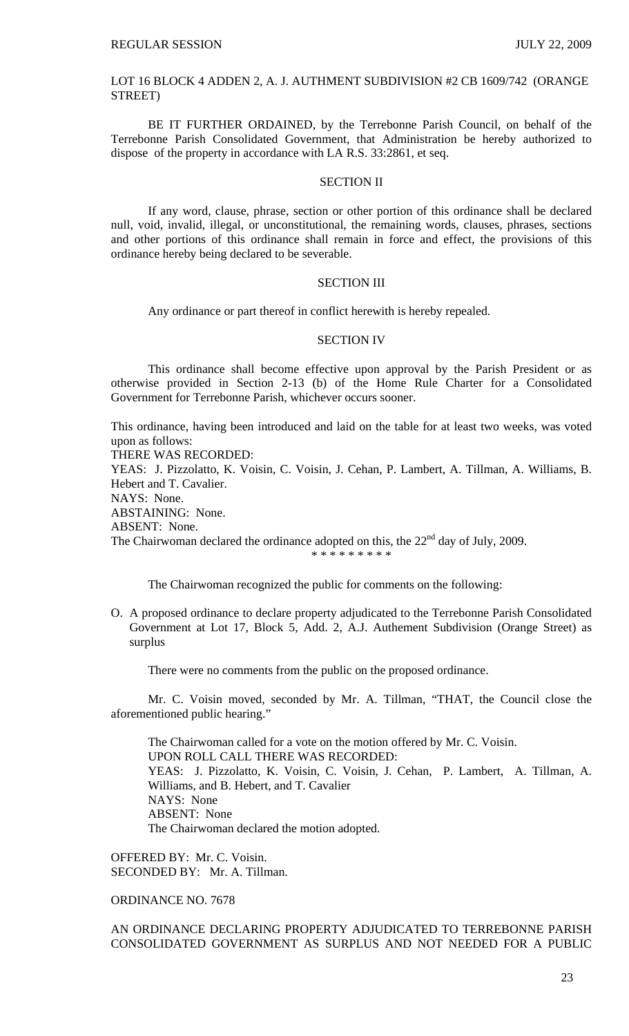LOT 16 BLOCK 4 ADDEN 2, A. J. AUTHMENT SUBDIVISION #2 CB 1609/742 (ORANGE STREET)

BE IT FURTHER ORDAINED, by the Terrebonne Parish Council, on behalf of the Terrebonne Parish Consolidated Government, that Administration be hereby authorized to dispose of the property in accordance with LA R.S. 33:2861, et seq.

### SECTION II

If any word, clause, phrase, section or other portion of this ordinance shall be declared null, void, invalid, illegal, or unconstitutional, the remaining words, clauses, phrases, sections and other portions of this ordinance shall remain in force and effect, the provisions of this ordinance hereby being declared to be severable.

### SECTION III

Any ordinance or part thereof in conflict herewith is hereby repealed.

### SECTION IV

This ordinance shall become effective upon approval by the Parish President or as otherwise provided in Section 2-13 (b) of the Home Rule Charter for a Consolidated Government for Terrebonne Parish, whichever occurs sooner.

This ordinance, having been introduced and laid on the table for at least two weeks, was voted upon as follows:

THERE WAS RECORDED:

YEAS: J. Pizzolatto, K. Voisin, C. Voisin, J. Cehan, P. Lambert, A. Tillman, A. Williams, B. Hebert and T. Cavalier. NAYS: None.

ABSTAINING: None.

ABSENT: None.

The Chairwoman declared the ordinance adopted on this, the  $22<sup>nd</sup>$  day of July, 2009.

\* \* \* \* \* \* \* \* \*

The Chairwoman recognized the public for comments on the following:

O. A proposed ordinance to declare property adjudicated to the Terrebonne Parish Consolidated Government at Lot 17, Block 5, Add. 2, A.J. Authement Subdivision (Orange Street) as surplus

There were no comments from the public on the proposed ordinance.

 Mr. C. Voisin moved, seconded by Mr. A. Tillman, "THAT, the Council close the aforementioned public hearing."

 The Chairwoman called for a vote on the motion offered by Mr. C. Voisin. UPON ROLL CALL THERE WAS RECORDED: YEAS: J. Pizzolatto, K. Voisin, C. Voisin, J. Cehan, P. Lambert, A. Tillman, A. Williams, and B. Hebert, and T. Cavalier NAYS: None ABSENT: None The Chairwoman declared the motion adopted.

OFFERED BY: Mr. C. Voisin. SECONDED BY: Mr. A. Tillman.

ORDINANCE NO. 7678

AN ORDINANCE DECLARING PROPERTY ADJUDICATED TO TERREBONNE PARISH CONSOLIDATED GOVERNMENT AS SURPLUS AND NOT NEEDED FOR A PUBLIC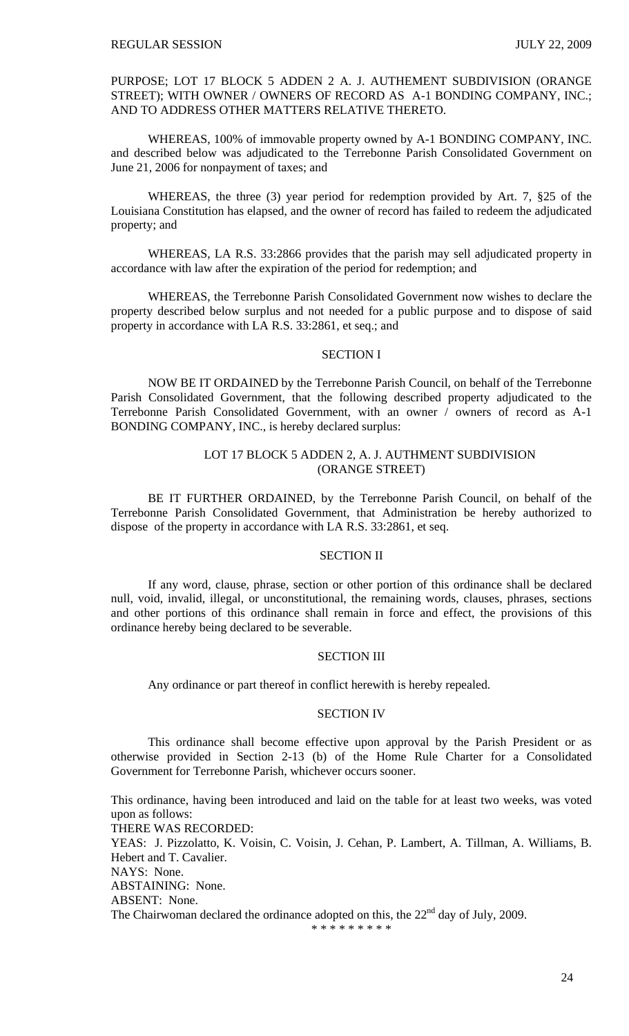PURPOSE; LOT 17 BLOCK 5 ADDEN 2 A. J. AUTHEMENT SUBDIVISION (ORANGE STREET); WITH OWNER / OWNERS OF RECORD AS A-1 BONDING COMPANY, INC.; AND TO ADDRESS OTHER MATTERS RELATIVE THERETO.

 WHEREAS, 100% of immovable property owned by A-1 BONDING COMPANY, INC. and described below was adjudicated to the Terrebonne Parish Consolidated Government on June 21, 2006 for nonpayment of taxes; and

 WHEREAS, the three (3) year period for redemption provided by Art. 7, §25 of the Louisiana Constitution has elapsed, and the owner of record has failed to redeem the adjudicated property; and

 WHEREAS, LA R.S. 33:2866 provides that the parish may sell adjudicated property in accordance with law after the expiration of the period for redemption; and

 WHEREAS, the Terrebonne Parish Consolidated Government now wishes to declare the property described below surplus and not needed for a public purpose and to dispose of said property in accordance with LA R.S. 33:2861, et seq.; and

### SECTION I

NOW BE IT ORDAINED by the Terrebonne Parish Council, on behalf of the Terrebonne Parish Consolidated Government, that the following described property adjudicated to the Terrebonne Parish Consolidated Government, with an owner / owners of record as A-1 BONDING COMPANY, INC., is hereby declared surplus:

# LOT 17 BLOCK 5 ADDEN 2, A. J. AUTHMENT SUBDIVISION (ORANGE STREET)

BE IT FURTHER ORDAINED, by the Terrebonne Parish Council, on behalf of the Terrebonne Parish Consolidated Government, that Administration be hereby authorized to dispose of the property in accordance with LA R.S. 33:2861, et seq.

## SECTION II

If any word, clause, phrase, section or other portion of this ordinance shall be declared null, void, invalid, illegal, or unconstitutional, the remaining words, clauses, phrases, sections and other portions of this ordinance shall remain in force and effect, the provisions of this ordinance hereby being declared to be severable.

## SECTION III

Any ordinance or part thereof in conflict herewith is hereby repealed.

### SECTION IV

This ordinance shall become effective upon approval by the Parish President or as otherwise provided in Section 2-13 (b) of the Home Rule Charter for a Consolidated Government for Terrebonne Parish, whichever occurs sooner.

This ordinance, having been introduced and laid on the table for at least two weeks, was voted upon as follows: THERE WAS RECORDED: YEAS: J. Pizzolatto, K. Voisin, C. Voisin, J. Cehan, P. Lambert, A. Tillman, A. Williams, B. Hebert and T. Cavalier. NAYS: None. ABSTAINING: None. ABSENT: None. The Chairwoman declared the ordinance adopted on this, the  $22<sup>nd</sup>$  day of July, 2009.

```
* * * * * * * * *
```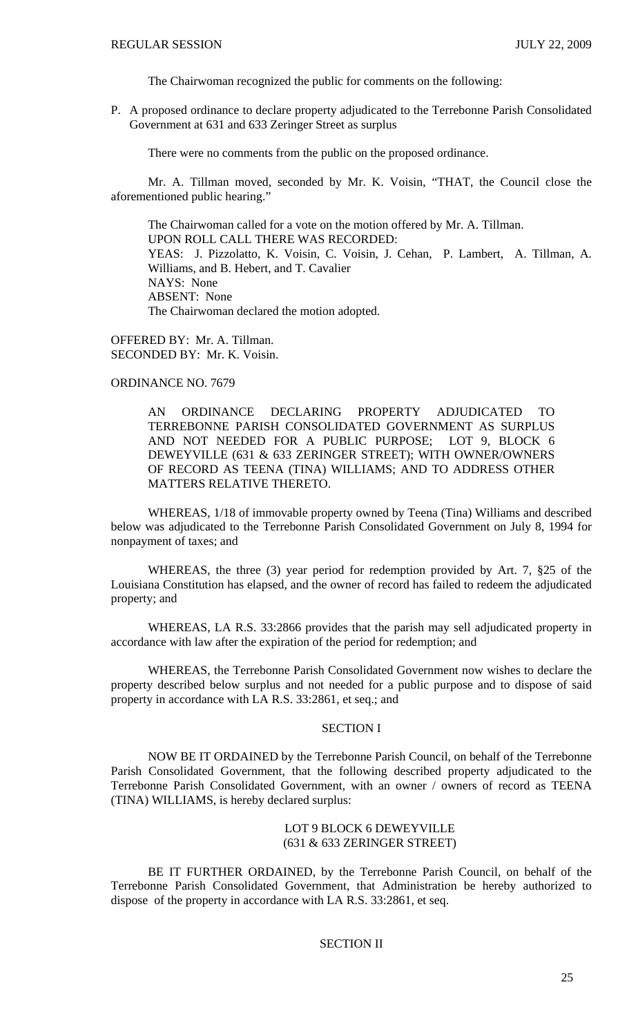The Chairwoman recognized the public for comments on the following:

P. A proposed ordinance to declare property adjudicated to the Terrebonne Parish Consolidated Government at 631 and 633 Zeringer Street as surplus

There were no comments from the public on the proposed ordinance.

 Mr. A. Tillman moved, seconded by Mr. K. Voisin, "THAT, the Council close the aforementioned public hearing."

 The Chairwoman called for a vote on the motion offered by Mr. A. Tillman. UPON ROLL CALL THERE WAS RECORDED: YEAS: J. Pizzolatto, K. Voisin, C. Voisin, J. Cehan, P. Lambert, A. Tillman, A. Williams, and B. Hebert, and T. Cavalier NAYS: None ABSENT: None The Chairwoman declared the motion adopted.

OFFERED BY: Mr. A. Tillman. SECONDED BY: Mr. K. Voisin.

# ORDINANCE NO. 7679

AN ORDINANCE DECLARING PROPERTY ADJUDICATED TO TERREBONNE PARISH CONSOLIDATED GOVERNMENT AS SURPLUS AND NOT NEEDED FOR A PUBLIC PURPOSE; LOT 9, BLOCK 6 DEWEYVILLE (631 & 633 ZERINGER STREET); WITH OWNER/OWNERS OF RECORD AS TEENA (TINA) WILLIAMS; AND TO ADDRESS OTHER MATTERS RELATIVE THERETO.

 WHEREAS, 1/18 of immovable property owned by Teena (Tina) Williams and described below was adjudicated to the Terrebonne Parish Consolidated Government on July 8, 1994 for nonpayment of taxes; and

 WHEREAS, the three (3) year period for redemption provided by Art. 7, §25 of the Louisiana Constitution has elapsed, and the owner of record has failed to redeem the adjudicated property; and

 WHEREAS, LA R.S. 33:2866 provides that the parish may sell adjudicated property in accordance with law after the expiration of the period for redemption; and

 WHEREAS, the Terrebonne Parish Consolidated Government now wishes to declare the property described below surplus and not needed for a public purpose and to dispose of said property in accordance with LA R.S. 33:2861, et seq.; and

# SECTION I

NOW BE IT ORDAINED by the Terrebonne Parish Council, on behalf of the Terrebonne Parish Consolidated Government, that the following described property adjudicated to the Terrebonne Parish Consolidated Government, with an owner / owners of record as TEENA (TINA) WILLIAMS, is hereby declared surplus:

# LOT 9 BLOCK 6 DEWEYVILLE (631 & 633 ZERINGER STREET)

BE IT FURTHER ORDAINED, by the Terrebonne Parish Council, on behalf of the Terrebonne Parish Consolidated Government, that Administration be hereby authorized to dispose of the property in accordance with LA R.S. 33:2861, et seq.

# SECTION II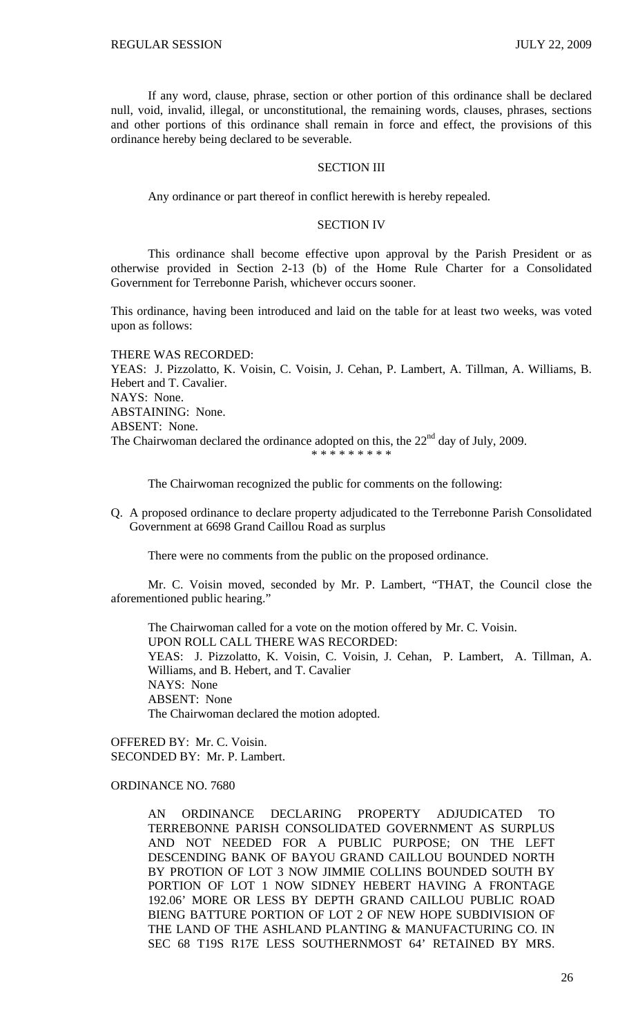If any word, clause, phrase, section or other portion of this ordinance shall be declared null, void, invalid, illegal, or unconstitutional, the remaining words, clauses, phrases, sections and other portions of this ordinance shall remain in force and effect, the provisions of this ordinance hereby being declared to be severable.

## SECTION III

Any ordinance or part thereof in conflict herewith is hereby repealed.

### SECTION IV

This ordinance shall become effective upon approval by the Parish President or as otherwise provided in Section 2-13 (b) of the Home Rule Charter for a Consolidated Government for Terrebonne Parish, whichever occurs sooner.

This ordinance, having been introduced and laid on the table for at least two weeks, was voted upon as follows:

THERE WAS RECORDED: YEAS: J. Pizzolatto, K. Voisin, C. Voisin, J. Cehan, P. Lambert, A. Tillman, A. Williams, B. Hebert and T. Cavalier. NAYS: None. ABSTAINING: None. ABSENT: None. The Chairwoman declared the ordinance adopted on this, the  $22<sup>nd</sup>$  day of July, 2009. \* \* \* \* \* \* \* \* \*

The Chairwoman recognized the public for comments on the following:

Q. A proposed ordinance to declare property adjudicated to the Terrebonne Parish Consolidated Government at 6698 Grand Caillou Road as surplus

There were no comments from the public on the proposed ordinance.

 Mr. C. Voisin moved, seconded by Mr. P. Lambert, "THAT, the Council close the aforementioned public hearing."

 The Chairwoman called for a vote on the motion offered by Mr. C. Voisin. UPON ROLL CALL THERE WAS RECORDED: YEAS: J. Pizzolatto, K. Voisin, C. Voisin, J. Cehan, P. Lambert, A. Tillman, A. Williams, and B. Hebert, and T. Cavalier NAYS: None ABSENT: None The Chairwoman declared the motion adopted.

OFFERED BY: Mr. C. Voisin. SECONDED BY: Mr. P. Lambert.

ORDINANCE NO. 7680

AN ORDINANCE DECLARING PROPERTY ADJUDICATED TO TERREBONNE PARISH CONSOLIDATED GOVERNMENT AS SURPLUS AND NOT NEEDED FOR A PUBLIC PURPOSE; ON THE LEFT DESCENDING BANK OF BAYOU GRAND CAILLOU BOUNDED NORTH BY PROTION OF LOT 3 NOW JIMMIE COLLINS BOUNDED SOUTH BY PORTION OF LOT 1 NOW SIDNEY HEBERT HAVING A FRONTAGE 192.06' MORE OR LESS BY DEPTH GRAND CAILLOU PUBLIC ROAD BIENG BATTURE PORTION OF LOT 2 OF NEW HOPE SUBDIVISION OF THE LAND OF THE ASHLAND PLANTING & MANUFACTURING CO. IN SEC 68 T19S R17E LESS SOUTHERNMOST 64' RETAINED BY MRS.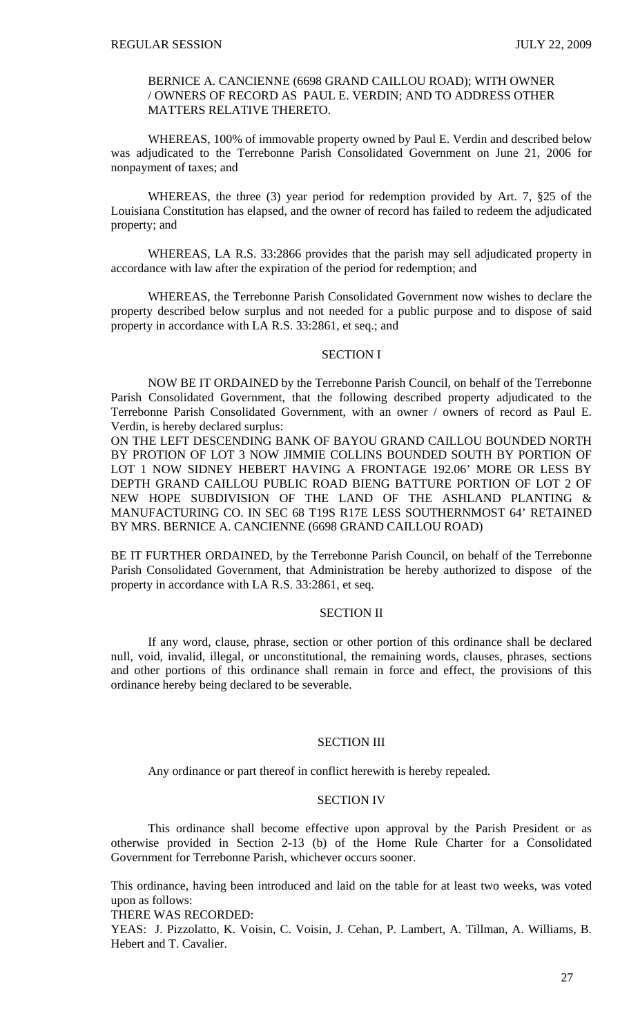## BERNICE A. CANCIENNE (6698 GRAND CAILLOU ROAD); WITH OWNER / OWNERS OF RECORD AS PAUL E. VERDIN; AND TO ADDRESS OTHER MATTERS RELATIVE THERETO.

 WHEREAS, 100% of immovable property owned by Paul E. Verdin and described below was adjudicated to the Terrebonne Parish Consolidated Government on June 21, 2006 for nonpayment of taxes; and

 WHEREAS, the three (3) year period for redemption provided by Art. 7, §25 of the Louisiana Constitution has elapsed, and the owner of record has failed to redeem the adjudicated property; and

 WHEREAS, LA R.S. 33:2866 provides that the parish may sell adjudicated property in accordance with law after the expiration of the period for redemption; and

 WHEREAS, the Terrebonne Parish Consolidated Government now wishes to declare the property described below surplus and not needed for a public purpose and to dispose of said property in accordance with LA R.S. 33:2861, et seq.; and

## SECTION I

NOW BE IT ORDAINED by the Terrebonne Parish Council, on behalf of the Terrebonne Parish Consolidated Government, that the following described property adjudicated to the Terrebonne Parish Consolidated Government, with an owner / owners of record as Paul E. Verdin, is hereby declared surplus:

ON THE LEFT DESCENDING BANK OF BAYOU GRAND CAILLOU BOUNDED NORTH BY PROTION OF LOT 3 NOW JIMMIE COLLINS BOUNDED SOUTH BY PORTION OF LOT 1 NOW SIDNEY HEBERT HAVING A FRONTAGE 192.06' MORE OR LESS BY DEPTH GRAND CAILLOU PUBLIC ROAD BIENG BATTURE PORTION OF LOT 2 OF NEW HOPE SUBDIVISION OF THE LAND OF THE ASHLAND PLANTING & MANUFACTURING CO. IN SEC 68 T19S R17E LESS SOUTHERNMOST 64' RETAINED BY MRS. BERNICE A. CANCIENNE (6698 GRAND CAILLOU ROAD)

BE IT FURTHER ORDAINED, by the Terrebonne Parish Council, on behalf of the Terrebonne Parish Consolidated Government, that Administration be hereby authorized to dispose of the property in accordance with LA R.S. 33:2861, et seq.

# SECTION II

If any word, clause, phrase, section or other portion of this ordinance shall be declared null, void, invalid, illegal, or unconstitutional, the remaining words, clauses, phrases, sections and other portions of this ordinance shall remain in force and effect, the provisions of this ordinance hereby being declared to be severable.

### SECTION III

Any ordinance or part thereof in conflict herewith is hereby repealed.

# SECTION IV

This ordinance shall become effective upon approval by the Parish President or as otherwise provided in Section 2-13 (b) of the Home Rule Charter for a Consolidated Government for Terrebonne Parish, whichever occurs sooner.

This ordinance, having been introduced and laid on the table for at least two weeks, was voted upon as follows:

THERE WAS RECORDED:

YEAS: J. Pizzolatto, K. Voisin, C. Voisin, J. Cehan, P. Lambert, A. Tillman, A. Williams, B. Hebert and T. Cavalier.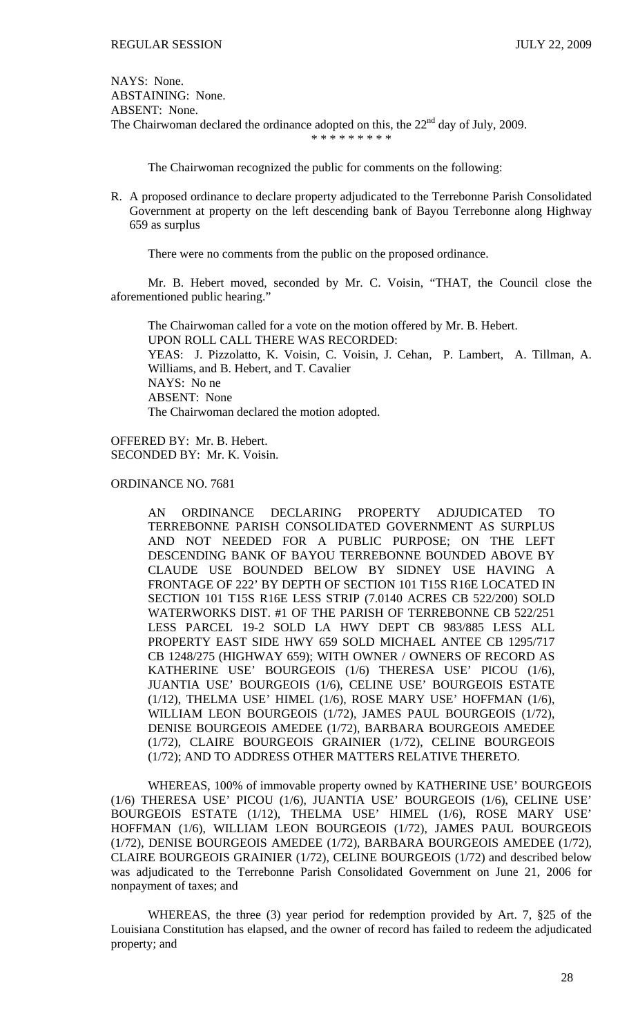NAYS: None. ABSTAINING: None. ABSENT: None. The Chairwoman declared the ordinance adopted on this, the  $22<sup>nd</sup>$  day of July, 2009. \* \* \* \* \* \* \* \* \*

The Chairwoman recognized the public for comments on the following:

R. A proposed ordinance to declare property adjudicated to the Terrebonne Parish Consolidated Government at property on the left descending bank of Bayou Terrebonne along Highway 659 as surplus

There were no comments from the public on the proposed ordinance.

 Mr. B. Hebert moved, seconded by Mr. C. Voisin, "THAT, the Council close the aforementioned public hearing."

 The Chairwoman called for a vote on the motion offered by Mr. B. Hebert. UPON ROLL CALL THERE WAS RECORDED: YEAS: J. Pizzolatto, K. Voisin, C. Voisin, J. Cehan, P. Lambert, A. Tillman, A. Williams, and B. Hebert, and T. Cavalier NAYS: No ne ABSENT: None The Chairwoman declared the motion adopted.

OFFERED BY: Mr. B. Hebert. SECONDED BY: Mr. K. Voisin.

ORDINANCE NO. 7681

AN ORDINANCE DECLARING PROPERTY ADJUDICATED TO TERREBONNE PARISH CONSOLIDATED GOVERNMENT AS SURPLUS AND NOT NEEDED FOR A PUBLIC PURPOSE; ON THE LEFT DESCENDING BANK OF BAYOU TERREBONNE BOUNDED ABOVE BY CLAUDE USE BOUNDED BELOW BY SIDNEY USE HAVING A FRONTAGE OF 222' BY DEPTH OF SECTION 101 T15S R16E LOCATED IN SECTION 101 T15S R16E LESS STRIP (7.0140 ACRES CB 522/200) SOLD WATERWORKS DIST. #1 OF THE PARISH OF TERREBONNE CB 522/251 LESS PARCEL 19-2 SOLD LA HWY DEPT CB 983/885 LESS ALL PROPERTY EAST SIDE HWY 659 SOLD MICHAEL ANTEE CB 1295/717 CB 1248/275 (HIGHWAY 659); WITH OWNER / OWNERS OF RECORD AS KATHERINE USE' BOURGEOIS (1/6) THERESA USE' PICOU (1/6), JUANTIA USE' BOURGEOIS (1/6), CELINE USE' BOURGEOIS ESTATE (1/12), THELMA USE' HIMEL (1/6), ROSE MARY USE' HOFFMAN (1/6), WILLIAM LEON BOURGEOIS (1/72), JAMES PAUL BOURGEOIS (1/72), DENISE BOURGEOIS AMEDEE (1/72), BARBARA BOURGEOIS AMEDEE (1/72), CLAIRE BOURGEOIS GRAINIER (1/72), CELINE BOURGEOIS (1/72); AND TO ADDRESS OTHER MATTERS RELATIVE THERETO.

 WHEREAS, 100% of immovable property owned by KATHERINE USE' BOURGEOIS (1/6) THERESA USE' PICOU (1/6), JUANTIA USE' BOURGEOIS (1/6), CELINE USE' BOURGEOIS ESTATE (1/12), THELMA USE' HIMEL (1/6), ROSE MARY USE' HOFFMAN (1/6), WILLIAM LEON BOURGEOIS (1/72), JAMES PAUL BOURGEOIS (1/72), DENISE BOURGEOIS AMEDEE (1/72), BARBARA BOURGEOIS AMEDEE (1/72), CLAIRE BOURGEOIS GRAINIER (1/72), CELINE BOURGEOIS (1/72) and described below was adjudicated to the Terrebonne Parish Consolidated Government on June 21, 2006 for nonpayment of taxes; and

 WHEREAS, the three (3) year period for redemption provided by Art. 7, §25 of the Louisiana Constitution has elapsed, and the owner of record has failed to redeem the adjudicated property; and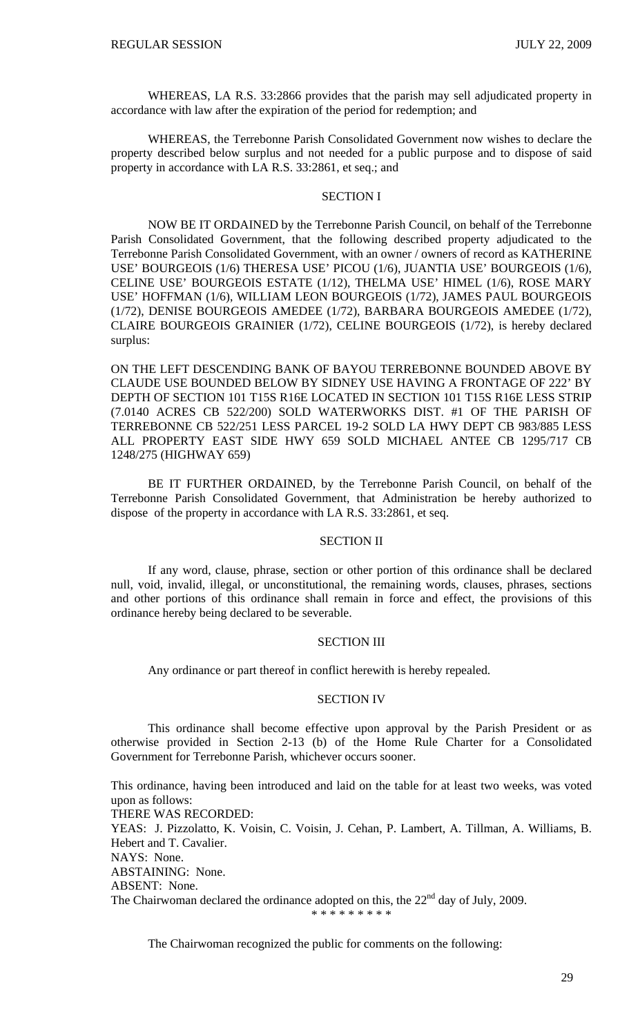WHEREAS, LA R.S. 33:2866 provides that the parish may sell adjudicated property in accordance with law after the expiration of the period for redemption; and

 WHEREAS, the Terrebonne Parish Consolidated Government now wishes to declare the property described below surplus and not needed for a public purpose and to dispose of said property in accordance with LA R.S. 33:2861, et seq.; and

## SECTION I

NOW BE IT ORDAINED by the Terrebonne Parish Council, on behalf of the Terrebonne Parish Consolidated Government, that the following described property adjudicated to the Terrebonne Parish Consolidated Government, with an owner / owners of record as KATHERINE USE' BOURGEOIS (1/6) THERESA USE' PICOU (1/6), JUANTIA USE' BOURGEOIS (1/6), CELINE USE' BOURGEOIS ESTATE (1/12), THELMA USE' HIMEL (1/6), ROSE MARY USE' HOFFMAN (1/6), WILLIAM LEON BOURGEOIS (1/72), JAMES PAUL BOURGEOIS (1/72), DENISE BOURGEOIS AMEDEE (1/72), BARBARA BOURGEOIS AMEDEE (1/72), CLAIRE BOURGEOIS GRAINIER (1/72), CELINE BOURGEOIS (1/72), is hereby declared surplus:

ON THE LEFT DESCENDING BANK OF BAYOU TERREBONNE BOUNDED ABOVE BY CLAUDE USE BOUNDED BELOW BY SIDNEY USE HAVING A FRONTAGE OF 222' BY DEPTH OF SECTION 101 T15S R16E LOCATED IN SECTION 101 T15S R16E LESS STRIP (7.0140 ACRES CB 522/200) SOLD WATERWORKS DIST. #1 OF THE PARISH OF TERREBONNE CB 522/251 LESS PARCEL 19-2 SOLD LA HWY DEPT CB 983/885 LESS ALL PROPERTY EAST SIDE HWY 659 SOLD MICHAEL ANTEE CB 1295/717 CB 1248/275 (HIGHWAY 659)

BE IT FURTHER ORDAINED, by the Terrebonne Parish Council, on behalf of the Terrebonne Parish Consolidated Government, that Administration be hereby authorized to dispose of the property in accordance with LA R.S. 33:2861, et seq.

## SECTION II

If any word, clause, phrase, section or other portion of this ordinance shall be declared null, void, invalid, illegal, or unconstitutional, the remaining words, clauses, phrases, sections and other portions of this ordinance shall remain in force and effect, the provisions of this ordinance hereby being declared to be severable.

## SECTION III

Any ordinance or part thereof in conflict herewith is hereby repealed.

## SECTION IV

This ordinance shall become effective upon approval by the Parish President or as otherwise provided in Section 2-13 (b) of the Home Rule Charter for a Consolidated Government for Terrebonne Parish, whichever occurs sooner.

This ordinance, having been introduced and laid on the table for at least two weeks, was voted upon as follows: THERE WAS RECORDED: YEAS: J. Pizzolatto, K. Voisin, C. Voisin, J. Cehan, P. Lambert, A. Tillman, A. Williams, B. Hebert and T. Cavalier. NAYS: None. ABSTAINING: None. ABSENT: None. The Chairwoman declared the ordinance adopted on this, the  $22<sup>nd</sup>$  day of July, 2009. \* \* \* \* \* \* \* \* \*

The Chairwoman recognized the public for comments on the following: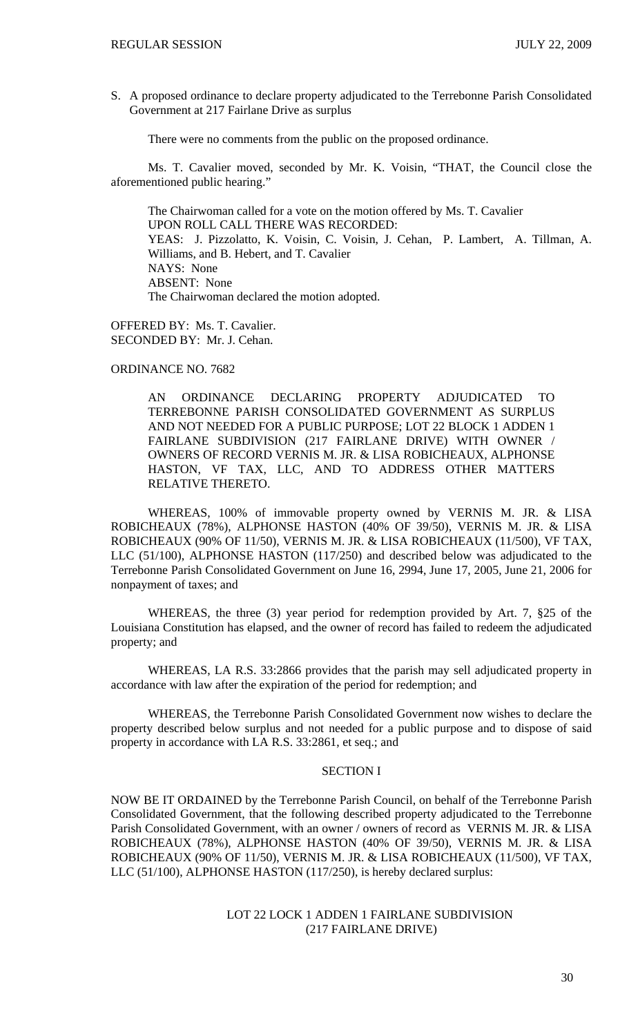S. A proposed ordinance to declare property adjudicated to the Terrebonne Parish Consolidated Government at 217 Fairlane Drive as surplus

There were no comments from the public on the proposed ordinance.

 Ms. T. Cavalier moved, seconded by Mr. K. Voisin, "THAT, the Council close the aforementioned public hearing."

 The Chairwoman called for a vote on the motion offered by Ms. T. Cavalier UPON ROLL CALL THERE WAS RECORDED: YEAS: J. Pizzolatto, K. Voisin, C. Voisin, J. Cehan, P. Lambert, A. Tillman, A. Williams, and B. Hebert, and T. Cavalier NAYS: None ABSENT: None The Chairwoman declared the motion adopted.

OFFERED BY: Ms. T. Cavalier. SECONDED BY: Mr. J. Cehan.

# ORDINANCE NO. 7682

AN ORDINANCE DECLARING PROPERTY ADJUDICATED TO TERREBONNE PARISH CONSOLIDATED GOVERNMENT AS SURPLUS AND NOT NEEDED FOR A PUBLIC PURPOSE; LOT 22 BLOCK 1 ADDEN 1 FAIRLANE SUBDIVISION (217 FAIRLANE DRIVE) WITH OWNER / OWNERS OF RECORD VERNIS M. JR. & LISA ROBICHEAUX, ALPHONSE HASTON, VF TAX, LLC, AND TO ADDRESS OTHER MATTERS RELATIVE THERETO.

 WHEREAS, 100% of immovable property owned by VERNIS M. JR. & LISA ROBICHEAUX (78%), ALPHONSE HASTON (40% OF 39/50), VERNIS M. JR. & LISA ROBICHEAUX (90% OF 11/50), VERNIS M. JR. & LISA ROBICHEAUX (11/500), VF TAX, LLC (51/100), ALPHONSE HASTON (117/250) and described below was adjudicated to the Terrebonne Parish Consolidated Government on June 16, 2994, June 17, 2005, June 21, 2006 for nonpayment of taxes; and

 WHEREAS, the three (3) year period for redemption provided by Art. 7, §25 of the Louisiana Constitution has elapsed, and the owner of record has failed to redeem the adjudicated property; and

 WHEREAS, LA R.S. 33:2866 provides that the parish may sell adjudicated property in accordance with law after the expiration of the period for redemption; and

 WHEREAS, the Terrebonne Parish Consolidated Government now wishes to declare the property described below surplus and not needed for a public purpose and to dispose of said property in accordance with LA R.S. 33:2861, et seq.; and

# SECTION I

NOW BE IT ORDAINED by the Terrebonne Parish Council, on behalf of the Terrebonne Parish Consolidated Government, that the following described property adjudicated to the Terrebonne Parish Consolidated Government, with an owner / owners of record as VERNIS M. JR. & LISA ROBICHEAUX (78%), ALPHONSE HASTON (40% OF 39/50), VERNIS M. JR. & LISA ROBICHEAUX (90% OF 11/50), VERNIS M. JR. & LISA ROBICHEAUX (11/500), VF TAX, LLC (51/100), ALPHONSE HASTON (117/250), is hereby declared surplus:

> LOT 22 LOCK 1 ADDEN 1 FAIRLANE SUBDIVISION (217 FAIRLANE DRIVE)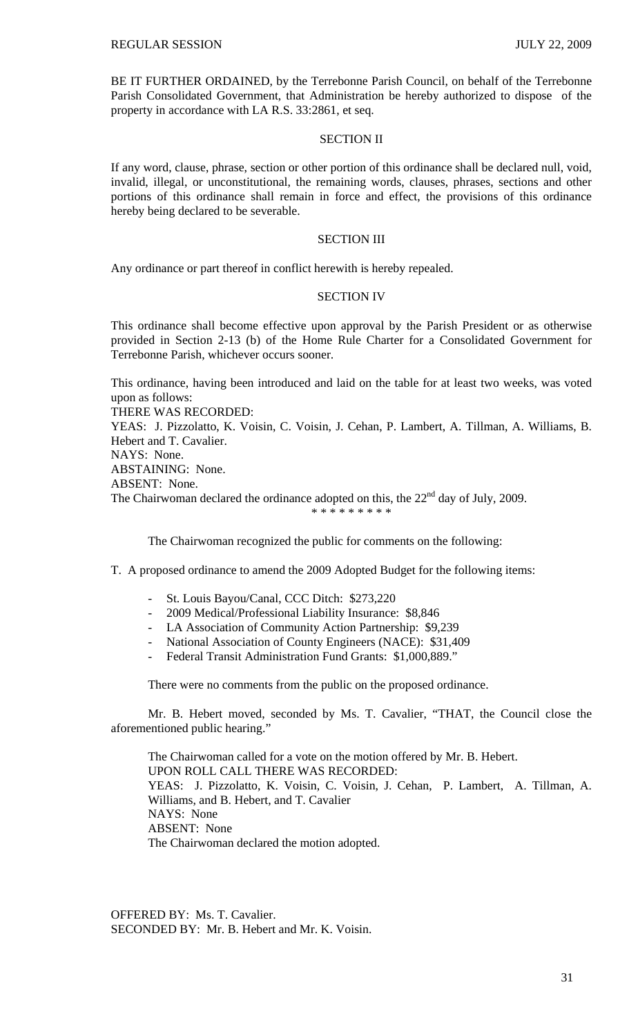BE IT FURTHER ORDAINED, by the Terrebonne Parish Council, on behalf of the Terrebonne Parish Consolidated Government, that Administration be hereby authorized to dispose of the property in accordance with LA R.S. 33:2861, et seq.

### SECTION II

If any word, clause, phrase, section or other portion of this ordinance shall be declared null, void, invalid, illegal, or unconstitutional, the remaining words, clauses, phrases, sections and other portions of this ordinance shall remain in force and effect, the provisions of this ordinance hereby being declared to be severable.

### SECTION III

Any ordinance or part thereof in conflict herewith is hereby repealed.

## SECTION IV

This ordinance shall become effective upon approval by the Parish President or as otherwise provided in Section 2-13 (b) of the Home Rule Charter for a Consolidated Government for Terrebonne Parish, whichever occurs sooner.

This ordinance, having been introduced and laid on the table for at least two weeks, was voted upon as follows:

THERE WAS RECORDED:

YEAS: J. Pizzolatto, K. Voisin, C. Voisin, J. Cehan, P. Lambert, A. Tillman, A. Williams, B. Hebert and T. Cavalier. NAYS: None.

ABSTAINING: None.

ABSENT: None.

The Chairwoman declared the ordinance adopted on this, the  $22<sup>nd</sup>$  day of July, 2009.

\* \* \* \* \* \* \* \* \*

The Chairwoman recognized the public for comments on the following:

T. A proposed ordinance to amend the 2009 Adopted Budget for the following items:

- St. Louis Bayou/Canal, CCC Ditch: \$273,220
- 2009 Medical/Professional Liability Insurance: \$8,846
- LA Association of Community Action Partnership: \$9,239
- National Association of County Engineers (NACE): \$31,409
- Federal Transit Administration Fund Grants: \$1,000,889."

There were no comments from the public on the proposed ordinance.

 Mr. B. Hebert moved, seconded by Ms. T. Cavalier, "THAT, the Council close the aforementioned public hearing."

 The Chairwoman called for a vote on the motion offered by Mr. B. Hebert. UPON ROLL CALL THERE WAS RECORDED: YEAS: J. Pizzolatto, K. Voisin, C. Voisin, J. Cehan, P. Lambert, A. Tillman, A. Williams, and B. Hebert, and T. Cavalier NAYS: None ABSENT: None The Chairwoman declared the motion adopted.

OFFERED BY: Ms. T. Cavalier. SECONDED BY: Mr. B. Hebert and Mr. K. Voisin.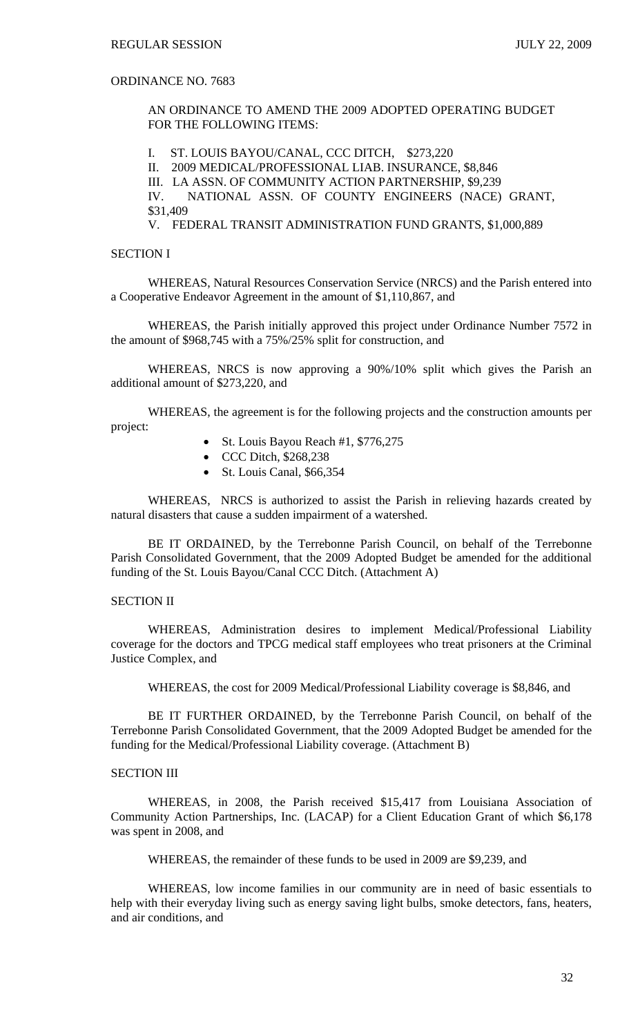# ORDINANCE NO. 7683

AN ORDINANCE TO AMEND THE 2009 ADOPTED OPERATING BUDGET FOR THE FOLLOWING ITEMS:

I. ST. LOUIS BAYOU/CANAL, CCC DITCH, \$273,220

II. 2009 MEDICAL/PROFESSIONAL LIAB. INSURANCE, \$8,846

III. LA ASSN. OF COMMUNITY ACTION PARTNERSHIP, \$9,239

IV. NATIONAL ASSN. OF COUNTY ENGINEERS (NACE) GRANT, \$31,409

V. FEDERAL TRANSIT ADMINISTRATION FUND GRANTS, \$1,000,889

# SECTION I

WHEREAS, Natural Resources Conservation Service (NRCS) and the Parish entered into a Cooperative Endeavor Agreement in the amount of \$1,110,867, and

WHEREAS, the Parish initially approved this project under Ordinance Number 7572 in the amount of \$968,745 with a 75%/25% split for construction, and

WHEREAS, NRCS is now approving a 90%/10% split which gives the Parish an additional amount of \$273,220, and

WHEREAS, the agreement is for the following projects and the construction amounts per project:

- St. Louis Bayou Reach #1, \$776,275
- CCC Ditch, \$268,238
- St. Louis Canal, \$66,354

WHEREAS, NRCS is authorized to assist the Parish in relieving hazards created by natural disasters that cause a sudden impairment of a watershed.

BE IT ORDAINED, by the Terrebonne Parish Council, on behalf of the Terrebonne Parish Consolidated Government, that the 2009 Adopted Budget be amended for the additional funding of the St. Louis Bayou/Canal CCC Ditch. (Attachment A)

## SECTION II

WHEREAS, Administration desires to implement Medical/Professional Liability coverage for the doctors and TPCG medical staff employees who treat prisoners at the Criminal Justice Complex, and

WHEREAS, the cost for 2009 Medical/Professional Liability coverage is \$8,846, and

 BE IT FURTHER ORDAINED, by the Terrebonne Parish Council, on behalf of the Terrebonne Parish Consolidated Government, that the 2009 Adopted Budget be amended for the funding for the Medical/Professional Liability coverage. (Attachment B)

# SECTION III

WHEREAS, in 2008, the Parish received \$15,417 from Louisiana Association of Community Action Partnerships, Inc. (LACAP) for a Client Education Grant of which \$6,178 was spent in 2008, and

WHEREAS, the remainder of these funds to be used in 2009 are \$9,239, and

WHEREAS, low income families in our community are in need of basic essentials to help with their everyday living such as energy saving light bulbs, smoke detectors, fans, heaters, and air conditions, and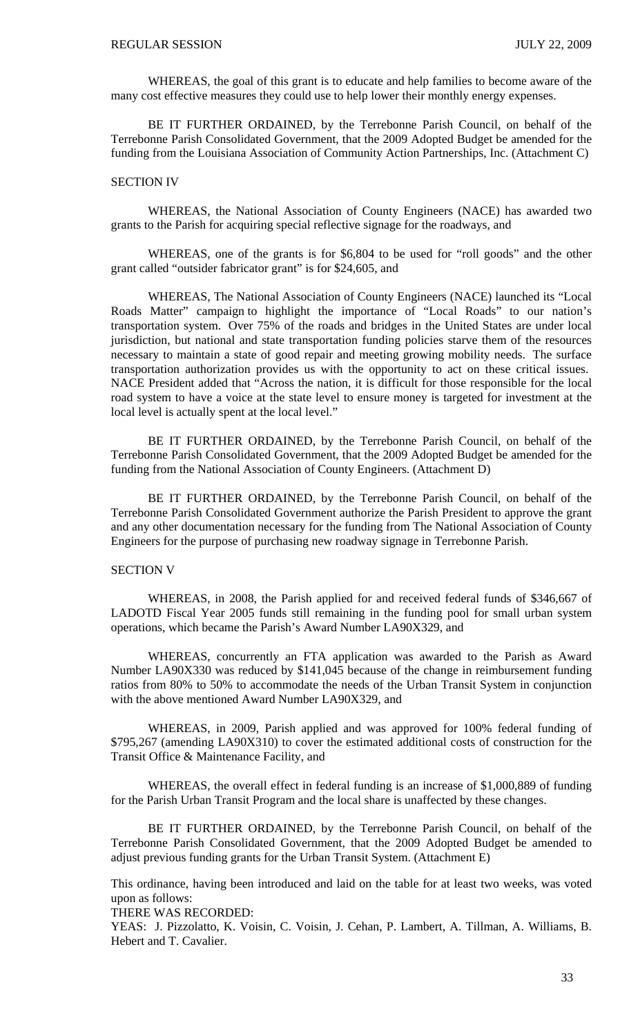WHEREAS, the goal of this grant is to educate and help families to become aware of the many cost effective measures they could use to help lower their monthly energy expenses.

BE IT FURTHER ORDAINED, by the Terrebonne Parish Council, on behalf of the Terrebonne Parish Consolidated Government, that the 2009 Adopted Budget be amended for the funding from the Louisiana Association of Community Action Partnerships, Inc. (Attachment C)

## SECTION IV

WHEREAS, the National Association of County Engineers (NACE) has awarded two grants to the Parish for acquiring special reflective signage for the roadways, and

 WHEREAS, one of the grants is for \$6,804 to be used for "roll goods" and the other grant called "outsider fabricator grant" is for \$24,605, and

WHEREAS, The National Association of County Engineers (NACE) launched its "Local Roads Matter" campaign to highlight the importance of "Local Roads" to our nation's transportation system. Over 75% of the roads and bridges in the United States are under local jurisdiction, but national and state transportation funding policies starve them of the resources necessary to maintain a state of good repair and meeting growing mobility needs. The surface transportation authorization provides us with the opportunity to act on these critical issues. NACE President added that "Across the nation, it is difficult for those responsible for the local road system to have a voice at the state level to ensure money is targeted for investment at the local level is actually spent at the local level."

BE IT FURTHER ORDAINED, by the Terrebonne Parish Council, on behalf of the Terrebonne Parish Consolidated Government, that the 2009 Adopted Budget be amended for the funding from the National Association of County Engineers. (Attachment D)

BE IT FURTHER ORDAINED, by the Terrebonne Parish Council, on behalf of the Terrebonne Parish Consolidated Government authorize the Parish President to approve the grant and any other documentation necessary for the funding from The National Association of County Engineers for the purpose of purchasing new roadway signage in Terrebonne Parish.

# SECTION V

WHEREAS, in 2008, the Parish applied for and received federal funds of \$346,667 of LADOTD Fiscal Year 2005 funds still remaining in the funding pool for small urban system operations, which became the Parish's Award Number LA90X329, and

 WHEREAS, concurrently an FTA application was awarded to the Parish as Award Number LA90X330 was reduced by \$141,045 because of the change in reimbursement funding ratios from 80% to 50% to accommodate the needs of the Urban Transit System in conjunction with the above mentioned Award Number LA90X329, and

WHEREAS, in 2009, Parish applied and was approved for 100% federal funding of \$795,267 (amending LA90X310) to cover the estimated additional costs of construction for the Transit Office & Maintenance Facility, and

WHEREAS, the overall effect in federal funding is an increase of \$1,000,889 of funding for the Parish Urban Transit Program and the local share is unaffected by these changes.

BE IT FURTHER ORDAINED, by the Terrebonne Parish Council, on behalf of the Terrebonne Parish Consolidated Government, that the 2009 Adopted Budget be amended to adjust previous funding grants for the Urban Transit System. (Attachment E)

This ordinance, having been introduced and laid on the table for at least two weeks, was voted upon as follows:

THERE WAS RECORDED:

YEAS: J. Pizzolatto, K. Voisin, C. Voisin, J. Cehan, P. Lambert, A. Tillman, A. Williams, B. Hebert and T. Cavalier.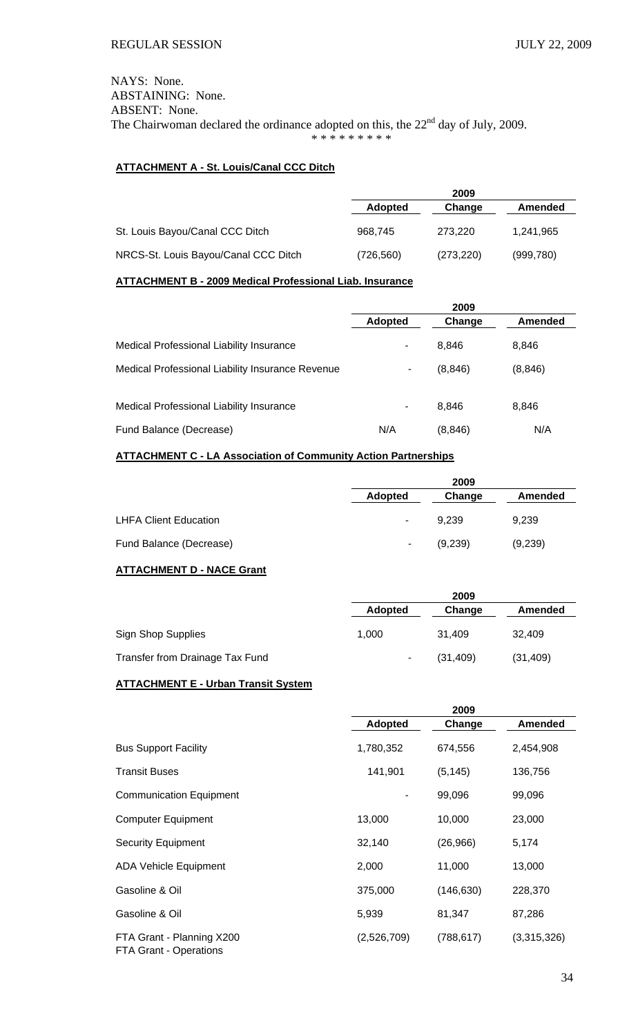NAYS: None. ABSTAINING: None. ABSENT: None. The Chairwoman declared the ordinance adopted on this, the  $22<sup>nd</sup>$  day of July, 2009. \* \* \* \* \* \* \* \* \*

# **ATTACHMENT A - St. Louis/Canal CCC Ditch**

|                                      |                | 2009       |            |
|--------------------------------------|----------------|------------|------------|
|                                      | <b>Adopted</b> | Change     | Amended    |
| St. Louis Bayou/Canal CCC Ditch      | 968,745        | 273.220    | 1.241.965  |
| NRCS-St. Louis Bayou/Canal CCC Ditch | (726, 560)     | (273, 220) | (999, 780) |

# **ATTACHMENT B - 2009 Medical Professional Liab. Insurance**

|                                                  |                | 2009     |                |
|--------------------------------------------------|----------------|----------|----------------|
|                                                  | <b>Adopted</b> | Change   | <b>Amended</b> |
| Medical Professional Liability Insurance         |                | 8,846    | 8,846          |
| Medical Professional Liability Insurance Revenue | ۰              | (8, 846) | (8, 846)       |
| Medical Professional Liability Insurance         | ٠              | 8,846    | 8,846          |
| Fund Balance (Decrease)                          | N/A            | (8, 846) | N/A            |

# **ATTACHMENT C - LA Association of Community Action Partnerships**

|                              | 2009           |         |         |
|------------------------------|----------------|---------|---------|
|                              | <b>Adopted</b> | Change  | Amended |
| <b>LHFA Client Education</b> | $\blacksquare$ | 9.239   | 9,239   |
| Fund Balance (Decrease)      | ٠              | (9,239) | (9,239) |

## **ATTACHMENT D - NACE Grant**

|                                 |                | 2009      |           |
|---------------------------------|----------------|-----------|-----------|
|                                 | <b>Adopted</b> | Change    | Amended   |
| <b>Sign Shop Supplies</b>       | 1,000          | 31.409    | 32,409    |
| Transfer from Drainage Tax Fund | $\blacksquare$ | (31, 409) | (31, 409) |

# **ATTACHMENT E - Urban Transit System**

|                                                     | 2009        |            |                |
|-----------------------------------------------------|-------------|------------|----------------|
|                                                     | Adopted     | Change     | <b>Amended</b> |
| <b>Bus Support Facility</b>                         | 1,780,352   | 674,556    | 2,454,908      |
| <b>Transit Buses</b>                                | 141,901     | (5, 145)   | 136,756        |
| <b>Communication Equipment</b>                      |             | 99,096     | 99,096         |
| <b>Computer Equipment</b>                           | 13,000      | 10,000     | 23,000         |
| <b>Security Equipment</b>                           | 32,140      | (26,966)   | 5,174          |
| <b>ADA Vehicle Equipment</b>                        | 2,000       | 11,000     | 13,000         |
| Gasoline & Oil                                      | 375,000     | (146, 630) | 228,370        |
| Gasoline & Oil                                      | 5,939       | 81,347     | 87,286         |
| FTA Grant - Planning X200<br>FTA Grant - Operations | (2,526,709) | (788, 617) | (3,315,326)    |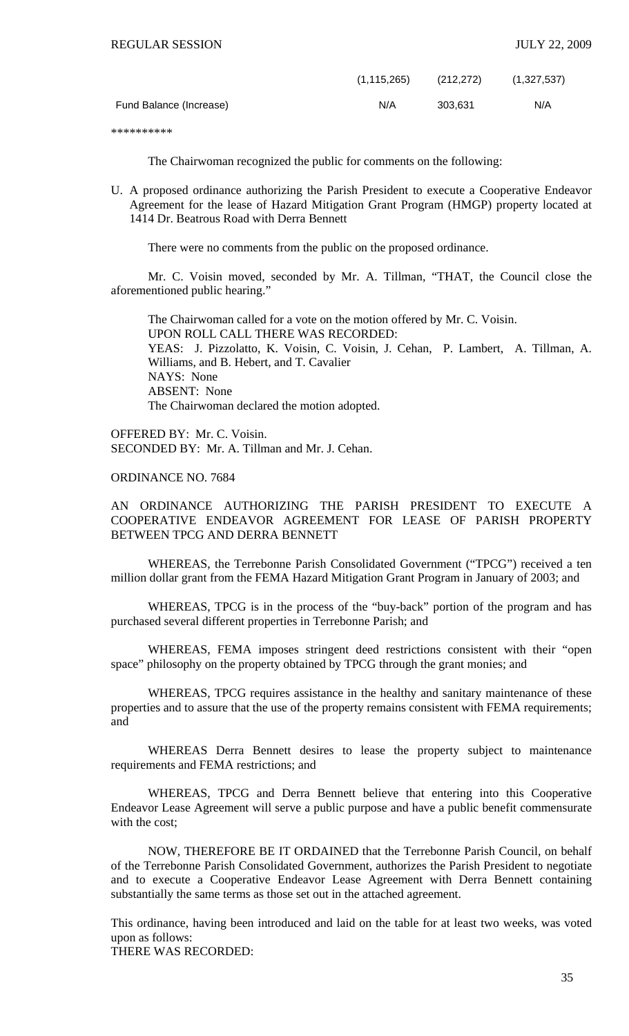|                         | (1, 115, 265) | (212, 272) | (1,327,537) |
|-------------------------|---------------|------------|-------------|
| Fund Balance (Increase) | N/A           | 303.631    | N/A         |

\*\*\*\*\*\*\*\*\*\*

The Chairwoman recognized the public for comments on the following:

U. A proposed ordinance authorizing the Parish President to execute a Cooperative Endeavor Agreement for the lease of Hazard Mitigation Grant Program (HMGP) property located at 1414 Dr. Beatrous Road with Derra Bennett

There were no comments from the public on the proposed ordinance.

 Mr. C. Voisin moved, seconded by Mr. A. Tillman, "THAT, the Council close the aforementioned public hearing."

 The Chairwoman called for a vote on the motion offered by Mr. C. Voisin. UPON ROLL CALL THERE WAS RECORDED: YEAS: J. Pizzolatto, K. Voisin, C. Voisin, J. Cehan, P. Lambert, A. Tillman, A. Williams, and B. Hebert, and T. Cavalier NAYS: None ABSENT: None The Chairwoman declared the motion adopted.

OFFERED BY: Mr. C. Voisin. SECONDED BY: Mr. A. Tillman and Mr. J. Cehan.

ORDINANCE NO. 7684

AN ORDINANCE AUTHORIZING THE PARISH PRESIDENT TO EXECUTE A COOPERATIVE ENDEAVOR AGREEMENT FOR LEASE OF PARISH PROPERTY BETWEEN TPCG AND DERRA BENNETT

WHEREAS, the Terrebonne Parish Consolidated Government ("TPCG") received a ten million dollar grant from the FEMA Hazard Mitigation Grant Program in January of 2003; and

 WHEREAS, TPCG is in the process of the "buy-back" portion of the program and has purchased several different properties in Terrebonne Parish; and

 WHEREAS, FEMA imposes stringent deed restrictions consistent with their "open space" philosophy on the property obtained by TPCG through the grant monies; and

 WHEREAS, TPCG requires assistance in the healthy and sanitary maintenance of these properties and to assure that the use of the property remains consistent with FEMA requirements; and

 WHEREAS Derra Bennett desires to lease the property subject to maintenance requirements and FEMA restrictions; and

 WHEREAS, TPCG and Derra Bennett believe that entering into this Cooperative Endeavor Lease Agreement will serve a public purpose and have a public benefit commensurate with the cost;

 NOW, THEREFORE BE IT ORDAINED that the Terrebonne Parish Council, on behalf of the Terrebonne Parish Consolidated Government, authorizes the Parish President to negotiate and to execute a Cooperative Endeavor Lease Agreement with Derra Bennett containing substantially the same terms as those set out in the attached agreement.

This ordinance, having been introduced and laid on the table for at least two weeks, was voted upon as follows:

THERE WAS RECORDED: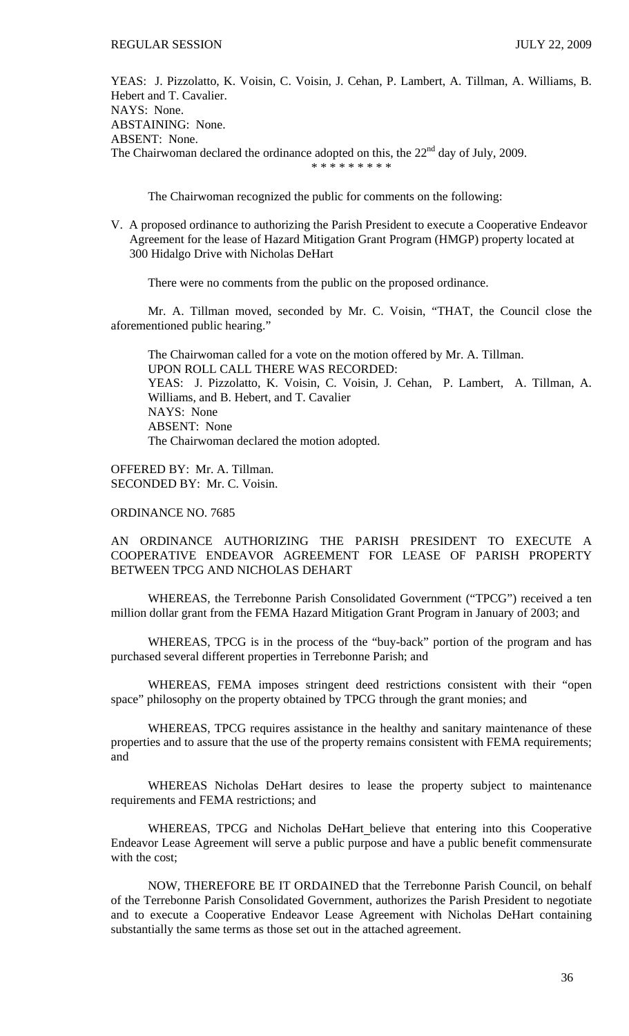YEAS: J. Pizzolatto, K. Voisin, C. Voisin, J. Cehan, P. Lambert, A. Tillman, A. Williams, B. Hebert and T. Cavalier. NAYS: None. ABSTAINING: None. ABSENT: None. The Chairwoman declared the ordinance adopted on this, the  $22<sup>nd</sup>$  day of July, 2009. \* \* \* \* \* \* \* \* \*

The Chairwoman recognized the public for comments on the following:

V. A proposed ordinance to authorizing the Parish President to execute a Cooperative Endeavor Agreement for the lease of Hazard Mitigation Grant Program (HMGP) property located at 300 Hidalgo Drive with Nicholas DeHart

There were no comments from the public on the proposed ordinance.

 Mr. A. Tillman moved, seconded by Mr. C. Voisin, "THAT, the Council close the aforementioned public hearing."

 The Chairwoman called for a vote on the motion offered by Mr. A. Tillman. UPON ROLL CALL THERE WAS RECORDED: YEAS: J. Pizzolatto, K. Voisin, C. Voisin, J. Cehan, P. Lambert, A. Tillman, A. Williams, and B. Hebert, and T. Cavalier NAYS: None ABSENT: None The Chairwoman declared the motion adopted.

OFFERED BY: Mr. A. Tillman. SECONDED BY: Mr. C. Voisin.

ORDINANCE NO. 7685

AN ORDINANCE AUTHORIZING THE PARISH PRESIDENT TO EXECUTE A COOPERATIVE ENDEAVOR AGREEMENT FOR LEASE OF PARISH PROPERTY BETWEEN TPCG AND NICHOLAS DEHART

WHEREAS, the Terrebonne Parish Consolidated Government ("TPCG") received a ten million dollar grant from the FEMA Hazard Mitigation Grant Program in January of 2003; and

 WHEREAS, TPCG is in the process of the "buy-back" portion of the program and has purchased several different properties in Terrebonne Parish; and

 WHEREAS, FEMA imposes stringent deed restrictions consistent with their "open space" philosophy on the property obtained by TPCG through the grant monies; and

 WHEREAS, TPCG requires assistance in the healthy and sanitary maintenance of these properties and to assure that the use of the property remains consistent with FEMA requirements; and

 WHEREAS Nicholas DeHart desires to lease the property subject to maintenance requirements and FEMA restrictions; and

 WHEREAS, TPCG and Nicholas DeHart believe that entering into this Cooperative Endeavor Lease Agreement will serve a public purpose and have a public benefit commensurate with the cost;

 NOW, THEREFORE BE IT ORDAINED that the Terrebonne Parish Council, on behalf of the Terrebonne Parish Consolidated Government, authorizes the Parish President to negotiate and to execute a Cooperative Endeavor Lease Agreement with Nicholas DeHart containing substantially the same terms as those set out in the attached agreement.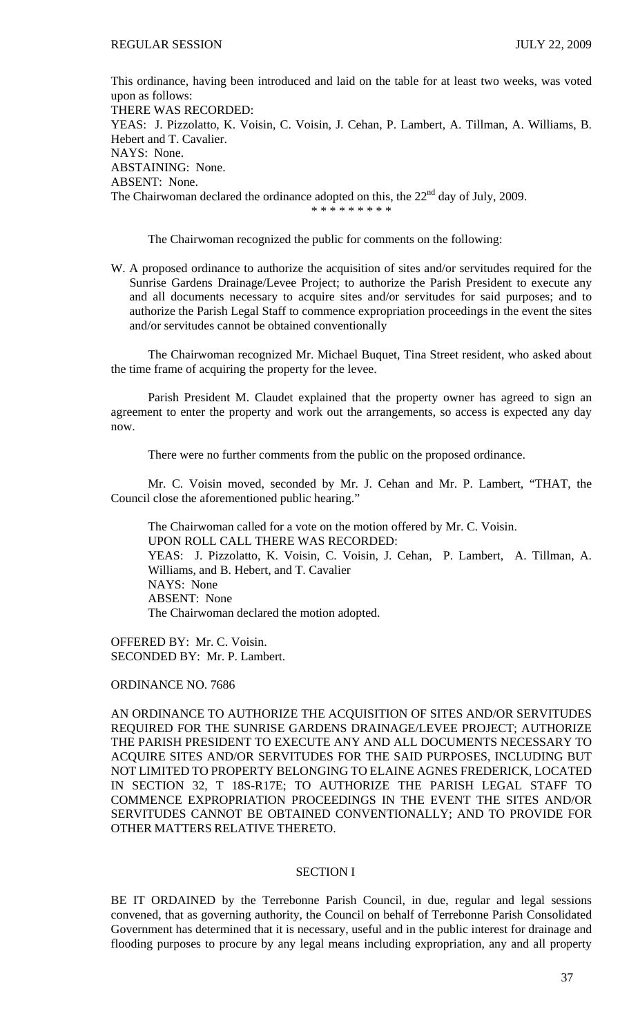This ordinance, having been introduced and laid on the table for at least two weeks, was voted upon as follows: THERE WAS RECORDED: YEAS: J. Pizzolatto, K. Voisin, C. Voisin, J. Cehan, P. Lambert, A. Tillman, A. Williams, B. Hebert and T. Cavalier. NAYS: None. ABSTAINING: None. ABSENT: None. The Chairwoman declared the ordinance adopted on this, the 22<sup>nd</sup> day of July, 2009. \* \* \* \* \* \* \* \* \*

The Chairwoman recognized the public for comments on the following:

W. A proposed ordinance to authorize the acquisition of sites and/or servitudes required for the Sunrise Gardens Drainage/Levee Project; to authorize the Parish President to execute any and all documents necessary to acquire sites and/or servitudes for said purposes; and to authorize the Parish Legal Staff to commence expropriation proceedings in the event the sites and/or servitudes cannot be obtained conventionally

 The Chairwoman recognized Mr. Michael Buquet, Tina Street resident, who asked about the time frame of acquiring the property for the levee.

 Parish President M. Claudet explained that the property owner has agreed to sign an agreement to enter the property and work out the arrangements, so access is expected any day now.

There were no further comments from the public on the proposed ordinance.

 Mr. C. Voisin moved, seconded by Mr. J. Cehan and Mr. P. Lambert, "THAT, the Council close the aforementioned public hearing."

 The Chairwoman called for a vote on the motion offered by Mr. C. Voisin. UPON ROLL CALL THERE WAS RECORDED: YEAS: J. Pizzolatto, K. Voisin, C. Voisin, J. Cehan, P. Lambert, A. Tillman, A. Williams, and B. Hebert, and T. Cavalier NAYS: None ABSENT: None The Chairwoman declared the motion adopted.

OFFERED BY: Mr. C. Voisin. SECONDED BY: Mr. P. Lambert.

ORDINANCE NO. 7686

AN ORDINANCE TO AUTHORIZE THE ACQUISITION OF SITES AND/OR SERVITUDES REQUIRED FOR THE SUNRISE GARDENS DRAINAGE/LEVEE PROJECT; AUTHORIZE THE PARISH PRESIDENT TO EXECUTE ANY AND ALL DOCUMENTS NECESSARY TO ACQUIRE SITES AND/OR SERVITUDES FOR THE SAID PURPOSES, INCLUDING BUT NOT LIMITED TO PROPERTY BELONGING TO ELAINE AGNES FREDERICK, LOCATED IN SECTION 32, T 18S-R17E; TO AUTHORIZE THE PARISH LEGAL STAFF TO COMMENCE EXPROPRIATION PROCEEDINGS IN THE EVENT THE SITES AND/OR SERVITUDES CANNOT BE OBTAINED CONVENTIONALLY; AND TO PROVIDE FOR OTHER MATTERS RELATIVE THERETO.

### SECTION I

BE IT ORDAINED by the Terrebonne Parish Council, in due, regular and legal sessions convened, that as governing authority, the Council on behalf of Terrebonne Parish Consolidated Government has determined that it is necessary, useful and in the public interest for drainage and flooding purposes to procure by any legal means including expropriation, any and all property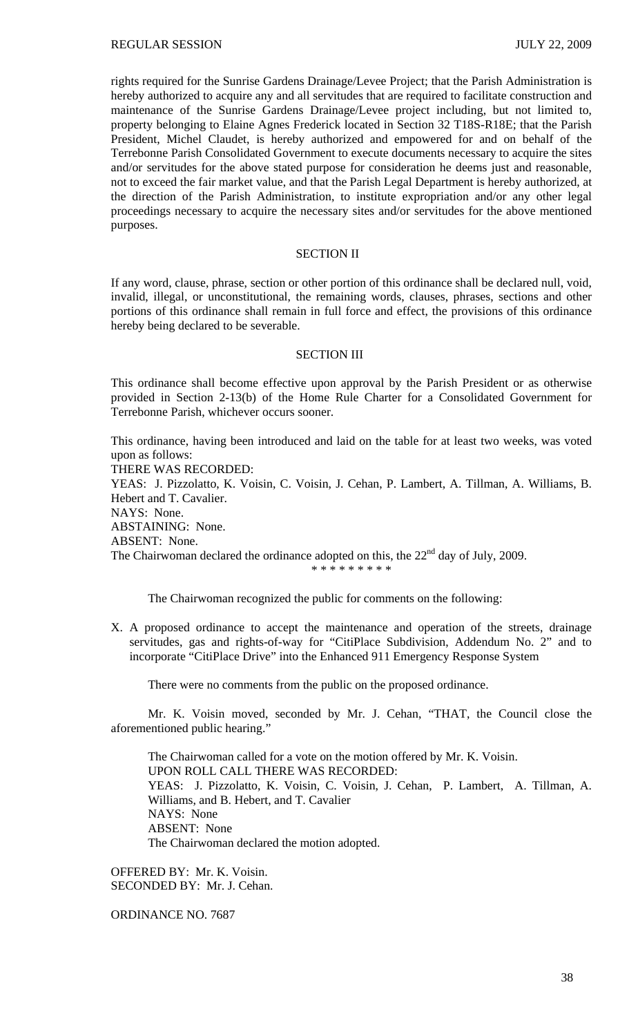rights required for the Sunrise Gardens Drainage/Levee Project; that the Parish Administration is hereby authorized to acquire any and all servitudes that are required to facilitate construction and maintenance of the Sunrise Gardens Drainage/Levee project including, but not limited to, property belonging to Elaine Agnes Frederick located in Section 32 T18S-R18E; that the Parish President, Michel Claudet, is hereby authorized and empowered for and on behalf of the Terrebonne Parish Consolidated Government to execute documents necessary to acquire the sites and/or servitudes for the above stated purpose for consideration he deems just and reasonable, not to exceed the fair market value, and that the Parish Legal Department is hereby authorized, at the direction of the Parish Administration, to institute expropriation and/or any other legal proceedings necessary to acquire the necessary sites and/or servitudes for the above mentioned purposes.

## SECTION II

If any word, clause, phrase, section or other portion of this ordinance shall be declared null, void, invalid, illegal, or unconstitutional, the remaining words, clauses, phrases, sections and other portions of this ordinance shall remain in full force and effect, the provisions of this ordinance hereby being declared to be severable.

### SECTION III

This ordinance shall become effective upon approval by the Parish President or as otherwise provided in Section 2-13(b) of the Home Rule Charter for a Consolidated Government for Terrebonne Parish, whichever occurs sooner.

This ordinance, having been introduced and laid on the table for at least two weeks, was voted upon as follows: THERE WAS RECORDED: YEAS: J. Pizzolatto, K. Voisin, C. Voisin, J. Cehan, P. Lambert, A. Tillman, A. Williams, B. Hebert and T. Cavalier. NAYS: None. ABSTAINING: None. ABSENT: None. The Chairwoman declared the ordinance adopted on this, the 22<sup>nd</sup> day of July, 2009. \* \* \* \* \* \* \* \* \*

The Chairwoman recognized the public for comments on the following:

X. A proposed ordinance to accept the maintenance and operation of the streets, drainage servitudes, gas and rights-of-way for "CitiPlace Subdivision, Addendum No. 2" and to incorporate "CitiPlace Drive" into the Enhanced 911 Emergency Response System

There were no comments from the public on the proposed ordinance.

 Mr. K. Voisin moved, seconded by Mr. J. Cehan, "THAT, the Council close the aforementioned public hearing."

 The Chairwoman called for a vote on the motion offered by Mr. K. Voisin. UPON ROLL CALL THERE WAS RECORDED: YEAS: J. Pizzolatto, K. Voisin, C. Voisin, J. Cehan, P. Lambert, A. Tillman, A. Williams, and B. Hebert, and T. Cavalier NAYS: None ABSENT: None The Chairwoman declared the motion adopted.

OFFERED BY: Mr. K. Voisin. SECONDED BY: Mr. J. Cehan.

ORDINANCE NO. 7687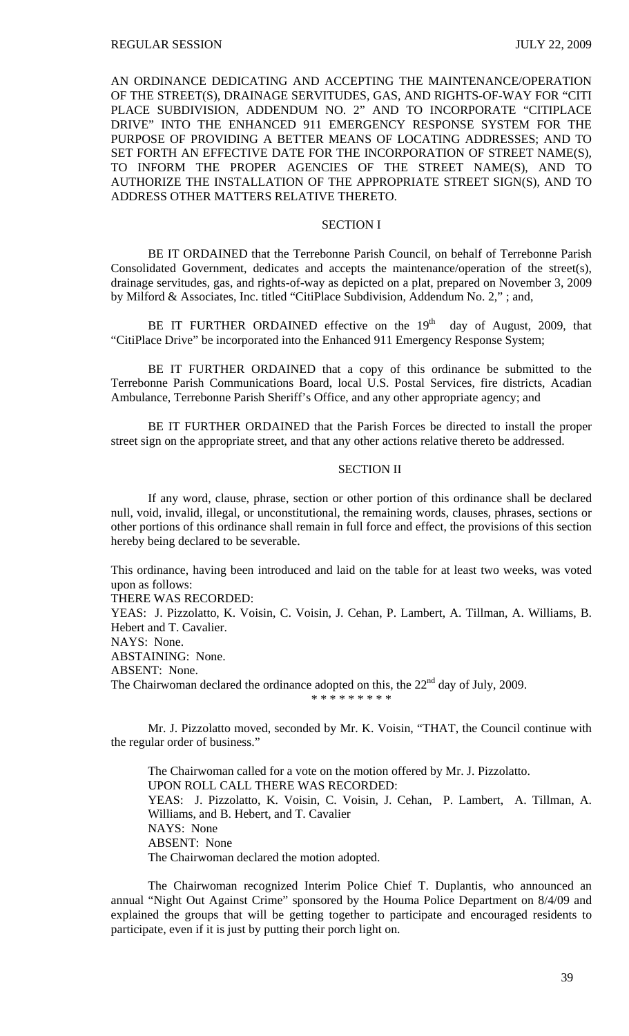AN ORDINANCE DEDICATING AND ACCEPTING THE MAINTENANCE/OPERATION OF THE STREET(S), DRAINAGE SERVITUDES, GAS, AND RIGHTS-OF-WAY FOR "CITI PLACE SUBDIVISION, ADDENDUM NO. 2" AND TO INCORPORATE "CITIPLACE DRIVE" INTO THE ENHANCED 911 EMERGENCY RESPONSE SYSTEM FOR THE PURPOSE OF PROVIDING A BETTER MEANS OF LOCATING ADDRESSES; AND TO SET FORTH AN EFFECTIVE DATE FOR THE INCORPORATION OF STREET NAME(S), TO INFORM THE PROPER AGENCIES OF THE STREET NAME(S), AND TO AUTHORIZE THE INSTALLATION OF THE APPROPRIATE STREET SIGN(S), AND TO ADDRESS OTHER MATTERS RELATIVE THERETO.

### SECTION I

BE IT ORDAINED that the Terrebonne Parish Council, on behalf of Terrebonne Parish Consolidated Government, dedicates and accepts the maintenance/operation of the street(s), drainage servitudes, gas, and rights-of-way as depicted on a plat, prepared on November 3, 2009 by Milford & Associates, Inc. titled "CitiPlace Subdivision, Addendum No. 2," ; and,

BE IT FURTHER ORDAINED effective on the  $19<sup>th</sup>$  day of August, 2009, that "CitiPlace Drive" be incorporated into the Enhanced 911 Emergency Response System;

BE IT FURTHER ORDAINED that a copy of this ordinance be submitted to the Terrebonne Parish Communications Board, local U.S. Postal Services, fire districts, Acadian Ambulance, Terrebonne Parish Sheriff's Office, and any other appropriate agency; and

BE IT FURTHER ORDAINED that the Parish Forces be directed to install the proper street sign on the appropriate street, and that any other actions relative thereto be addressed.

### SECTION II

If any word, clause, phrase, section or other portion of this ordinance shall be declared null, void, invalid, illegal, or unconstitutional, the remaining words, clauses, phrases, sections or other portions of this ordinance shall remain in full force and effect, the provisions of this section hereby being declared to be severable.

This ordinance, having been introduced and laid on the table for at least two weeks, was voted upon as follows:

THERE WAS RECORDED:

YEAS: J. Pizzolatto, K. Voisin, C. Voisin, J. Cehan, P. Lambert, A. Tillman, A. Williams, B. Hebert and T. Cavalier.

NAYS: None.

ABSTAINING: None.

ABSENT: None.

The Chairwoman declared the ordinance adopted on this, the  $22<sup>nd</sup>$  day of July, 2009. \* \* \* \* \* \* \* \* \*

Mr. J. Pizzolatto moved, seconded by Mr. K. Voisin, "THAT, the Council continue with the regular order of business."

 The Chairwoman called for a vote on the motion offered by Mr. J. Pizzolatto. UPON ROLL CALL THERE WAS RECORDED: YEAS: J. Pizzolatto, K. Voisin, C. Voisin, J. Cehan, P. Lambert, A. Tillman, A. Williams, and B. Hebert, and T. Cavalier NAYS: None ABSENT: None The Chairwoman declared the motion adopted.

 The Chairwoman recognized Interim Police Chief T. Duplantis, who announced an annual "Night Out Against Crime" sponsored by the Houma Police Department on 8/4/09 and explained the groups that will be getting together to participate and encouraged residents to participate, even if it is just by putting their porch light on.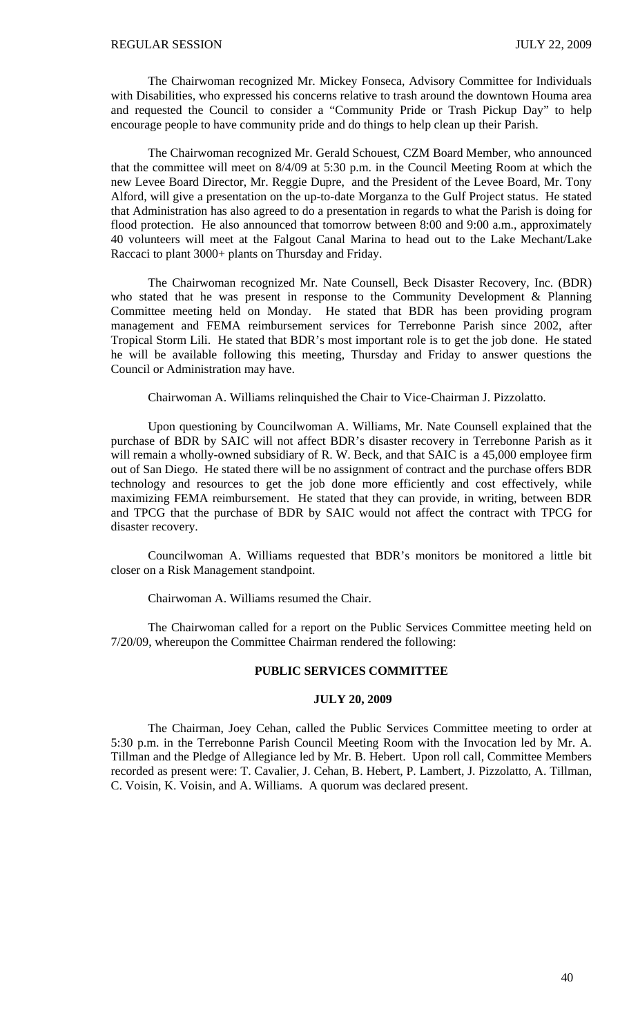The Chairwoman recognized Mr. Mickey Fonseca, Advisory Committee for Individuals with Disabilities, who expressed his concerns relative to trash around the downtown Houma area and requested the Council to consider a "Community Pride or Trash Pickup Day" to help encourage people to have community pride and do things to help clean up their Parish.

 The Chairwoman recognized Mr. Gerald Schouest, CZM Board Member, who announced that the committee will meet on 8/4/09 at 5:30 p.m. in the Council Meeting Room at which the new Levee Board Director, Mr. Reggie Dupre, and the President of the Levee Board, Mr. Tony Alford, will give a presentation on the up-to-date Morganza to the Gulf Project status. He stated that Administration has also agreed to do a presentation in regards to what the Parish is doing for flood protection. He also announced that tomorrow between 8:00 and 9:00 a.m., approximately 40 volunteers will meet at the Falgout Canal Marina to head out to the Lake Mechant/Lake Raccaci to plant 3000+ plants on Thursday and Friday.

 The Chairwoman recognized Mr. Nate Counsell, Beck Disaster Recovery, Inc. (BDR) who stated that he was present in response to the Community Development & Planning Committee meeting held on Monday. He stated that BDR has been providing program management and FEMA reimbursement services for Terrebonne Parish since 2002, after Tropical Storm Lili. He stated that BDR's most important role is to get the job done. He stated he will be available following this meeting, Thursday and Friday to answer questions the Council or Administration may have.

Chairwoman A. Williams relinquished the Chair to Vice-Chairman J. Pizzolatto.

 Upon questioning by Councilwoman A. Williams, Mr. Nate Counsell explained that the purchase of BDR by SAIC will not affect BDR's disaster recovery in Terrebonne Parish as it will remain a wholly-owned subsidiary of R. W. Beck, and that SAIC is a 45,000 employee firm out of San Diego. He stated there will be no assignment of contract and the purchase offers BDR technology and resources to get the job done more efficiently and cost effectively, while maximizing FEMA reimbursement. He stated that they can provide, in writing, between BDR and TPCG that the purchase of BDR by SAIC would not affect the contract with TPCG for disaster recovery.

 Councilwoman A. Williams requested that BDR's monitors be monitored a little bit closer on a Risk Management standpoint.

Chairwoman A. Williams resumed the Chair.

 The Chairwoman called for a report on the Public Services Committee meeting held on 7/20/09, whereupon the Committee Chairman rendered the following:

# **PUBLIC SERVICES COMMITTEE**

### **JULY 20, 2009**

 The Chairman, Joey Cehan, called the Public Services Committee meeting to order at 5:30 p.m. in the Terrebonne Parish Council Meeting Room with the Invocation led by Mr. A. Tillman and the Pledge of Allegiance led by Mr. B. Hebert. Upon roll call, Committee Members recorded as present were: T. Cavalier, J. Cehan, B. Hebert, P. Lambert, J. Pizzolatto, A. Tillman, C. Voisin, K. Voisin, and A. Williams. A quorum was declared present.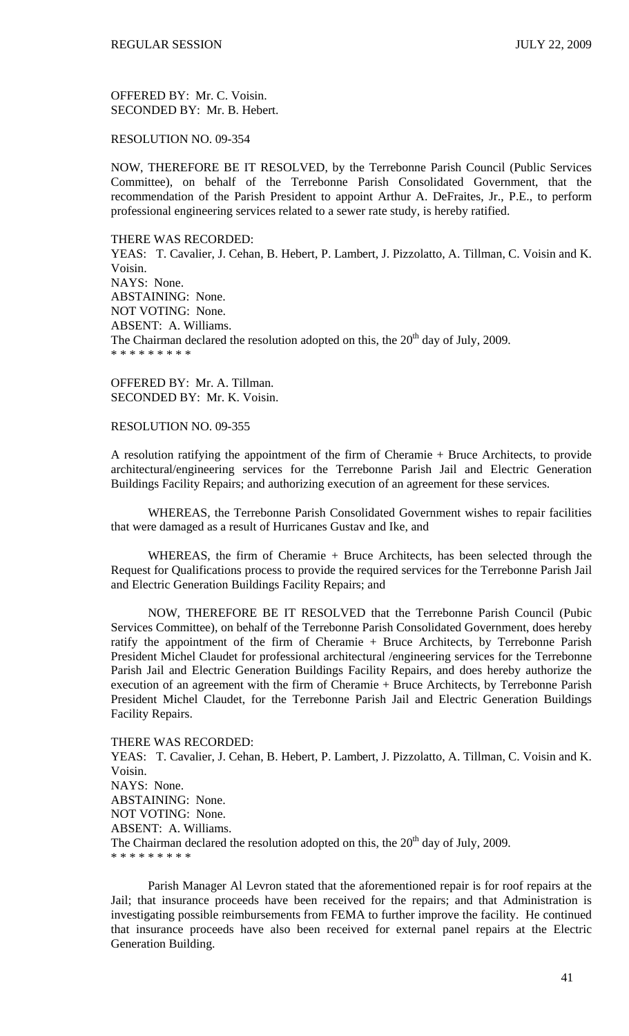OFFERED BY: Mr. C. Voisin. SECONDED BY: Mr. B. Hebert.

RESOLUTION NO. 09-354

NOW, THEREFORE BE IT RESOLVED, by the Terrebonne Parish Council (Public Services Committee), on behalf of the Terrebonne Parish Consolidated Government, that the recommendation of the Parish President to appoint Arthur A. DeFraites, Jr., P.E., to perform professional engineering services related to a sewer rate study, is hereby ratified.

#### THERE WAS RECORDED:

YEAS: T. Cavalier, J. Cehan, B. Hebert, P. Lambert, J. Pizzolatto, A. Tillman, C. Voisin and K. Voisin. NAYS: None. ABSTAINING: None. NOT VOTING: None. ABSENT: A. Williams. The Chairman declared the resolution adopted on this, the  $20<sup>th</sup>$  day of July, 2009. \* \* \* \* \* \* \* \* \*

OFFERED BY: Mr. A. Tillman. SECONDED BY: Mr. K. Voisin.

## RESOLUTION NO. 09-355

A resolution ratifying the appointment of the firm of Cheramie + Bruce Architects, to provide architectural/engineering services for the Terrebonne Parish Jail and Electric Generation Buildings Facility Repairs; and authorizing execution of an agreement for these services.

 WHEREAS, the Terrebonne Parish Consolidated Government wishes to repair facilities that were damaged as a result of Hurricanes Gustav and Ike, and

 WHEREAS, the firm of Cheramie + Bruce Architects, has been selected through the Request for Qualifications process to provide the required services for the Terrebonne Parish Jail and Electric Generation Buildings Facility Repairs; and

 NOW, THEREFORE BE IT RESOLVED that the Terrebonne Parish Council (Pubic Services Committee), on behalf of the Terrebonne Parish Consolidated Government, does hereby ratify the appointment of the firm of Cheramie + Bruce Architects, by Terrebonne Parish President Michel Claudet for professional architectural /engineering services for the Terrebonne Parish Jail and Electric Generation Buildings Facility Repairs, and does hereby authorize the execution of an agreement with the firm of Cheramie + Bruce Architects, by Terrebonne Parish President Michel Claudet, for the Terrebonne Parish Jail and Electric Generation Buildings Facility Repairs.

#### THERE WAS RECORDED:

YEAS: T. Cavalier, J. Cehan, B. Hebert, P. Lambert, J. Pizzolatto, A. Tillman, C. Voisin and K. Voisin. NAYS: None. ABSTAINING: None. NOT VOTING: None. ABSENT: A. Williams. The Chairman declared the resolution adopted on this, the  $20<sup>th</sup>$  day of July, 2009. \* \* \* \* \* \* \* \* \*

Parish Manager Al Levron stated that the aforementioned repair is for roof repairs at the Jail; that insurance proceeds have been received for the repairs; and that Administration is investigating possible reimbursements from FEMA to further improve the facility. He continued that insurance proceeds have also been received for external panel repairs at the Electric Generation Building.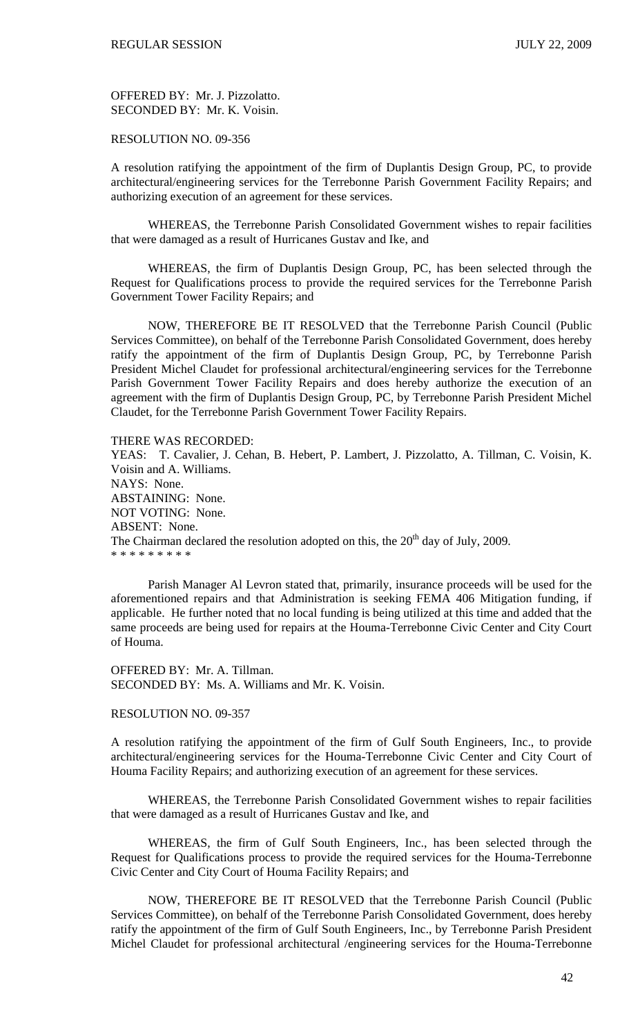OFFERED BY: Mr. J. Pizzolatto. SECONDED BY: Mr. K. Voisin.

## RESOLUTION NO. 09-356

A resolution ratifying the appointment of the firm of Duplantis Design Group, PC, to provide architectural/engineering services for the Terrebonne Parish Government Facility Repairs; and authorizing execution of an agreement for these services.

 WHEREAS, the Terrebonne Parish Consolidated Government wishes to repair facilities that were damaged as a result of Hurricanes Gustav and Ike, and

 WHEREAS, the firm of Duplantis Design Group, PC, has been selected through the Request for Qualifications process to provide the required services for the Terrebonne Parish Government Tower Facility Repairs; and

 NOW, THEREFORE BE IT RESOLVED that the Terrebonne Parish Council (Public Services Committee), on behalf of the Terrebonne Parish Consolidated Government, does hereby ratify the appointment of the firm of Duplantis Design Group, PC, by Terrebonne Parish President Michel Claudet for professional architectural/engineering services for the Terrebonne Parish Government Tower Facility Repairs and does hereby authorize the execution of an agreement with the firm of Duplantis Design Group, PC, by Terrebonne Parish President Michel Claudet, for the Terrebonne Parish Government Tower Facility Repairs.

#### THERE WAS RECORDED:

YEAS: T. Cavalier, J. Cehan, B. Hebert, P. Lambert, J. Pizzolatto, A. Tillman, C. Voisin, K. Voisin and A. Williams. NAYS: None. ABSTAINING: None. NOT VOTING: None. ABSENT: None. The Chairman declared the resolution adopted on this, the  $20<sup>th</sup>$  day of July, 2009. \* \* \* \* \* \* \* \* \*

 Parish Manager Al Levron stated that, primarily, insurance proceeds will be used for the aforementioned repairs and that Administration is seeking FEMA 406 Mitigation funding, if applicable. He further noted that no local funding is being utilized at this time and added that the same proceeds are being used for repairs at the Houma-Terrebonne Civic Center and City Court of Houma.

OFFERED BY: Mr. A. Tillman. SECONDED BY: Ms. A. Williams and Mr. K. Voisin.

#### RESOLUTION NO. 09-357

A resolution ratifying the appointment of the firm of Gulf South Engineers, Inc., to provide architectural/engineering services for the Houma-Terrebonne Civic Center and City Court of Houma Facility Repairs; and authorizing execution of an agreement for these services.

 WHEREAS, the Terrebonne Parish Consolidated Government wishes to repair facilities that were damaged as a result of Hurricanes Gustav and Ike, and

 WHEREAS, the firm of Gulf South Engineers, Inc., has been selected through the Request for Qualifications process to provide the required services for the Houma-Terrebonne Civic Center and City Court of Houma Facility Repairs; and

 NOW, THEREFORE BE IT RESOLVED that the Terrebonne Parish Council (Public Services Committee), on behalf of the Terrebonne Parish Consolidated Government, does hereby ratify the appointment of the firm of Gulf South Engineers, Inc., by Terrebonne Parish President Michel Claudet for professional architectural /engineering services for the Houma-Terrebonne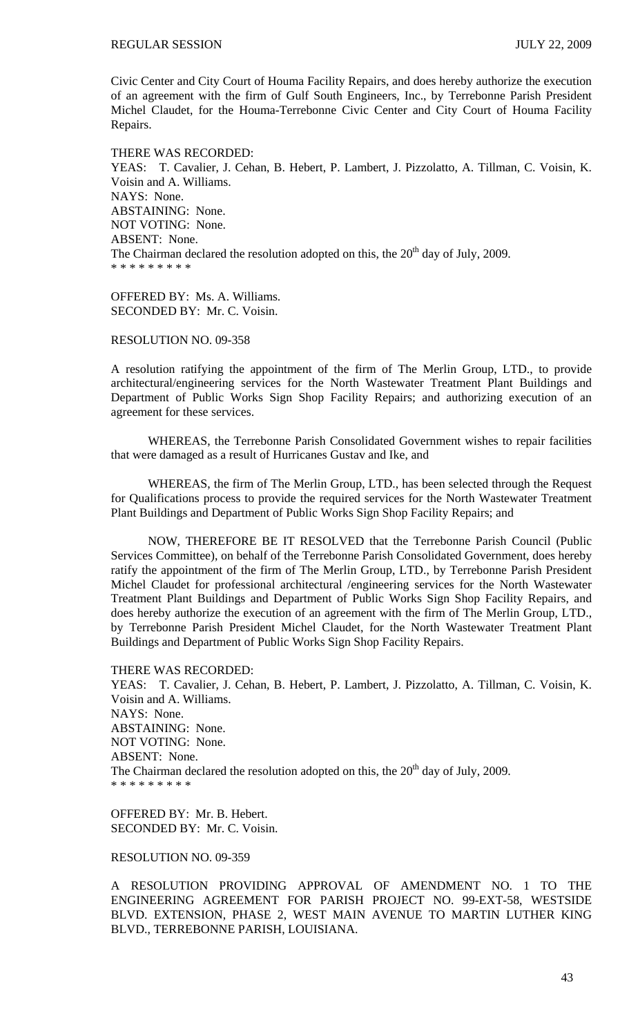Civic Center and City Court of Houma Facility Repairs, and does hereby authorize the execution of an agreement with the firm of Gulf South Engineers, Inc., by Terrebonne Parish President Michel Claudet, for the Houma-Terrebonne Civic Center and City Court of Houma Facility Repairs.

THERE WAS RECORDED: YEAS: T. Cavalier, J. Cehan, B. Hebert, P. Lambert, J. Pizzolatto, A. Tillman, C. Voisin, K. Voisin and A. Williams. NAYS: None. ABSTAINING: None. NOT VOTING: None. ABSENT: None. The Chairman declared the resolution adopted on this, the  $20<sup>th</sup>$  day of July, 2009. \* \* \* \* \* \* \* \* \*

OFFERED BY: Ms. A. Williams. SECONDED BY: Mr. C. Voisin.

RESOLUTION NO. 09-358

A resolution ratifying the appointment of the firm of The Merlin Group, LTD., to provide architectural/engineering services for the North Wastewater Treatment Plant Buildings and Department of Public Works Sign Shop Facility Repairs; and authorizing execution of an agreement for these services.

 WHEREAS, the Terrebonne Parish Consolidated Government wishes to repair facilities that were damaged as a result of Hurricanes Gustav and Ike, and

 WHEREAS, the firm of The Merlin Group, LTD., has been selected through the Request for Qualifications process to provide the required services for the North Wastewater Treatment Plant Buildings and Department of Public Works Sign Shop Facility Repairs; and

 NOW, THEREFORE BE IT RESOLVED that the Terrebonne Parish Council (Public Services Committee), on behalf of the Terrebonne Parish Consolidated Government, does hereby ratify the appointment of the firm of The Merlin Group, LTD., by Terrebonne Parish President Michel Claudet for professional architectural /engineering services for the North Wastewater Treatment Plant Buildings and Department of Public Works Sign Shop Facility Repairs, and does hereby authorize the execution of an agreement with the firm of The Merlin Group, LTD., by Terrebonne Parish President Michel Claudet, for the North Wastewater Treatment Plant Buildings and Department of Public Works Sign Shop Facility Repairs.

THERE WAS RECORDED:

YEAS: T. Cavalier, J. Cehan, B. Hebert, P. Lambert, J. Pizzolatto, A. Tillman, C. Voisin, K. Voisin and A. Williams. NAYS: None. ABSTAINING: None. NOT VOTING: None. ABSENT: None. The Chairman declared the resolution adopted on this, the  $20<sup>th</sup>$  day of July, 2009. \* \* \* \* \* \* \* \* \*

OFFERED BY: Mr. B. Hebert. SECONDED BY: Mr. C. Voisin.

RESOLUTION NO. 09-359

A RESOLUTION PROVIDING APPROVAL OF AMENDMENT NO. 1 TO THE ENGINEERING AGREEMENT FOR PARISH PROJECT NO. 99-EXT-58, WESTSIDE BLVD. EXTENSION, PHASE 2, WEST MAIN AVENUE TO MARTIN LUTHER KING BLVD., TERREBONNE PARISH, LOUISIANA.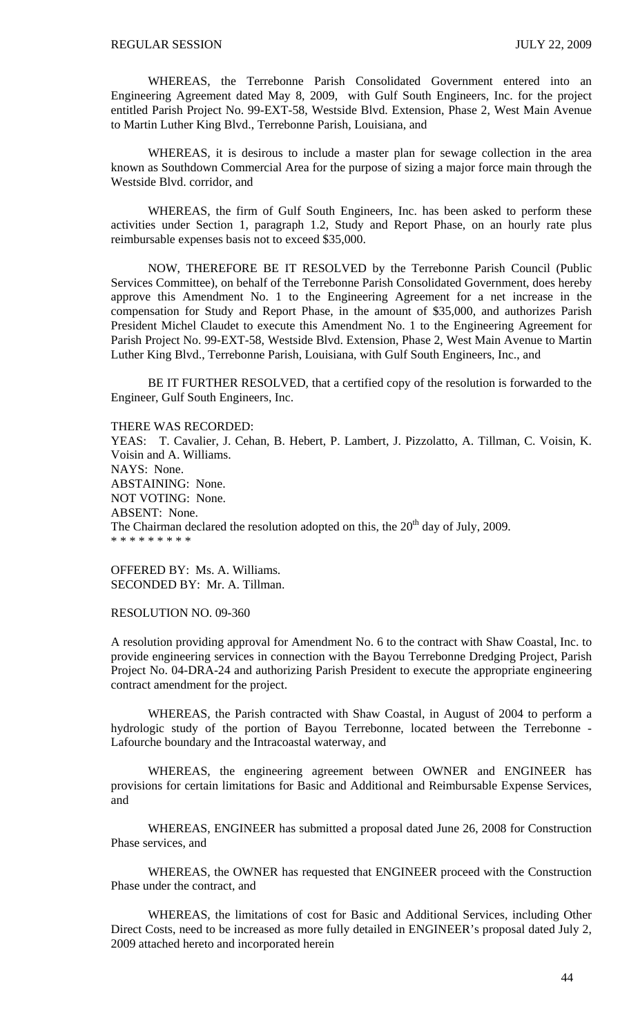WHEREAS, the Terrebonne Parish Consolidated Government entered into an Engineering Agreement dated May 8, 2009, with Gulf South Engineers, Inc. for the project entitled Parish Project No. 99-EXT-58, Westside Blvd. Extension, Phase 2, West Main Avenue to Martin Luther King Blvd., Terrebonne Parish, Louisiana, and

 WHEREAS, it is desirous to include a master plan for sewage collection in the area known as Southdown Commercial Area for the purpose of sizing a major force main through the Westside Blvd. corridor, and

 WHEREAS, the firm of Gulf South Engineers, Inc. has been asked to perform these activities under Section 1, paragraph 1.2, Study and Report Phase, on an hourly rate plus reimbursable expenses basis not to exceed \$35,000.

 NOW, THEREFORE BE IT RESOLVED by the Terrebonne Parish Council (Public Services Committee), on behalf of the Terrebonne Parish Consolidated Government, does hereby approve this Amendment No. 1 to the Engineering Agreement for a net increase in the compensation for Study and Report Phase, in the amount of \$35,000, and authorizes Parish President Michel Claudet to execute this Amendment No. 1 to the Engineering Agreement for Parish Project No. 99-EXT-58, Westside Blvd. Extension, Phase 2, West Main Avenue to Martin Luther King Blvd., Terrebonne Parish, Louisiana, with Gulf South Engineers, Inc., and

 BE IT FURTHER RESOLVED, that a certified copy of the resolution is forwarded to the Engineer, Gulf South Engineers, Inc.

#### THERE WAS RECORDED:

YEAS: T. Cavalier, J. Cehan, B. Hebert, P. Lambert, J. Pizzolatto, A. Tillman, C. Voisin, K. Voisin and A. Williams. NAYS: None. ABSTAINING: None. NOT VOTING: None. ABSENT: None. The Chairman declared the resolution adopted on this, the  $20<sup>th</sup>$  day of July, 2009. \* \* \* \* \* \* \* \* \*

OFFERED BY: Ms. A. Williams. SECONDED BY: Mr. A. Tillman.

### RESOLUTION NO. 09-360

A resolution providing approval for Amendment No. 6 to the contract with Shaw Coastal, Inc. to provide engineering services in connection with the Bayou Terrebonne Dredging Project, Parish Project No. 04-DRA-24 and authorizing Parish President to execute the appropriate engineering contract amendment for the project.

 WHEREAS, the Parish contracted with Shaw Coastal, in August of 2004 to perform a hydrologic study of the portion of Bayou Terrebonne, located between the Terrebonne - Lafourche boundary and the Intracoastal waterway, and

 WHEREAS, the engineering agreement between OWNER and ENGINEER has provisions for certain limitations for Basic and Additional and Reimbursable Expense Services, and

 WHEREAS, ENGINEER has submitted a proposal dated June 26, 2008 for Construction Phase services, and

 WHEREAS, the OWNER has requested that ENGINEER proceed with the Construction Phase under the contract, and

WHEREAS, the limitations of cost for Basic and Additional Services, including Other Direct Costs, need to be increased as more fully detailed in ENGINEER's proposal dated July 2, 2009 attached hereto and incorporated herein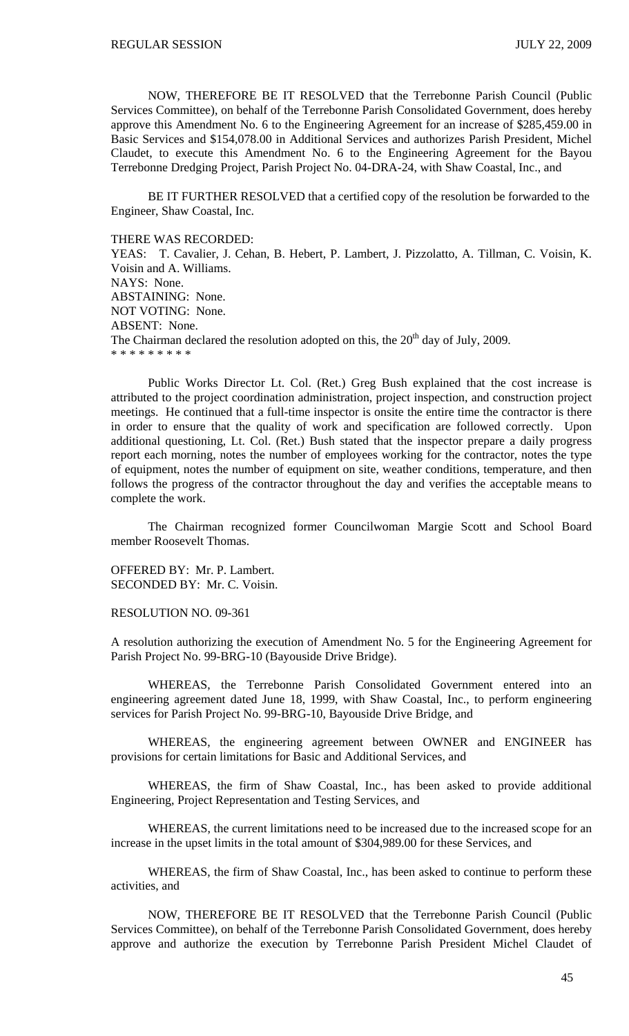NOW, THEREFORE BE IT RESOLVED that the Terrebonne Parish Council (Public Services Committee), on behalf of the Terrebonne Parish Consolidated Government, does hereby approve this Amendment No. 6 to the Engineering Agreement for an increase of \$285,459.00 in Basic Services and \$154,078.00 in Additional Services and authorizes Parish President, Michel Claudet, to execute this Amendment No. 6 to the Engineering Agreement for the Bayou Terrebonne Dredging Project, Parish Project No. 04-DRA-24, with Shaw Coastal, Inc., and

 BE IT FURTHER RESOLVED that a certified copy of the resolution be forwarded to the Engineer, Shaw Coastal, Inc.

#### THERE WAS RECORDED:

YEAS: T. Cavalier, J. Cehan, B. Hebert, P. Lambert, J. Pizzolatto, A. Tillman, C. Voisin, K. Voisin and A. Williams. NAYS: None. ABSTAINING: None. NOT VOTING: None. ABSENT: None. The Chairman declared the resolution adopted on this, the  $20<sup>th</sup>$  day of July, 2009. \* \* \* \* \* \* \* \* \*

 Public Works Director Lt. Col. (Ret.) Greg Bush explained that the cost increase is attributed to the project coordination administration, project inspection, and construction project meetings. He continued that a full-time inspector is onsite the entire time the contractor is there in order to ensure that the quality of work and specification are followed correctly. Upon additional questioning, Lt. Col. (Ret.) Bush stated that the inspector prepare a daily progress report each morning, notes the number of employees working for the contractor, notes the type of equipment, notes the number of equipment on site, weather conditions, temperature, and then follows the progress of the contractor throughout the day and verifies the acceptable means to complete the work.

 The Chairman recognized former Councilwoman Margie Scott and School Board member Roosevelt Thomas.

OFFERED BY: Mr. P. Lambert. SECONDED BY: Mr. C. Voisin.

RESOLUTION NO. 09-361

A resolution authorizing the execution of Amendment No. 5 for the Engineering Agreement for Parish Project No. 99-BRG-10 (Bayouside Drive Bridge).

 WHEREAS, the Terrebonne Parish Consolidated Government entered into an engineering agreement dated June 18, 1999, with Shaw Coastal, Inc., to perform engineering services for Parish Project No. 99-BRG-10, Bayouside Drive Bridge, and

 WHEREAS, the engineering agreement between OWNER and ENGINEER has provisions for certain limitations for Basic and Additional Services, and

 WHEREAS, the firm of Shaw Coastal, Inc., has been asked to provide additional Engineering, Project Representation and Testing Services, and

 WHEREAS, the current limitations need to be increased due to the increased scope for an increase in the upset limits in the total amount of \$304,989.00 for these Services, and

 WHEREAS, the firm of Shaw Coastal, Inc., has been asked to continue to perform these activities, and

 NOW, THEREFORE BE IT RESOLVED that the Terrebonne Parish Council (Public Services Committee), on behalf of the Terrebonne Parish Consolidated Government, does hereby approve and authorize the execution by Terrebonne Parish President Michel Claudet of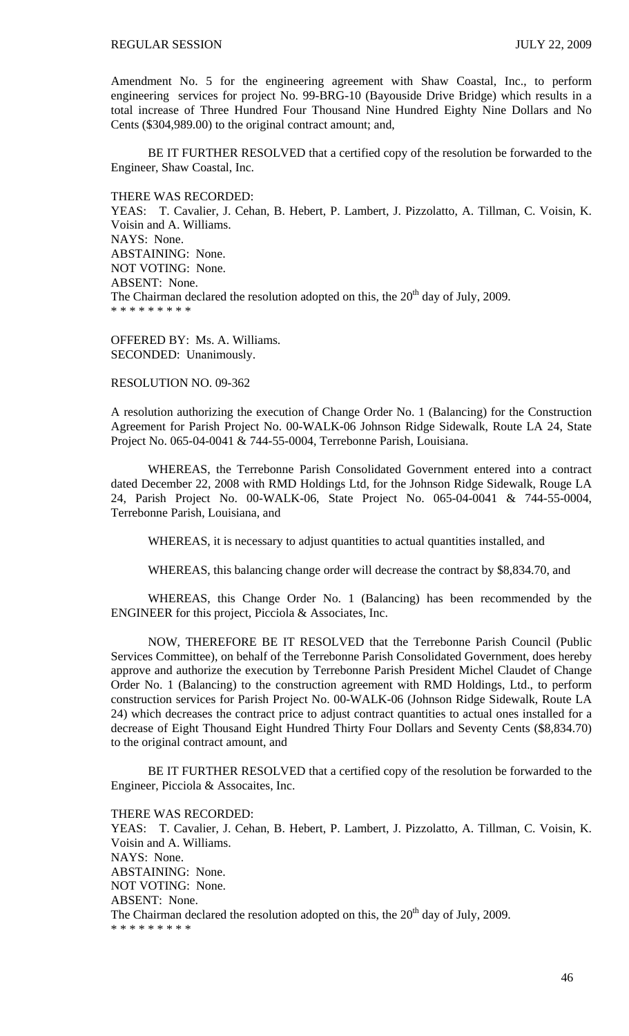Amendment No. 5 for the engineering agreement with Shaw Coastal, Inc., to perform engineering services for project No. 99-BRG-10 (Bayouside Drive Bridge) which results in a total increase of Three Hundred Four Thousand Nine Hundred Eighty Nine Dollars and No Cents (\$304,989.00) to the original contract amount; and,

 BE IT FURTHER RESOLVED that a certified copy of the resolution be forwarded to the Engineer, Shaw Coastal, Inc.

THERE WAS RECORDED:

YEAS: T. Cavalier, J. Cehan, B. Hebert, P. Lambert, J. Pizzolatto, A. Tillman, C. Voisin, K. Voisin and A. Williams. NAYS: None. ABSTAINING: None. NOT VOTING: None. ABSENT: None. The Chairman declared the resolution adopted on this, the  $20<sup>th</sup>$  day of July, 2009. \* \* \* \* \* \* \* \* \*

OFFERED BY: Ms. A. Williams. SECONDED: Unanimously.

RESOLUTION NO. 09-362

A resolution authorizing the execution of Change Order No. 1 (Balancing) for the Construction Agreement for Parish Project No. 00-WALK-06 Johnson Ridge Sidewalk, Route LA 24, State Project No. 065-04-0041 & 744-55-0004, Terrebonne Parish, Louisiana.

 WHEREAS, the Terrebonne Parish Consolidated Government entered into a contract dated December 22, 2008 with RMD Holdings Ltd, for the Johnson Ridge Sidewalk, Rouge LA 24, Parish Project No. 00-WALK-06, State Project No. 065-04-0041 & 744-55-0004, Terrebonne Parish, Louisiana, and

WHEREAS, it is necessary to adjust quantities to actual quantities installed, and

WHEREAS, this balancing change order will decrease the contract by \$8,834.70, and

 WHEREAS, this Change Order No. 1 (Balancing) has been recommended by the ENGINEER for this project, Picciola & Associates, Inc.

 NOW, THEREFORE BE IT RESOLVED that the Terrebonne Parish Council (Public Services Committee), on behalf of the Terrebonne Parish Consolidated Government, does hereby approve and authorize the execution by Terrebonne Parish President Michel Claudet of Change Order No. 1 (Balancing) to the construction agreement with RMD Holdings, Ltd., to perform construction services for Parish Project No. 00-WALK-06 (Johnson Ridge Sidewalk, Route LA 24) which decreases the contract price to adjust contract quantities to actual ones installed for a decrease of Eight Thousand Eight Hundred Thirty Four Dollars and Seventy Cents (\$8,834.70) to the original contract amount, and

 BE IT FURTHER RESOLVED that a certified copy of the resolution be forwarded to the Engineer, Picciola & Assocaites, Inc.

THERE WAS RECORDED:

YEAS: T. Cavalier, J. Cehan, B. Hebert, P. Lambert, J. Pizzolatto, A. Tillman, C. Voisin, K. Voisin and A. Williams. NAYS: None. ABSTAINING: None. NOT VOTING: None. ABSENT: None. The Chairman declared the resolution adopted on this, the  $20<sup>th</sup>$  day of July, 2009. \* \* \* \* \* \* \* \* \*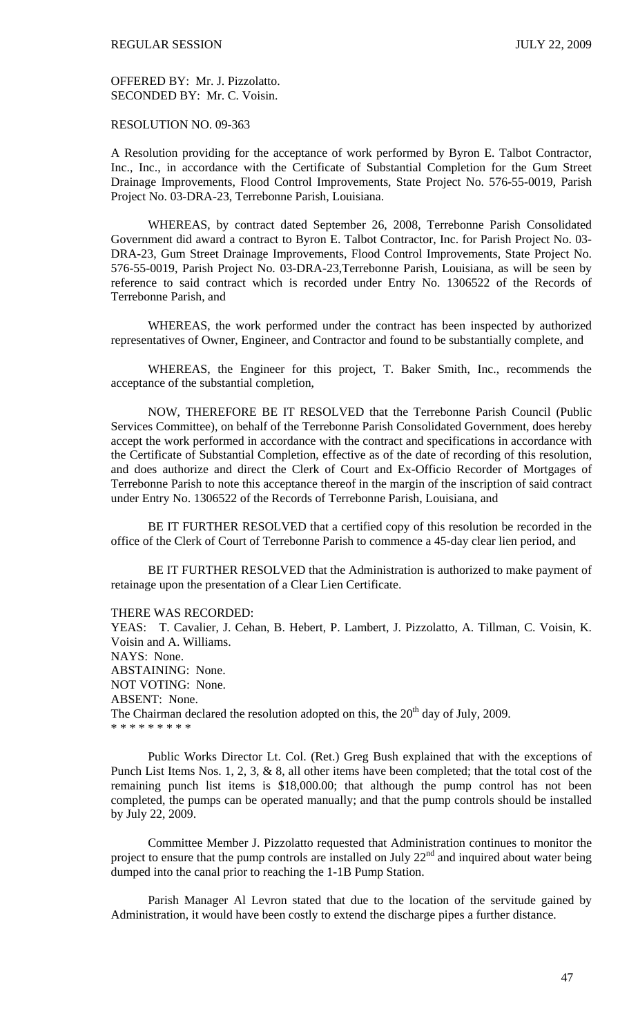OFFERED BY: Mr. J. Pizzolatto. SECONDED BY: Mr. C. Voisin.

RESOLUTION NO. 09-363

A Resolution providing for the acceptance of work performed by Byron E. Talbot Contractor, Inc., Inc., in accordance with the Certificate of Substantial Completion for the Gum Street Drainage Improvements, Flood Control Improvements, State Project No. 576-55-0019, Parish Project No. 03-DRA-23, Terrebonne Parish, Louisiana.

 WHEREAS, by contract dated September 26, 2008, Terrebonne Parish Consolidated Government did award a contract to Byron E. Talbot Contractor, Inc. for Parish Project No. 03- DRA-23, Gum Street Drainage Improvements, Flood Control Improvements, State Project No. 576-55-0019, Parish Project No. 03-DRA-23,Terrebonne Parish, Louisiana, as will be seen by reference to said contract which is recorded under Entry No. 1306522 of the Records of Terrebonne Parish, and

 WHEREAS, the work performed under the contract has been inspected by authorized representatives of Owner, Engineer, and Contractor and found to be substantially complete, and

 WHEREAS, the Engineer for this project, T. Baker Smith, Inc., recommends the acceptance of the substantial completion,

 NOW, THEREFORE BE IT RESOLVED that the Terrebonne Parish Council (Public Services Committee), on behalf of the Terrebonne Parish Consolidated Government, does hereby accept the work performed in accordance with the contract and specifications in accordance with the Certificate of Substantial Completion, effective as of the date of recording of this resolution, and does authorize and direct the Clerk of Court and Ex-Officio Recorder of Mortgages of Terrebonne Parish to note this acceptance thereof in the margin of the inscription of said contract under Entry No. 1306522 of the Records of Terrebonne Parish, Louisiana, and

 BE IT FURTHER RESOLVED that a certified copy of this resolution be recorded in the office of the Clerk of Court of Terrebonne Parish to commence a 45-day clear lien period, and

 BE IT FURTHER RESOLVED that the Administration is authorized to make payment of retainage upon the presentation of a Clear Lien Certificate.

THERE WAS RECORDED:

YEAS: T. Cavalier, J. Cehan, B. Hebert, P. Lambert, J. Pizzolatto, A. Tillman, C. Voisin, K. Voisin and A. Williams. NAYS: None. ABSTAINING: None. NOT VOTING: None. ABSENT: None. The Chairman declared the resolution adopted on this, the  $20<sup>th</sup>$  day of July, 2009. \* \* \* \* \* \* \* \* \*

 Public Works Director Lt. Col. (Ret.) Greg Bush explained that with the exceptions of Punch List Items Nos. 1, 2, 3, & 8, all other items have been completed; that the total cost of the remaining punch list items is \$18,000.00; that although the pump control has not been completed, the pumps can be operated manually; and that the pump controls should be installed by July 22, 2009.

 Committee Member J. Pizzolatto requested that Administration continues to monitor the project to ensure that the pump controls are installed on July  $22<sup>nd</sup>$  and inquired about water being dumped into the canal prior to reaching the 1-1B Pump Station.

 Parish Manager Al Levron stated that due to the location of the servitude gained by Administration, it would have been costly to extend the discharge pipes a further distance.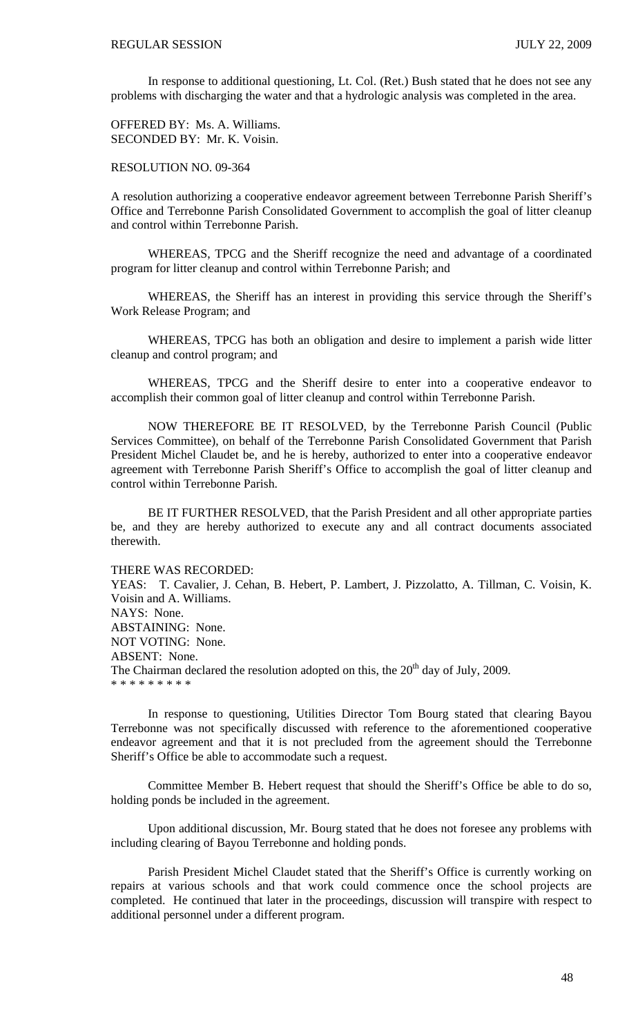In response to additional questioning, Lt. Col. (Ret.) Bush stated that he does not see any problems with discharging the water and that a hydrologic analysis was completed in the area.

OFFERED BY: Ms. A. Williams. SECONDED BY: Mr. K. Voisin.

RESOLUTION NO. 09-364

A resolution authorizing a cooperative endeavor agreement between Terrebonne Parish Sheriff's Office and Terrebonne Parish Consolidated Government to accomplish the goal of litter cleanup and control within Terrebonne Parish.

 WHEREAS, TPCG and the Sheriff recognize the need and advantage of a coordinated program for litter cleanup and control within Terrebonne Parish; and

 WHEREAS, the Sheriff has an interest in providing this service through the Sheriff's Work Release Program; and

 WHEREAS, TPCG has both an obligation and desire to implement a parish wide litter cleanup and control program; and

 WHEREAS, TPCG and the Sheriff desire to enter into a cooperative endeavor to accomplish their common goal of litter cleanup and control within Terrebonne Parish.

NOW THEREFORE BE IT RESOLVED, by the Terrebonne Parish Council (Public Services Committee), on behalf of the Terrebonne Parish Consolidated Government that Parish President Michel Claudet be, and he is hereby, authorized to enter into a cooperative endeavor agreement with Terrebonne Parish Sheriff's Office to accomplish the goal of litter cleanup and control within Terrebonne Parish.

BE IT FURTHER RESOLVED, that the Parish President and all other appropriate parties be, and they are hereby authorized to execute any and all contract documents associated therewith.

THERE WAS RECORDED:

YEAS: T. Cavalier, J. Cehan, B. Hebert, P. Lambert, J. Pizzolatto, A. Tillman, C. Voisin, K. Voisin and A. Williams. NAYS: None. ABSTAINING: None. NOT VOTING: None. ABSENT: None. The Chairman declared the resolution adopted on this, the  $20<sup>th</sup>$  day of July, 2009. \* \* \* \* \* \* \* \* \*

 In response to questioning, Utilities Director Tom Bourg stated that clearing Bayou Terrebonne was not specifically discussed with reference to the aforementioned cooperative endeavor agreement and that it is not precluded from the agreement should the Terrebonne Sheriff's Office be able to accommodate such a request.

 Committee Member B. Hebert request that should the Sheriff's Office be able to do so, holding ponds be included in the agreement.

 Upon additional discussion, Mr. Bourg stated that he does not foresee any problems with including clearing of Bayou Terrebonne and holding ponds.

 Parish President Michel Claudet stated that the Sheriff's Office is currently working on repairs at various schools and that work could commence once the school projects are completed. He continued that later in the proceedings, discussion will transpire with respect to additional personnel under a different program.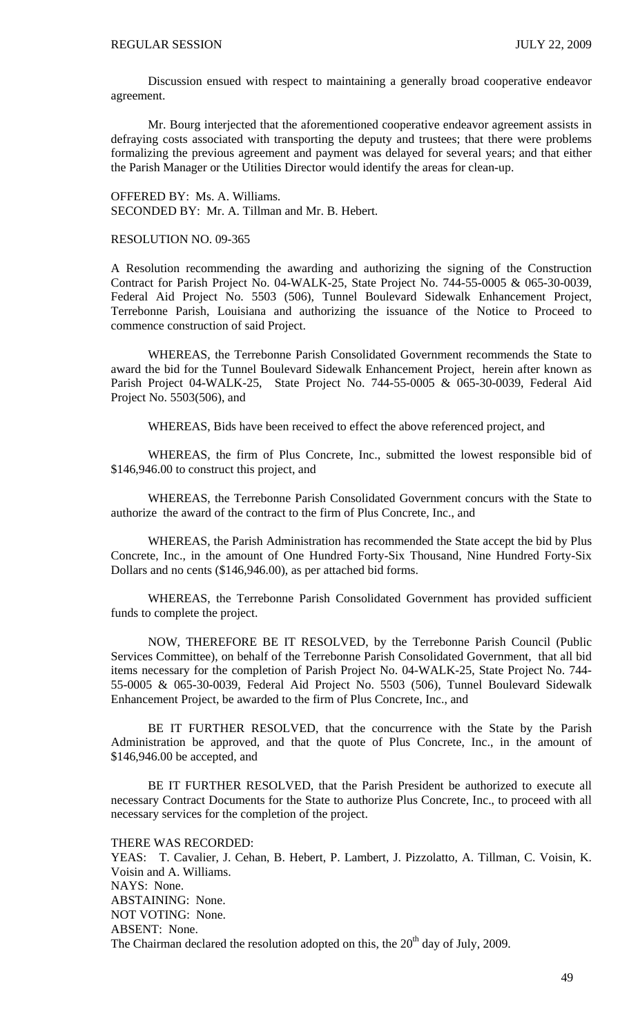Discussion ensued with respect to maintaining a generally broad cooperative endeavor agreement.

 Mr. Bourg interjected that the aforementioned cooperative endeavor agreement assists in defraying costs associated with transporting the deputy and trustees; that there were problems formalizing the previous agreement and payment was delayed for several years; and that either the Parish Manager or the Utilities Director would identify the areas for clean-up.

OFFERED BY: Ms. A. Williams. SECONDED BY: Mr. A. Tillman and Mr. B. Hebert.

#### RESOLUTION NO. 09-365

A Resolution recommending the awarding and authorizing the signing of the Construction Contract for Parish Project No. 04-WALK-25, State Project No. 744-55-0005 & 065-30-0039, Federal Aid Project No. 5503 (506), Tunnel Boulevard Sidewalk Enhancement Project, Terrebonne Parish, Louisiana and authorizing the issuance of the Notice to Proceed to commence construction of said Project.

 WHEREAS, the Terrebonne Parish Consolidated Government recommends the State to award the bid for the Tunnel Boulevard Sidewalk Enhancement Project, herein after known as Parish Project 04-WALK-25, State Project No. 744-55-0005 & 065-30-0039, Federal Aid Project No. 5503(506), and

WHEREAS, Bids have been received to effect the above referenced project, and

 WHEREAS, the firm of Plus Concrete, Inc., submitted the lowest responsible bid of \$146,946.00 to construct this project, and

 WHEREAS, the Terrebonne Parish Consolidated Government concurs with the State to authorize the award of the contract to the firm of Plus Concrete, Inc., and

 WHEREAS, the Parish Administration has recommended the State accept the bid by Plus Concrete, Inc., in the amount of One Hundred Forty-Six Thousand, Nine Hundred Forty-Six Dollars and no cents (\$146,946.00), as per attached bid forms.

 WHEREAS, the Terrebonne Parish Consolidated Government has provided sufficient funds to complete the project.

 NOW, THEREFORE BE IT RESOLVED, by the Terrebonne Parish Council (Public Services Committee), on behalf of the Terrebonne Parish Consolidated Government, that all bid items necessary for the completion of Parish Project No. 04-WALK-25, State Project No. 744- 55-0005 & 065-30-0039, Federal Aid Project No. 5503 (506), Tunnel Boulevard Sidewalk Enhancement Project, be awarded to the firm of Plus Concrete, Inc., and

 BE IT FURTHER RESOLVED, that the concurrence with the State by the Parish Administration be approved, and that the quote of Plus Concrete, Inc., in the amount of \$146,946.00 be accepted, and

 BE IT FURTHER RESOLVED, that the Parish President be authorized to execute all necessary Contract Documents for the State to authorize Plus Concrete, Inc., to proceed with all necessary services for the completion of the project.

THERE WAS RECORDED:

YEAS: T. Cavalier, J. Cehan, B. Hebert, P. Lambert, J. Pizzolatto, A. Tillman, C. Voisin, K. Voisin and A. Williams. NAYS: None. ABSTAINING: None. NOT VOTING: None. ABSENT: None. The Chairman declared the resolution adopted on this, the  $20<sup>th</sup>$  day of July, 2009.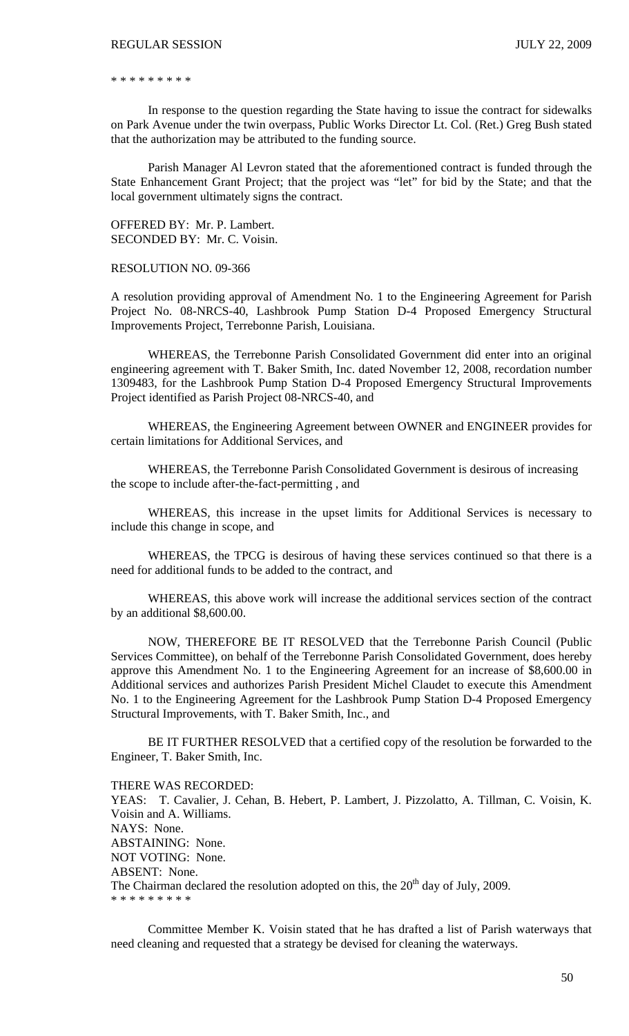#### REGULAR SESSION JULY 22, 2009

\* \* \* \* \* \* \* \* \*

 In response to the question regarding the State having to issue the contract for sidewalks on Park Avenue under the twin overpass, Public Works Director Lt. Col. (Ret.) Greg Bush stated that the authorization may be attributed to the funding source.

 Parish Manager Al Levron stated that the aforementioned contract is funded through the State Enhancement Grant Project; that the project was "let" for bid by the State; and that the local government ultimately signs the contract.

OFFERED BY: Mr. P. Lambert. SECONDED BY: Mr. C. Voisin.

### RESOLUTION NO. 09-366

A resolution providing approval of Amendment No. 1 to the Engineering Agreement for Parish Project No. 08-NRCS-40, Lashbrook Pump Station D-4 Proposed Emergency Structural Improvements Project, Terrebonne Parish, Louisiana.

 WHEREAS, the Terrebonne Parish Consolidated Government did enter into an original engineering agreement with T. Baker Smith, Inc. dated November 12, 2008, recordation number 1309483, for the Lashbrook Pump Station D-4 Proposed Emergency Structural Improvements Project identified as Parish Project 08-NRCS-40, and

 WHEREAS, the Engineering Agreement between OWNER and ENGINEER provides for certain limitations for Additional Services, and

WHEREAS, the Terrebonne Parish Consolidated Government is desirous of increasing the scope to include after-the-fact-permitting , and

 WHEREAS, this increase in the upset limits for Additional Services is necessary to include this change in scope, and

 WHEREAS, the TPCG is desirous of having these services continued so that there is a need for additional funds to be added to the contract, and

 WHEREAS, this above work will increase the additional services section of the contract by an additional \$8,600.00.

 NOW, THEREFORE BE IT RESOLVED that the Terrebonne Parish Council (Public Services Committee), on behalf of the Terrebonne Parish Consolidated Government, does hereby approve this Amendment No. 1 to the Engineering Agreement for an increase of \$8,600.00 in Additional services and authorizes Parish President Michel Claudet to execute this Amendment No. 1 to the Engineering Agreement for the Lashbrook Pump Station D-4 Proposed Emergency Structural Improvements, with T. Baker Smith, Inc., and

 BE IT FURTHER RESOLVED that a certified copy of the resolution be forwarded to the Engineer, T. Baker Smith, Inc.

#### THERE WAS RECORDED:

YEAS: T. Cavalier, J. Cehan, B. Hebert, P. Lambert, J. Pizzolatto, A. Tillman, C. Voisin, K. Voisin and A. Williams. NAYS: None. ABSTAINING: None. NOT VOTING: None. ABSENT: None. The Chairman declared the resolution adopted on this, the  $20<sup>th</sup>$  day of July, 2009. \* \* \* \* \* \* \* \* \*

Committee Member K. Voisin stated that he has drafted a list of Parish waterways that need cleaning and requested that a strategy be devised for cleaning the waterways.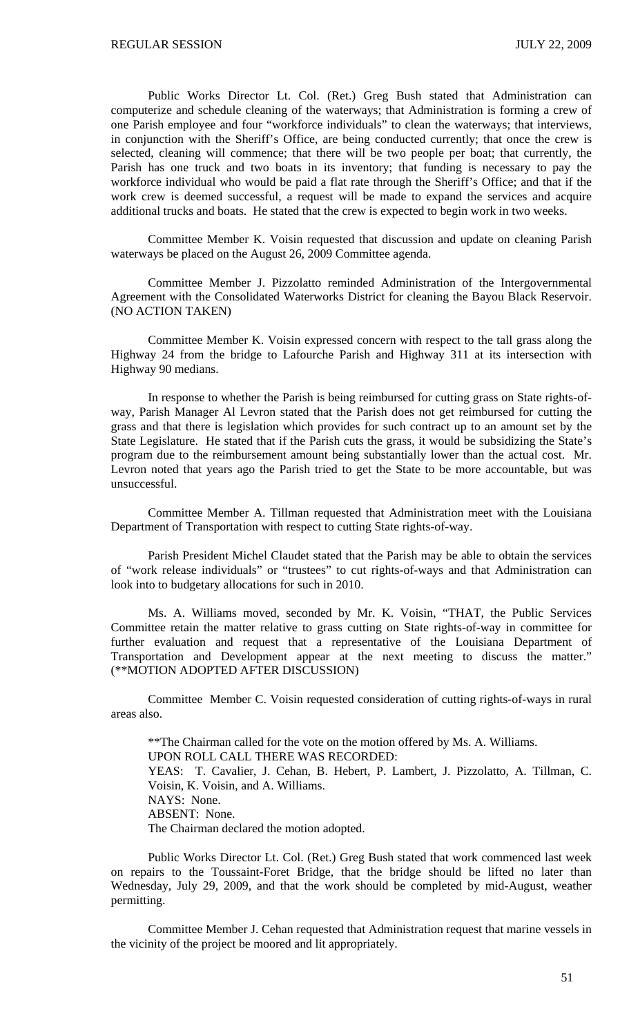Public Works Director Lt. Col. (Ret.) Greg Bush stated that Administration can computerize and schedule cleaning of the waterways; that Administration is forming a crew of one Parish employee and four "workforce individuals" to clean the waterways; that interviews, in conjunction with the Sheriff's Office, are being conducted currently; that once the crew is selected, cleaning will commence; that there will be two people per boat; that currently, the Parish has one truck and two boats in its inventory; that funding is necessary to pay the workforce individual who would be paid a flat rate through the Sheriff's Office; and that if the work crew is deemed successful, a request will be made to expand the services and acquire additional trucks and boats. He stated that the crew is expected to begin work in two weeks.

Committee Member K. Voisin requested that discussion and update on cleaning Parish waterways be placed on the August 26, 2009 Committee agenda.

Committee Member J. Pizzolatto reminded Administration of the Intergovernmental Agreement with the Consolidated Waterworks District for cleaning the Bayou Black Reservoir. (NO ACTION TAKEN)

 Committee Member K. Voisin expressed concern with respect to the tall grass along the Highway 24 from the bridge to Lafourche Parish and Highway 311 at its intersection with Highway 90 medians.

 In response to whether the Parish is being reimbursed for cutting grass on State rights-ofway, Parish Manager Al Levron stated that the Parish does not get reimbursed for cutting the grass and that there is legislation which provides for such contract up to an amount set by the State Legislature. He stated that if the Parish cuts the grass, it would be subsidizing the State's program due to the reimbursement amount being substantially lower than the actual cost. Mr. Levron noted that years ago the Parish tried to get the State to be more accountable, but was unsuccessful.

 Committee Member A. Tillman requested that Administration meet with the Louisiana Department of Transportation with respect to cutting State rights-of-way.

 Parish President Michel Claudet stated that the Parish may be able to obtain the services of "work release individuals" or "trustees" to cut rights-of-ways and that Administration can look into to budgetary allocations for such in 2010.

 Ms. A. Williams moved, seconded by Mr. K. Voisin, "THAT, the Public Services Committee retain the matter relative to grass cutting on State rights-of-way in committee for further evaluation and request that a representative of the Louisiana Department of Transportation and Development appear at the next meeting to discuss the matter." (\*\*MOTION ADOPTED AFTER DISCUSSION)

 Committee Member C. Voisin requested consideration of cutting rights-of-ways in rural areas also.

 \*\*The Chairman called for the vote on the motion offered by Ms. A. Williams. UPON ROLL CALL THERE WAS RECORDED: YEAS: T. Cavalier, J. Cehan, B. Hebert, P. Lambert, J. Pizzolatto, A. Tillman, C. Voisin, K. Voisin, and A. Williams. NAYS: None. ABSENT: None. The Chairman declared the motion adopted.

 Public Works Director Lt. Col. (Ret.) Greg Bush stated that work commenced last week on repairs to the Toussaint-Foret Bridge, that the bridge should be lifted no later than Wednesday, July 29, 2009, and that the work should be completed by mid-August, weather permitting.

 Committee Member J. Cehan requested that Administration request that marine vessels in the vicinity of the project be moored and lit appropriately.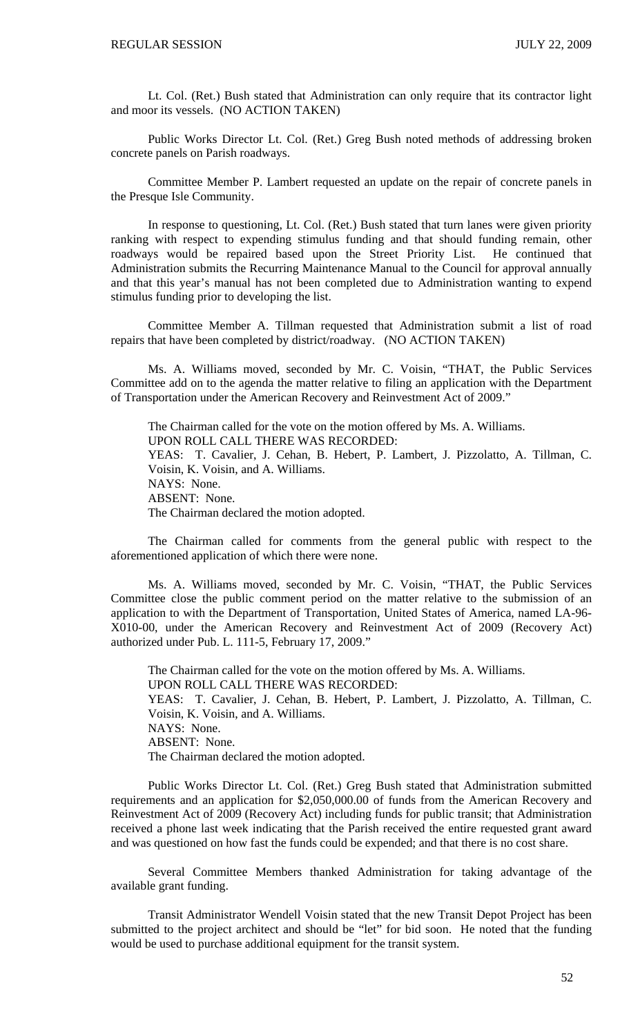Lt. Col. (Ret.) Bush stated that Administration can only require that its contractor light and moor its vessels. (NO ACTION TAKEN)

 Public Works Director Lt. Col. (Ret.) Greg Bush noted methods of addressing broken concrete panels on Parish roadways.

 Committee Member P. Lambert requested an update on the repair of concrete panels in the Presque Isle Community.

 In response to questioning, Lt. Col. (Ret.) Bush stated that turn lanes were given priority ranking with respect to expending stimulus funding and that should funding remain, other roadways would be repaired based upon the Street Priority List. He continued that Administration submits the Recurring Maintenance Manual to the Council for approval annually and that this year's manual has not been completed due to Administration wanting to expend stimulus funding prior to developing the list.

 Committee Member A. Tillman requested that Administration submit a list of road repairs that have been completed by district/roadway. (NO ACTION TAKEN)

 Ms. A. Williams moved, seconded by Mr. C. Voisin, "THAT, the Public Services Committee add on to the agenda the matter relative to filing an application with the Department of Transportation under the American Recovery and Reinvestment Act of 2009."

The Chairman called for the vote on the motion offered by Ms. A. Williams. UPON ROLL CALL THERE WAS RECORDED: YEAS: T. Cavalier, J. Cehan, B. Hebert, P. Lambert, J. Pizzolatto, A. Tillman, C. Voisin, K. Voisin, and A. Williams. NAYS: None. ABSENT: None. The Chairman declared the motion adopted.

 The Chairman called for comments from the general public with respect to the aforementioned application of which there were none.

 Ms. A. Williams moved, seconded by Mr. C. Voisin, "THAT, the Public Services Committee close the public comment period on the matter relative to the submission of an application to with the Department of Transportation, United States of America, named LA-96- X010-00, under the American Recovery and Reinvestment Act of 2009 (Recovery Act) authorized under Pub. L. 111-5, February 17, 2009."

The Chairman called for the vote on the motion offered by Ms. A. Williams. UPON ROLL CALL THERE WAS RECORDED: YEAS: T. Cavalier, J. Cehan, B. Hebert, P. Lambert, J. Pizzolatto, A. Tillman, C. Voisin, K. Voisin, and A. Williams. NAYS: None. ABSENT: None. The Chairman declared the motion adopted.

 Public Works Director Lt. Col. (Ret.) Greg Bush stated that Administration submitted requirements and an application for \$2,050,000.00 of funds from the American Recovery and Reinvestment Act of 2009 (Recovery Act) including funds for public transit; that Administration received a phone last week indicating that the Parish received the entire requested grant award and was questioned on how fast the funds could be expended; and that there is no cost share.

 Several Committee Members thanked Administration for taking advantage of the available grant funding.

 Transit Administrator Wendell Voisin stated that the new Transit Depot Project has been submitted to the project architect and should be "let" for bid soon. He noted that the funding would be used to purchase additional equipment for the transit system.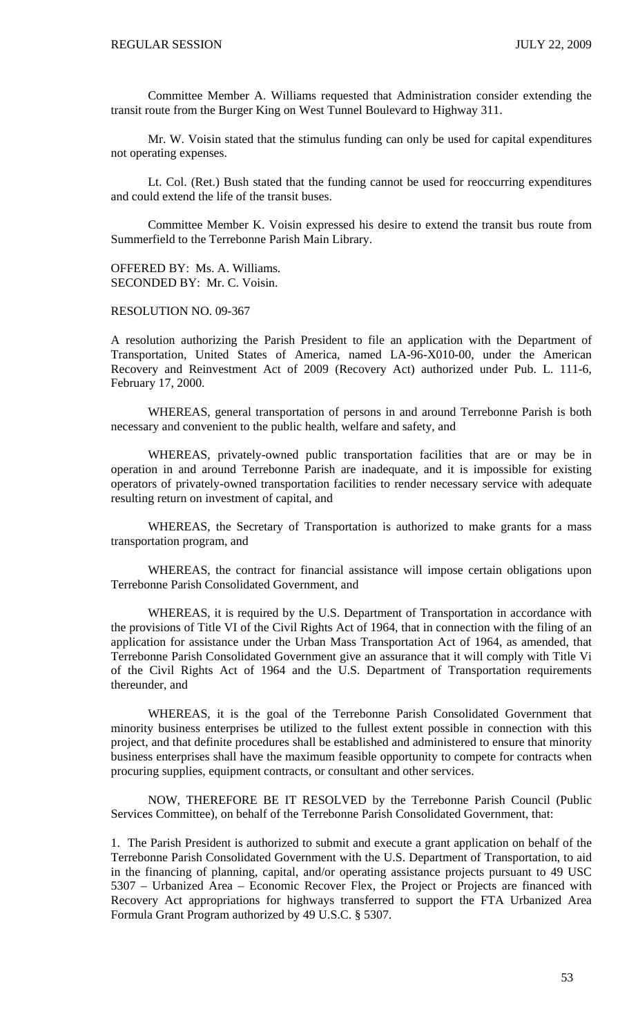Committee Member A. Williams requested that Administration consider extending the transit route from the Burger King on West Tunnel Boulevard to Highway 311.

 Mr. W. Voisin stated that the stimulus funding can only be used for capital expenditures not operating expenses.

 Lt. Col. (Ret.) Bush stated that the funding cannot be used for reoccurring expenditures and could extend the life of the transit buses.

 Committee Member K. Voisin expressed his desire to extend the transit bus route from Summerfield to the Terrebonne Parish Main Library.

OFFERED BY: Ms. A. Williams. SECONDED BY: Mr. C. Voisin.

### RESOLUTION NO. 09-367

A resolution authorizing the Parish President to file an application with the Department of Transportation, United States of America, named LA-96-X010-00, under the American Recovery and Reinvestment Act of 2009 (Recovery Act) authorized under Pub. L. 111-6, February 17, 2000.

 WHEREAS, general transportation of persons in and around Terrebonne Parish is both necessary and convenient to the public health, welfare and safety, and

 WHEREAS, privately-owned public transportation facilities that are or may be in operation in and around Terrebonne Parish are inadequate, and it is impossible for existing operators of privately-owned transportation facilities to render necessary service with adequate resulting return on investment of capital, and

 WHEREAS, the Secretary of Transportation is authorized to make grants for a mass transportation program, and

 WHEREAS, the contract for financial assistance will impose certain obligations upon Terrebonne Parish Consolidated Government, and

 WHEREAS, it is required by the U.S. Department of Transportation in accordance with the provisions of Title VI of the Civil Rights Act of 1964, that in connection with the filing of an application for assistance under the Urban Mass Transportation Act of 1964, as amended, that Terrebonne Parish Consolidated Government give an assurance that it will comply with Title Vi of the Civil Rights Act of 1964 and the U.S. Department of Transportation requirements thereunder, and

 WHEREAS, it is the goal of the Terrebonne Parish Consolidated Government that minority business enterprises be utilized to the fullest extent possible in connection with this project, and that definite procedures shall be established and administered to ensure that minority business enterprises shall have the maximum feasible opportunity to compete for contracts when procuring supplies, equipment contracts, or consultant and other services.

 NOW, THEREFORE BE IT RESOLVED by the Terrebonne Parish Council (Public Services Committee), on behalf of the Terrebonne Parish Consolidated Government, that:

1. The Parish President is authorized to submit and execute a grant application on behalf of the Terrebonne Parish Consolidated Government with the U.S. Department of Transportation, to aid in the financing of planning, capital, and/or operating assistance projects pursuant to 49 USC 5307 – Urbanized Area – Economic Recover Flex, the Project or Projects are financed with Recovery Act appropriations for highways transferred to support the FTA Urbanized Area Formula Grant Program authorized by 49 U.S.C. § 5307.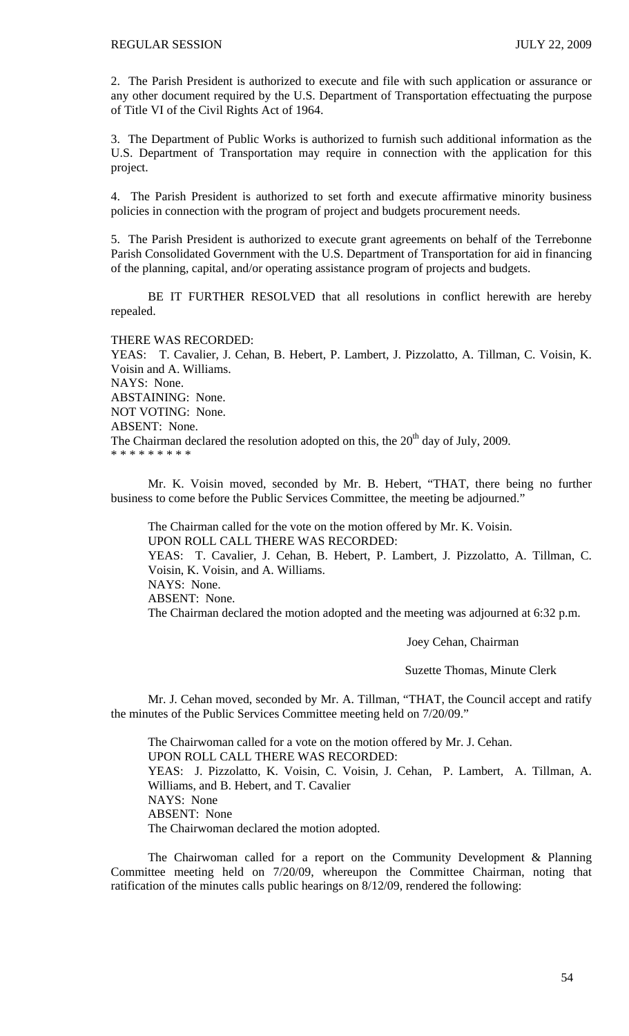2. The Parish President is authorized to execute and file with such application or assurance or any other document required by the U.S. Department of Transportation effectuating the purpose of Title VI of the Civil Rights Act of 1964.

3. The Department of Public Works is authorized to furnish such additional information as the U.S. Department of Transportation may require in connection with the application for this project.

4. The Parish President is authorized to set forth and execute affirmative minority business policies in connection with the program of project and budgets procurement needs.

5. The Parish President is authorized to execute grant agreements on behalf of the Terrebonne Parish Consolidated Government with the U.S. Department of Transportation for aid in financing of the planning, capital, and/or operating assistance program of projects and budgets.

 BE IT FURTHER RESOLVED that all resolutions in conflict herewith are hereby repealed.

THERE WAS RECORDED:

YEAS: T. Cavalier, J. Cehan, B. Hebert, P. Lambert, J. Pizzolatto, A. Tillman, C. Voisin, K. Voisin and A. Williams. NAYS: None. ABSTAINING: None. NOT VOTING: None. ABSENT: None. The Chairman declared the resolution adopted on this, the  $20<sup>th</sup>$  day of July, 2009. \* \* \* \* \* \* \* \* \*

 Mr. K. Voisin moved, seconded by Mr. B. Hebert, "THAT, there being no further business to come before the Public Services Committee, the meeting be adjourned."

 The Chairman called for the vote on the motion offered by Mr. K. Voisin. UPON ROLL CALL THERE WAS RECORDED: YEAS: T. Cavalier, J. Cehan, B. Hebert, P. Lambert, J. Pizzolatto, A. Tillman, C. Voisin, K. Voisin, and A. Williams. NAYS: None. ABSENT: None. The Chairman declared the motion adopted and the meeting was adjourned at 6:32 p.m.

Joey Cehan, Chairman

Suzette Thomas, Minute Clerk

Mr. J. Cehan moved, seconded by Mr. A. Tillman, "THAT, the Council accept and ratify the minutes of the Public Services Committee meeting held on 7/20/09."

 The Chairwoman called for a vote on the motion offered by Mr. J. Cehan. UPON ROLL CALL THERE WAS RECORDED: YEAS: J. Pizzolatto, K. Voisin, C. Voisin, J. Cehan, P. Lambert, A. Tillman, A. Williams, and B. Hebert, and T. Cavalier NAYS: None ABSENT: None The Chairwoman declared the motion adopted.

 The Chairwoman called for a report on the Community Development & Planning Committee meeting held on 7/20/09, whereupon the Committee Chairman, noting that ratification of the minutes calls public hearings on 8/12/09, rendered the following: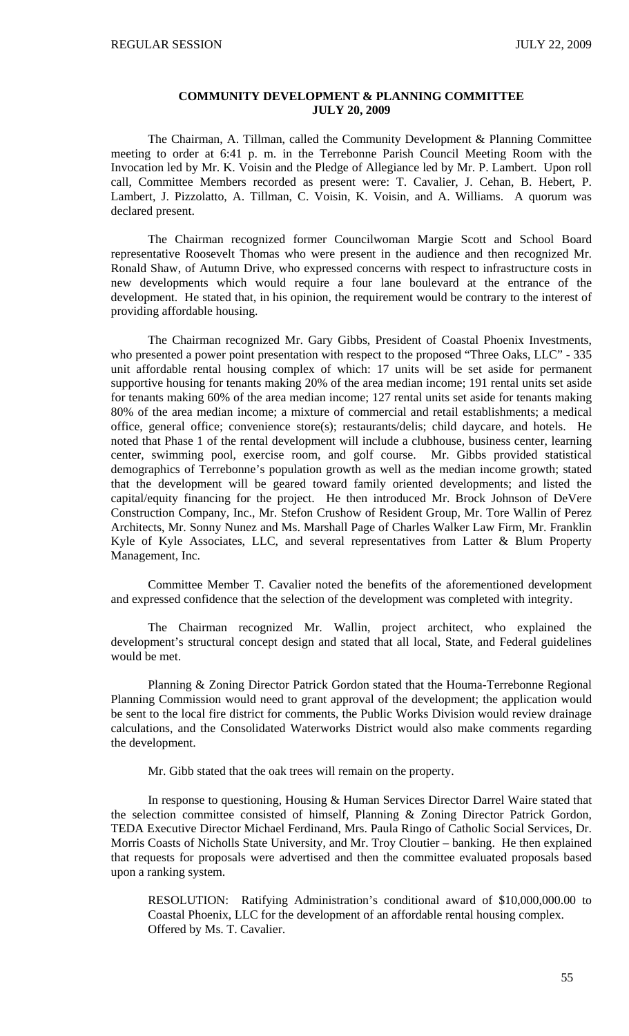## **COMMUNITY DEVELOPMENT & PLANNING COMMITTEE JULY 20, 2009**

 The Chairman, A. Tillman, called the Community Development & Planning Committee meeting to order at 6:41 p. m. in the Terrebonne Parish Council Meeting Room with the Invocation led by Mr. K. Voisin and the Pledge of Allegiance led by Mr. P. Lambert. Upon roll call, Committee Members recorded as present were: T. Cavalier, J. Cehan, B. Hebert, P. Lambert, J. Pizzolatto, A. Tillman, C. Voisin, K. Voisin, and A. Williams. A quorum was declared present.

 The Chairman recognized former Councilwoman Margie Scott and School Board representative Roosevelt Thomas who were present in the audience and then recognized Mr. Ronald Shaw, of Autumn Drive, who expressed concerns with respect to infrastructure costs in new developments which would require a four lane boulevard at the entrance of the development. He stated that, in his opinion, the requirement would be contrary to the interest of providing affordable housing.

 The Chairman recognized Mr. Gary Gibbs, President of Coastal Phoenix Investments, who presented a power point presentation with respect to the proposed "Three Oaks, LLC" - 335 unit affordable rental housing complex of which: 17 units will be set aside for permanent supportive housing for tenants making 20% of the area median income; 191 rental units set aside for tenants making 60% of the area median income; 127 rental units set aside for tenants making 80% of the area median income; a mixture of commercial and retail establishments; a medical office, general office; convenience store(s); restaurants/delis; child daycare, and hotels. He noted that Phase 1 of the rental development will include a clubhouse, business center, learning center, swimming pool, exercise room, and golf course. Mr. Gibbs provided statistical demographics of Terrebonne's population growth as well as the median income growth; stated that the development will be geared toward family oriented developments; and listed the capital/equity financing for the project. He then introduced Mr. Brock Johnson of DeVere Construction Company, Inc., Mr. Stefon Crushow of Resident Group, Mr. Tore Wallin of Perez Architects, Mr. Sonny Nunez and Ms. Marshall Page of Charles Walker Law Firm, Mr. Franklin Kyle of Kyle Associates, LLC, and several representatives from Latter & Blum Property Management, Inc.

 Committee Member T. Cavalier noted the benefits of the aforementioned development and expressed confidence that the selection of the development was completed with integrity.

 The Chairman recognized Mr. Wallin, project architect, who explained the development's structural concept design and stated that all local, State, and Federal guidelines would be met.

 Planning & Zoning Director Patrick Gordon stated that the Houma-Terrebonne Regional Planning Commission would need to grant approval of the development; the application would be sent to the local fire district for comments, the Public Works Division would review drainage calculations, and the Consolidated Waterworks District would also make comments regarding the development.

Mr. Gibb stated that the oak trees will remain on the property.

 In response to questioning, Housing & Human Services Director Darrel Waire stated that the selection committee consisted of himself, Planning & Zoning Director Patrick Gordon, TEDA Executive Director Michael Ferdinand, Mrs. Paula Ringo of Catholic Social Services, Dr. Morris Coasts of Nicholls State University, and Mr. Troy Cloutier – banking. He then explained that requests for proposals were advertised and then the committee evaluated proposals based upon a ranking system.

RESOLUTION: Ratifying Administration's conditional award of \$10,000,000.00 to Coastal Phoenix, LLC for the development of an affordable rental housing complex. Offered by Ms. T. Cavalier.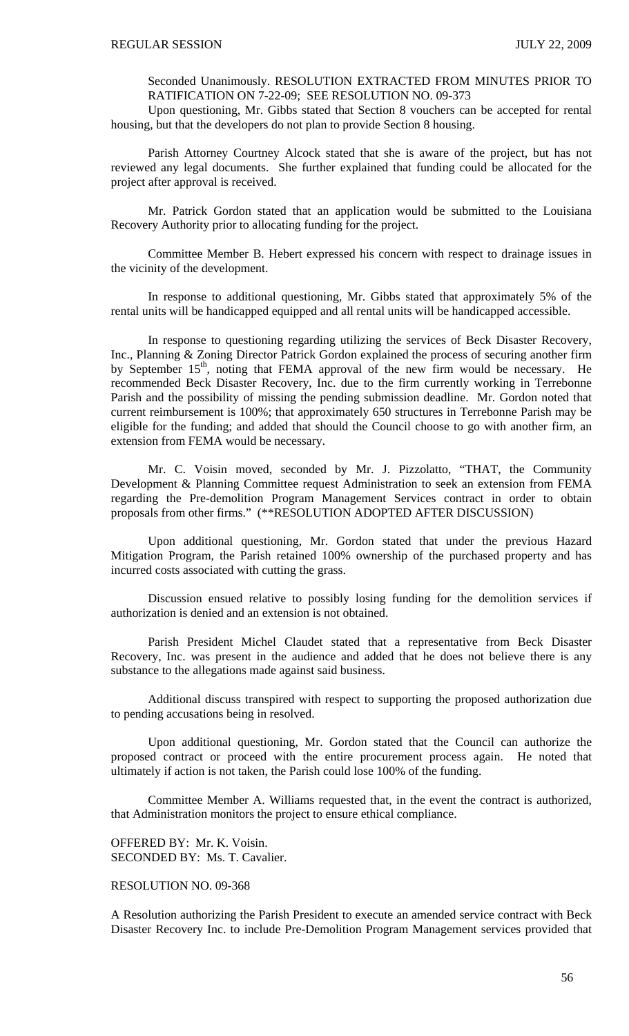Seconded Unanimously. RESOLUTION EXTRACTED FROM MINUTES PRIOR TO RATIFICATION ON 7-22-09; SEE RESOLUTION NO. 09-373

 Upon questioning, Mr. Gibbs stated that Section 8 vouchers can be accepted for rental housing, but that the developers do not plan to provide Section 8 housing.

 Parish Attorney Courtney Alcock stated that she is aware of the project, but has not reviewed any legal documents. She further explained that funding could be allocated for the project after approval is received.

 Mr. Patrick Gordon stated that an application would be submitted to the Louisiana Recovery Authority prior to allocating funding for the project.

 Committee Member B. Hebert expressed his concern with respect to drainage issues in the vicinity of the development.

 In response to additional questioning, Mr. Gibbs stated that approximately 5% of the rental units will be handicapped equipped and all rental units will be handicapped accessible.

 In response to questioning regarding utilizing the services of Beck Disaster Recovery, Inc., Planning & Zoning Director Patrick Gordon explained the process of securing another firm by September  $15<sup>th</sup>$ , noting that FEMA approval of the new firm would be necessary. He recommended Beck Disaster Recovery, Inc. due to the firm currently working in Terrebonne Parish and the possibility of missing the pending submission deadline. Mr. Gordon noted that current reimbursement is 100%; that approximately 650 structures in Terrebonne Parish may be eligible for the funding; and added that should the Council choose to go with another firm, an extension from FEMA would be necessary.

 Mr. C. Voisin moved, seconded by Mr. J. Pizzolatto, "THAT, the Community Development & Planning Committee request Administration to seek an extension from FEMA regarding the Pre-demolition Program Management Services contract in order to obtain proposals from other firms." (\*\*RESOLUTION ADOPTED AFTER DISCUSSION)

 Upon additional questioning, Mr. Gordon stated that under the previous Hazard Mitigation Program, the Parish retained 100% ownership of the purchased property and has incurred costs associated with cutting the grass.

 Discussion ensued relative to possibly losing funding for the demolition services if authorization is denied and an extension is not obtained.

 Parish President Michel Claudet stated that a representative from Beck Disaster Recovery, Inc. was present in the audience and added that he does not believe there is any substance to the allegations made against said business.

 Additional discuss transpired with respect to supporting the proposed authorization due to pending accusations being in resolved.

 Upon additional questioning, Mr. Gordon stated that the Council can authorize the proposed contract or proceed with the entire procurement process again. He noted that ultimately if action is not taken, the Parish could lose 100% of the funding.

 Committee Member A. Williams requested that, in the event the contract is authorized, that Administration monitors the project to ensure ethical compliance.

OFFERED BY: Mr. K. Voisin. SECONDED BY: Ms. T. Cavalier.

### RESOLUTION NO. 09-368

A Resolution authorizing the Parish President to execute an amended service contract with Beck Disaster Recovery Inc. to include Pre-Demolition Program Management services provided that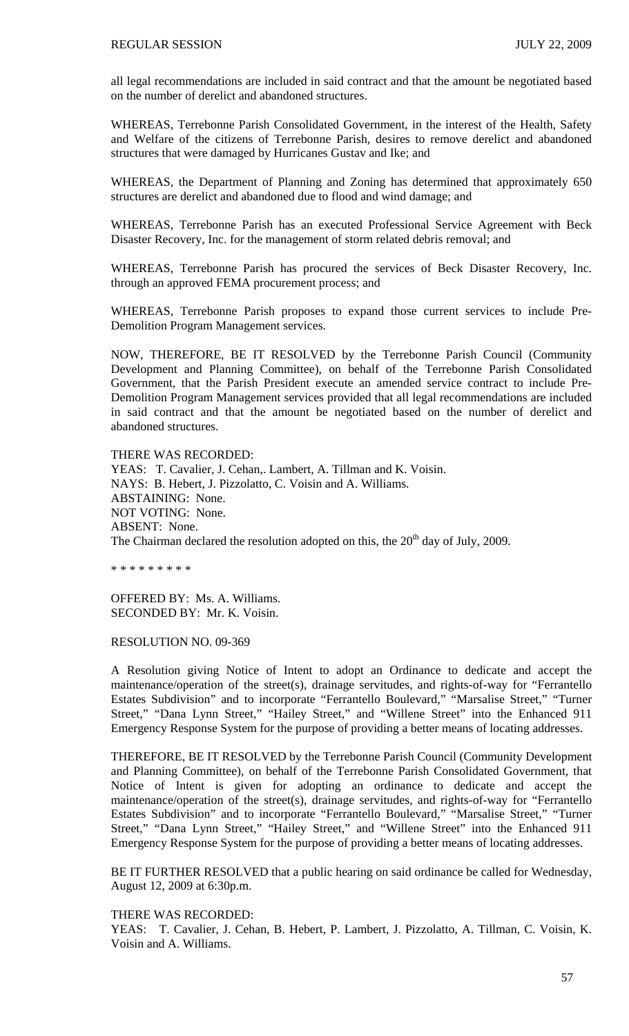all legal recommendations are included in said contract and that the amount be negotiated based on the number of derelict and abandoned structures.

WHEREAS, Terrebonne Parish Consolidated Government, in the interest of the Health, Safety and Welfare of the citizens of Terrebonne Parish, desires to remove derelict and abandoned structures that were damaged by Hurricanes Gustav and Ike; and

WHEREAS, the Department of Planning and Zoning has determined that approximately 650 structures are derelict and abandoned due to flood and wind damage; and

WHEREAS, Terrebonne Parish has an executed Professional Service Agreement with Beck Disaster Recovery, Inc. for the management of storm related debris removal; and

WHEREAS, Terrebonne Parish has procured the services of Beck Disaster Recovery, Inc. through an approved FEMA procurement process; and

WHEREAS, Terrebonne Parish proposes to expand those current services to include Pre-Demolition Program Management services.

NOW, THEREFORE, BE IT RESOLVED by the Terrebonne Parish Council (Community Development and Planning Committee), on behalf of the Terrebonne Parish Consolidated Government, that the Parish President execute an amended service contract to include Pre-Demolition Program Management services provided that all legal recommendations are included in said contract and that the amount be negotiated based on the number of derelict and abandoned structures.

THERE WAS RECORDED: YEAS: T. Cavalier, J. Cehan,. Lambert, A. Tillman and K. Voisin. NAYS: B. Hebert, J. Pizzolatto, C. Voisin and A. Williams. ABSTAINING: None. NOT VOTING: None. ABSENT: None. The Chairman declared the resolution adopted on this, the  $20<sup>th</sup>$  day of July, 2009.

\* \* \* \* \* \* \* \* \*

OFFERED BY: Ms. A. Williams. SECONDED BY: Mr. K. Voisin.

#### RESOLUTION NO. 09-369

A Resolution giving Notice of Intent to adopt an Ordinance to dedicate and accept the maintenance/operation of the street(s), drainage servitudes, and rights-of-way for "Ferrantello Estates Subdivision" and to incorporate "Ferrantello Boulevard," "Marsalise Street," "Turner Street," "Dana Lynn Street," "Hailey Street," and "Willene Street" into the Enhanced 911 Emergency Response System for the purpose of providing a better means of locating addresses.

THEREFORE, BE IT RESOLVED by the Terrebonne Parish Council (Community Development and Planning Committee), on behalf of the Terrebonne Parish Consolidated Government, that Notice of Intent is given for adopting an ordinance to dedicate and accept the maintenance/operation of the street(s), drainage servitudes, and rights-of-way for "Ferrantello Estates Subdivision" and to incorporate "Ferrantello Boulevard," "Marsalise Street," "Turner Street," "Dana Lynn Street," "Hailey Street," and "Willene Street" into the Enhanced 911 Emergency Response System for the purpose of providing a better means of locating addresses.

BE IT FURTHER RESOLVED that a public hearing on said ordinance be called for Wednesday, August 12, 2009 at 6:30p.m.

THERE WAS RECORDED:

YEAS: T. Cavalier, J. Cehan, B. Hebert, P. Lambert, J. Pizzolatto, A. Tillman, C. Voisin, K. Voisin and A. Williams.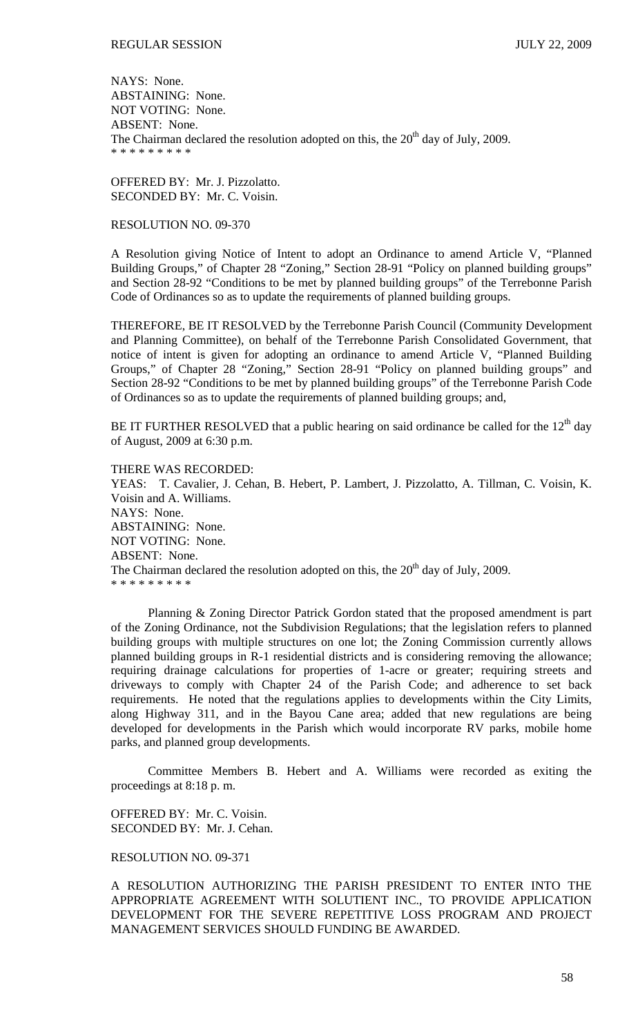NAYS: None. ABSTAINING: None. NOT VOTING: None. ABSENT: None. The Chairman declared the resolution adopted on this, the  $20<sup>th</sup>$  day of July, 2009. \* \* \* \* \* \* \* \* \*

OFFERED BY: Mr. J. Pizzolatto. SECONDED BY: Mr. C. Voisin.

### RESOLUTION NO. 09-370

A Resolution giving Notice of Intent to adopt an Ordinance to amend Article V, "Planned Building Groups," of Chapter 28 "Zoning," Section 28-91 "Policy on planned building groups" and Section 28-92 "Conditions to be met by planned building groups" of the Terrebonne Parish Code of Ordinances so as to update the requirements of planned building groups.

THEREFORE, BE IT RESOLVED by the Terrebonne Parish Council (Community Development and Planning Committee), on behalf of the Terrebonne Parish Consolidated Government, that notice of intent is given for adopting an ordinance to amend Article V, "Planned Building Groups," of Chapter 28 "Zoning," Section 28-91 "Policy on planned building groups" and Section 28-92 "Conditions to be met by planned building groups" of the Terrebonne Parish Code of Ordinances so as to update the requirements of planned building groups; and,

BE IT FURTHER RESOLVED that a public hearing on said ordinance be called for the  $12<sup>th</sup>$  day of August, 2009 at 6:30 p.m.

THERE WAS RECORDED: YEAS: T. Cavalier, J. Cehan, B. Hebert, P. Lambert, J. Pizzolatto, A. Tillman, C. Voisin, K. Voisin and A. Williams. NAYS: None. ABSTAINING: None. NOT VOTING: None. ABSENT: None. The Chairman declared the resolution adopted on this, the  $20<sup>th</sup>$  day of July, 2009. \* \* \* \* \* \* \* \* \*

 Planning & Zoning Director Patrick Gordon stated that the proposed amendment is part of the Zoning Ordinance, not the Subdivision Regulations; that the legislation refers to planned building groups with multiple structures on one lot; the Zoning Commission currently allows planned building groups in R-1 residential districts and is considering removing the allowance; requiring drainage calculations for properties of 1-acre or greater; requiring streets and driveways to comply with Chapter 24 of the Parish Code; and adherence to set back requirements. He noted that the regulations applies to developments within the City Limits, along Highway 311, and in the Bayou Cane area; added that new regulations are being developed for developments in the Parish which would incorporate RV parks, mobile home parks, and planned group developments.

 Committee Members B. Hebert and A. Williams were recorded as exiting the proceedings at 8:18 p. m.

OFFERED BY: Mr. C. Voisin. SECONDED BY: Mr. J. Cehan.

### RESOLUTION NO. 09-371

A RESOLUTION AUTHORIZING THE PARISH PRESIDENT TO ENTER INTO THE APPROPRIATE AGREEMENT WITH SOLUTIENT INC., TO PROVIDE APPLICATION DEVELOPMENT FOR THE SEVERE REPETITIVE LOSS PROGRAM AND PROJECT MANAGEMENT SERVICES SHOULD FUNDING BE AWARDED.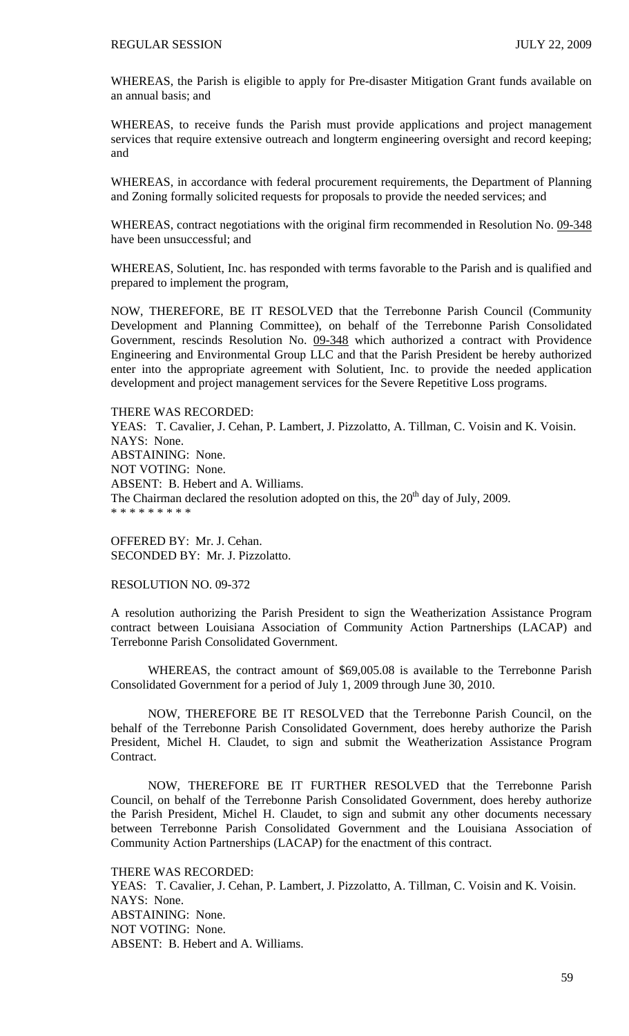WHEREAS, the Parish is eligible to apply for Pre-disaster Mitigation Grant funds available on an annual basis; and

WHEREAS, to receive funds the Parish must provide applications and project management services that require extensive outreach and longterm engineering oversight and record keeping; and

WHEREAS, in accordance with federal procurement requirements, the Department of Planning and Zoning formally solicited requests for proposals to provide the needed services; and

WHEREAS, contract negotiations with the original firm recommended in Resolution No. 09-348 have been unsuccessful; and

WHEREAS, Solutient, Inc. has responded with terms favorable to the Parish and is qualified and prepared to implement the program,

NOW, THEREFORE, BE IT RESOLVED that the Terrebonne Parish Council (Community Development and Planning Committee), on behalf of the Terrebonne Parish Consolidated Government, rescinds Resolution No. 09-348 which authorized a contract with Providence Engineering and Environmental Group LLC and that the Parish President be hereby authorized enter into the appropriate agreement with Solutient, Inc. to provide the needed application development and project management services for the Severe Repetitive Loss programs.

THERE WAS RECORDED: YEAS: T. Cavalier, J. Cehan, P. Lambert, J. Pizzolatto, A. Tillman, C. Voisin and K. Voisin. NAYS: None. ABSTAINING: None. NOT VOTING: None. ABSENT: B. Hebert and A. Williams. The Chairman declared the resolution adopted on this, the  $20<sup>th</sup>$  day of July, 2009. \* \* \* \* \* \* \* \* \*

OFFERED BY: Mr. J. Cehan. SECONDED BY: Mr. J. Pizzolatto.

RESOLUTION NO. 09-372

A resolution authorizing the Parish President to sign the Weatherization Assistance Program contract between Louisiana Association of Community Action Partnerships (LACAP) and Terrebonne Parish Consolidated Government.

 WHEREAS, the contract amount of \$69,005.08 is available to the Terrebonne Parish Consolidated Government for a period of July 1, 2009 through June 30, 2010.

 NOW, THEREFORE BE IT RESOLVED that the Terrebonne Parish Council, on the behalf of the Terrebonne Parish Consolidated Government, does hereby authorize the Parish President, Michel H. Claudet, to sign and submit the Weatherization Assistance Program Contract.

 NOW, THEREFORE BE IT FURTHER RESOLVED that the Terrebonne Parish Council, on behalf of the Terrebonne Parish Consolidated Government, does hereby authorize the Parish President, Michel H. Claudet, to sign and submit any other documents necessary between Terrebonne Parish Consolidated Government and the Louisiana Association of Community Action Partnerships (LACAP) for the enactment of this contract.

THERE WAS RECORDED: YEAS: T. Cavalier, J. Cehan, P. Lambert, J. Pizzolatto, A. Tillman, C. Voisin and K. Voisin. NAYS: None. ABSTAINING: None. NOT VOTING: None. ABSENT: B. Hebert and A. Williams.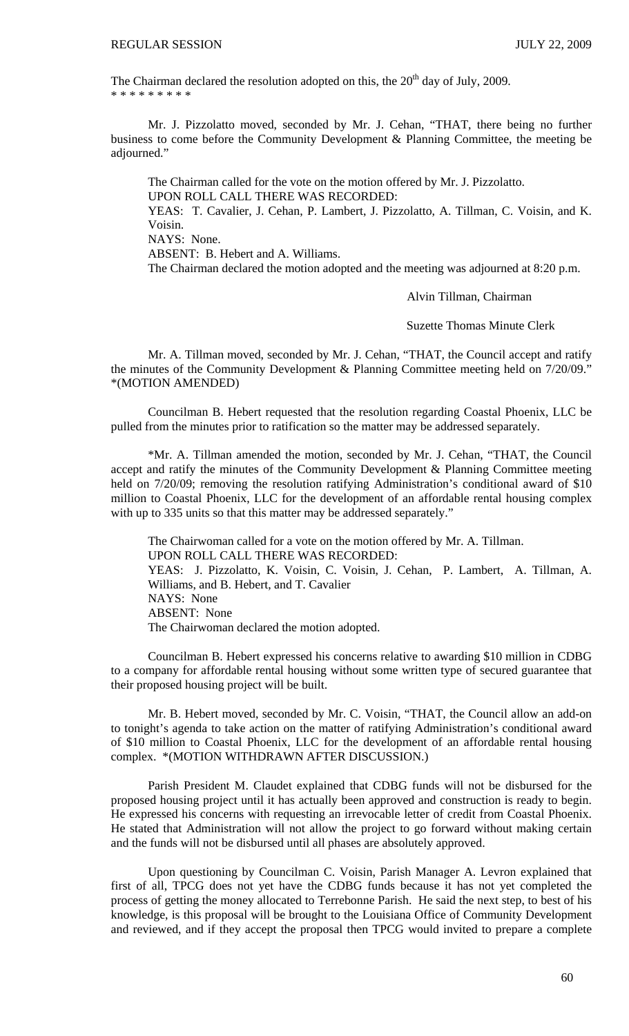The Chairman declared the resolution adopted on this, the  $20<sup>th</sup>$  day of July, 2009. \* \* \* \* \* \* \* \* \*

 Mr. J. Pizzolatto moved, seconded by Mr. J. Cehan, "THAT, there being no further business to come before the Community Development & Planning Committee, the meeting be adjourned."

 The Chairman called for the vote on the motion offered by Mr. J. Pizzolatto. UPON ROLL CALL THERE WAS RECORDED: YEAS: T. Cavalier, J. Cehan, P. Lambert, J. Pizzolatto, A. Tillman, C. Voisin, and K. Voisin. NAYS: None. ABSENT: B. Hebert and A. Williams.

The Chairman declared the motion adopted and the meeting was adjourned at 8:20 p.m.

Alvin Tillman, Chairman

Suzette Thomas Minute Clerk

Mr. A. Tillman moved, seconded by Mr. J. Cehan, "THAT, the Council accept and ratify the minutes of the Community Development & Planning Committee meeting held on 7/20/09." \*(MOTION AMENDED)

 Councilman B. Hebert requested that the resolution regarding Coastal Phoenix, LLC be pulled from the minutes prior to ratification so the matter may be addressed separately.

 \*Mr. A. Tillman amended the motion, seconded by Mr. J. Cehan, "THAT, the Council accept and ratify the minutes of the Community Development & Planning Committee meeting held on 7/20/09; removing the resolution ratifying Administration's conditional award of \$10 million to Coastal Phoenix, LLC for the development of an affordable rental housing complex with up to 335 units so that this matter may be addressed separately."

 The Chairwoman called for a vote on the motion offered by Mr. A. Tillman. UPON ROLL CALL THERE WAS RECORDED: YEAS: J. Pizzolatto, K. Voisin, C. Voisin, J. Cehan, P. Lambert, A. Tillman, A. Williams, and B. Hebert, and T. Cavalier NAYS: None ABSENT: None The Chairwoman declared the motion adopted.

 Councilman B. Hebert expressed his concerns relative to awarding \$10 million in CDBG to a company for affordable rental housing without some written type of secured guarantee that their proposed housing project will be built.

 Mr. B. Hebert moved, seconded by Mr. C. Voisin, "THAT, the Council allow an add-on to tonight's agenda to take action on the matter of ratifying Administration's conditional award of \$10 million to Coastal Phoenix, LLC for the development of an affordable rental housing complex. \*(MOTION WITHDRAWN AFTER DISCUSSION.)

 Parish President M. Claudet explained that CDBG funds will not be disbursed for the proposed housing project until it has actually been approved and construction is ready to begin. He expressed his concerns with requesting an irrevocable letter of credit from Coastal Phoenix. He stated that Administration will not allow the project to go forward without making certain and the funds will not be disbursed until all phases are absolutely approved.

 Upon questioning by Councilman C. Voisin, Parish Manager A. Levron explained that first of all, TPCG does not yet have the CDBG funds because it has not yet completed the process of getting the money allocated to Terrebonne Parish. He said the next step, to best of his knowledge, is this proposal will be brought to the Louisiana Office of Community Development and reviewed, and if they accept the proposal then TPCG would invited to prepare a complete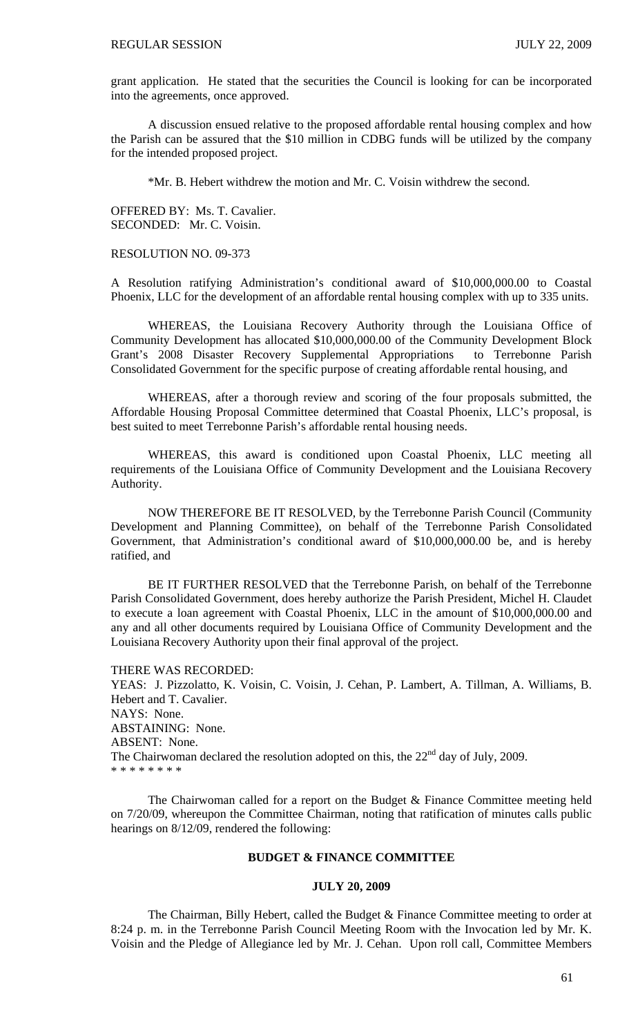grant application. He stated that the securities the Council is looking for can be incorporated into the agreements, once approved.

 A discussion ensued relative to the proposed affordable rental housing complex and how the Parish can be assured that the \$10 million in CDBG funds will be utilized by the company for the intended proposed project.

\*Mr. B. Hebert withdrew the motion and Mr. C. Voisin withdrew the second.

OFFERED BY: Ms. T. Cavalier. SECONDED: Mr. C. Voisin.

RESOLUTION NO. 09-373

A Resolution ratifying Administration's conditional award of \$10,000,000.00 to Coastal Phoenix, LLC for the development of an affordable rental housing complex with up to 335 units.

 WHEREAS, the Louisiana Recovery Authority through the Louisiana Office of Community Development has allocated \$10,000,000.00 of the Community Development Block Grant's 2008 Disaster Recovery Supplemental Appropriations to Terrebonne Parish Consolidated Government for the specific purpose of creating affordable rental housing, and

 WHEREAS, after a thorough review and scoring of the four proposals submitted, the Affordable Housing Proposal Committee determined that Coastal Phoenix, LLC's proposal, is best suited to meet Terrebonne Parish's affordable rental housing needs.

 WHEREAS, this award is conditioned upon Coastal Phoenix, LLC meeting all requirements of the Louisiana Office of Community Development and the Louisiana Recovery Authority.

 NOW THEREFORE BE IT RESOLVED, by the Terrebonne Parish Council (Community Development and Planning Committee), on behalf of the Terrebonne Parish Consolidated Government, that Administration's conditional award of \$10,000,000.00 be, and is hereby ratified, and

 BE IT FURTHER RESOLVED that the Terrebonne Parish, on behalf of the Terrebonne Parish Consolidated Government, does hereby authorize the Parish President, Michel H. Claudet to execute a loan agreement with Coastal Phoenix, LLC in the amount of \$10,000,000.00 and any and all other documents required by Louisiana Office of Community Development and the Louisiana Recovery Authority upon their final approval of the project.

THERE WAS RECORDED:

YEAS: J. Pizzolatto, K. Voisin, C. Voisin, J. Cehan, P. Lambert, A. Tillman, A. Williams, B. Hebert and T. Cavalier. NAYS: None. ABSTAINING: None. ABSENT: None. The Chairwoman declared the resolution adopted on this, the  $22<sup>nd</sup>$  day of July, 2009. \* \* \* \* \* \* \* \*

 The Chairwoman called for a report on the Budget & Finance Committee meeting held on 7/20/09, whereupon the Committee Chairman, noting that ratification of minutes calls public hearings on 8/12/09, rendered the following:

### **BUDGET & FINANCE COMMITTEE**

## **JULY 20, 2009**

 The Chairman, Billy Hebert, called the Budget & Finance Committee meeting to order at 8:24 p. m. in the Terrebonne Parish Council Meeting Room with the Invocation led by Mr. K. Voisin and the Pledge of Allegiance led by Mr. J. Cehan. Upon roll call, Committee Members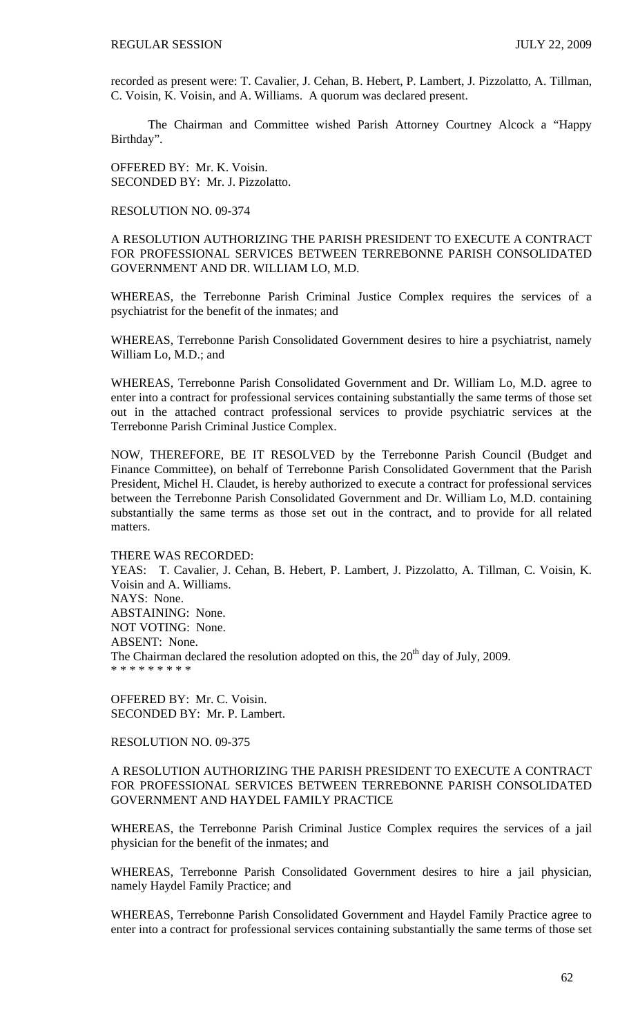recorded as present were: T. Cavalier, J. Cehan, B. Hebert, P. Lambert, J. Pizzolatto, A. Tillman, C. Voisin, K. Voisin, and A. Williams. A quorum was declared present.

 The Chairman and Committee wished Parish Attorney Courtney Alcock a "Happy Birthday".

OFFERED BY: Mr. K. Voisin. SECONDED BY: Mr. J. Pizzolatto.

RESOLUTION NO. 09-374

A RESOLUTION AUTHORIZING THE PARISH PRESIDENT TO EXECUTE A CONTRACT FOR PROFESSIONAL SERVICES BETWEEN TERREBONNE PARISH CONSOLIDATED GOVERNMENT AND DR. WILLIAM LO, M.D.

WHEREAS, the Terrebonne Parish Criminal Justice Complex requires the services of a psychiatrist for the benefit of the inmates; and

WHEREAS, Terrebonne Parish Consolidated Government desires to hire a psychiatrist, namely William Lo, M.D.; and

WHEREAS, Terrebonne Parish Consolidated Government and Dr. William Lo, M.D. agree to enter into a contract for professional services containing substantially the same terms of those set out in the attached contract professional services to provide psychiatric services at the Terrebonne Parish Criminal Justice Complex.

NOW, THEREFORE, BE IT RESOLVED by the Terrebonne Parish Council (Budget and Finance Committee), on behalf of Terrebonne Parish Consolidated Government that the Parish President, Michel H. Claudet, is hereby authorized to execute a contract for professional services between the Terrebonne Parish Consolidated Government and Dr. William Lo, M.D. containing substantially the same terms as those set out in the contract, and to provide for all related matters.

THERE WAS RECORDED:

YEAS: T. Cavalier, J. Cehan, B. Hebert, P. Lambert, J. Pizzolatto, A. Tillman, C. Voisin, K. Voisin and A. Williams. NAYS: None. ABSTAINING: None. NOT VOTING: None. ABSENT: None. The Chairman declared the resolution adopted on this, the  $20<sup>th</sup>$  day of July, 2009. \* \* \* \* \* \* \* \*

OFFERED BY: Mr. C. Voisin. SECONDED BY: Mr. P. Lambert.

RESOLUTION NO. 09-375

A RESOLUTION AUTHORIZING THE PARISH PRESIDENT TO EXECUTE A CONTRACT FOR PROFESSIONAL SERVICES BETWEEN TERREBONNE PARISH CONSOLIDATED GOVERNMENT AND HAYDEL FAMILY PRACTICE

WHEREAS, the Terrebonne Parish Criminal Justice Complex requires the services of a jail physician for the benefit of the inmates; and

WHEREAS, Terrebonne Parish Consolidated Government desires to hire a jail physician, namely Haydel Family Practice; and

WHEREAS, Terrebonne Parish Consolidated Government and Haydel Family Practice agree to enter into a contract for professional services containing substantially the same terms of those set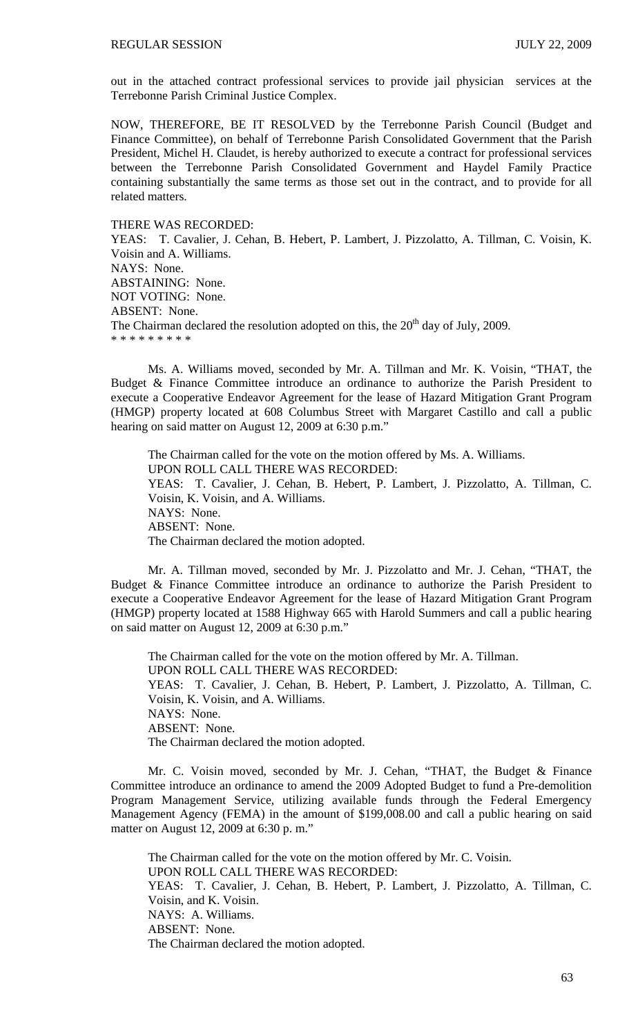out in the attached contract professional services to provide jail physician services at the Terrebonne Parish Criminal Justice Complex.

NOW, THEREFORE, BE IT RESOLVED by the Terrebonne Parish Council (Budget and Finance Committee), on behalf of Terrebonne Parish Consolidated Government that the Parish President, Michel H. Claudet, is hereby authorized to execute a contract for professional services between the Terrebonne Parish Consolidated Government and Haydel Family Practice containing substantially the same terms as those set out in the contract, and to provide for all related matters.

THERE WAS RECORDED:

YEAS: T. Cavalier, J. Cehan, B. Hebert, P. Lambert, J. Pizzolatto, A. Tillman, C. Voisin, K. Voisin and A. Williams. NAYS: None. ABSTAINING: None. NOT VOTING: None. ABSENT: None. The Chairman declared the resolution adopted on this, the  $20<sup>th</sup>$  day of July, 2009. \* \* \* \* \* \* \* \* \*

 Ms. A. Williams moved, seconded by Mr. A. Tillman and Mr. K. Voisin, "THAT, the Budget & Finance Committee introduce an ordinance to authorize the Parish President to execute a Cooperative Endeavor Agreement for the lease of Hazard Mitigation Grant Program (HMGP) property located at 608 Columbus Street with Margaret Castillo and call a public hearing on said matter on August 12, 2009 at 6:30 p.m."

The Chairman called for the vote on the motion offered by Ms. A. Williams. UPON ROLL CALL THERE WAS RECORDED: YEAS: T. Cavalier, J. Cehan, B. Hebert, P. Lambert, J. Pizzolatto, A. Tillman, C. Voisin, K. Voisin, and A. Williams. NAYS: None. ABSENT: None. The Chairman declared the motion adopted.

 Mr. A. Tillman moved, seconded by Mr. J. Pizzolatto and Mr. J. Cehan, "THAT, the Budget & Finance Committee introduce an ordinance to authorize the Parish President to execute a Cooperative Endeavor Agreement for the lease of Hazard Mitigation Grant Program (HMGP) property located at 1588 Highway 665 with Harold Summers and call a public hearing on said matter on August 12, 2009 at 6:30 p.m."

The Chairman called for the vote on the motion offered by Mr. A. Tillman. UPON ROLL CALL THERE WAS RECORDED: YEAS: T. Cavalier, J. Cehan, B. Hebert, P. Lambert, J. Pizzolatto, A. Tillman, C. Voisin, K. Voisin, and A. Williams. NAYS: None. ABSENT: None. The Chairman declared the motion adopted.

 Mr. C. Voisin moved, seconded by Mr. J. Cehan, "THAT, the Budget & Finance Committee introduce an ordinance to amend the 2009 Adopted Budget to fund a Pre-demolition Program Management Service, utilizing available funds through the Federal Emergency Management Agency (FEMA) in the amount of \$199,008.00 and call a public hearing on said matter on August 12, 2009 at 6:30 p. m."

The Chairman called for the vote on the motion offered by Mr. C. Voisin. UPON ROLL CALL THERE WAS RECORDED: YEAS: T. Cavalier, J. Cehan, B. Hebert, P. Lambert, J. Pizzolatto, A. Tillman, C. Voisin, and K. Voisin. NAYS: A. Williams. ABSENT: None. The Chairman declared the motion adopted.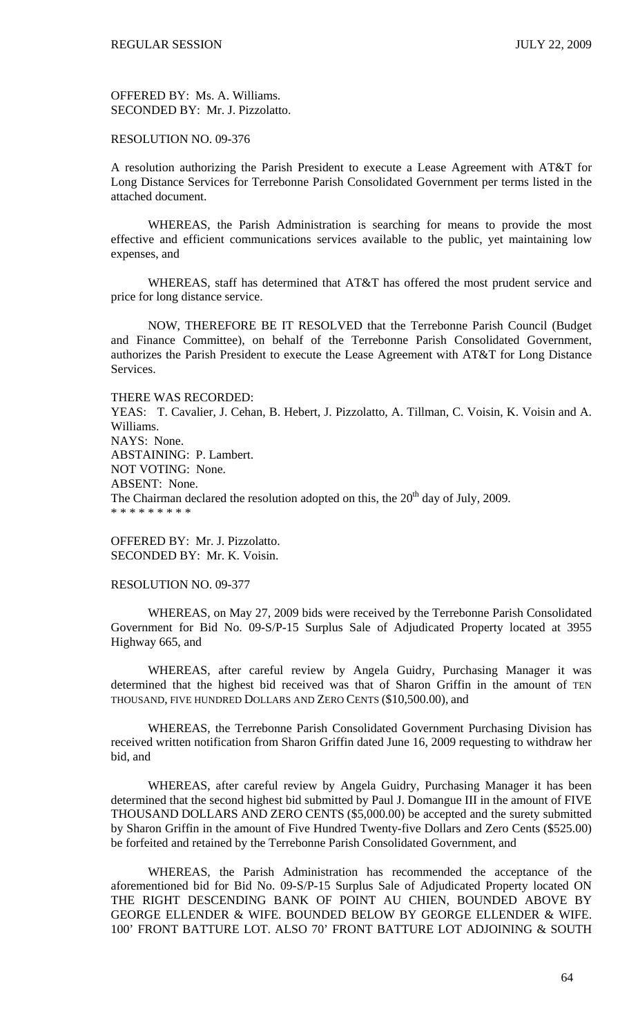OFFERED BY: Ms. A. Williams. SECONDED BY: Mr. J. Pizzolatto.

## RESOLUTION NO. 09-376

A resolution authorizing the Parish President to execute a Lease Agreement with AT&T for Long Distance Services for Terrebonne Parish Consolidated Government per terms listed in the attached document.

 WHEREAS, the Parish Administration is searching for means to provide the most effective and efficient communications services available to the public, yet maintaining low expenses, and

 WHEREAS, staff has determined that AT&T has offered the most prudent service and price for long distance service.

 NOW, THEREFORE BE IT RESOLVED that the Terrebonne Parish Council (Budget and Finance Committee), on behalf of the Terrebonne Parish Consolidated Government, authorizes the Parish President to execute the Lease Agreement with AT&T for Long Distance Services.

### THERE WAS RECORDED:

YEAS: T. Cavalier, J. Cehan, B. Hebert, J. Pizzolatto, A. Tillman, C. Voisin, K. Voisin and A. Williams. NAYS: None. ABSTAINING: P. Lambert. NOT VOTING: None. ABSENT: None. The Chairman declared the resolution adopted on this, the  $20<sup>th</sup>$  day of July, 2009. \* \* \* \* \* \* \* \* \*

OFFERED BY: Mr. J. Pizzolatto. SECONDED BY: Mr. K. Voisin.

#### RESOLUTION NO. 09-377

 WHEREAS, on May 27, 2009 bids were received by the Terrebonne Parish Consolidated Government for Bid No. 09-S/P-15 Surplus Sale of Adjudicated Property located at 3955 Highway 665, and

 WHEREAS, after careful review by Angela Guidry, Purchasing Manager it was determined that the highest bid received was that of Sharon Griffin in the amount of TEN THOUSAND, FIVE HUNDRED DOLLARS AND ZERO CENTS (\$10,500.00), and

 WHEREAS, the Terrebonne Parish Consolidated Government Purchasing Division has received written notification from Sharon Griffin dated June 16, 2009 requesting to withdraw her bid, and

 WHEREAS, after careful review by Angela Guidry, Purchasing Manager it has been determined that the second highest bid submitted by Paul J. Domangue III in the amount of FIVE THOUSAND DOLLARS AND ZERO CENTS (\$5,000.00) be accepted and the surety submitted by Sharon Griffin in the amount of Five Hundred Twenty-five Dollars and Zero Cents (\$525.00) be forfeited and retained by the Terrebonne Parish Consolidated Government, and

 WHEREAS, the Parish Administration has recommended the acceptance of the aforementioned bid for Bid No. 09-S/P-15 Surplus Sale of Adjudicated Property located ON THE RIGHT DESCENDING BANK OF POINT AU CHIEN, BOUNDED ABOVE BY GEORGE ELLENDER & WIFE. BOUNDED BELOW BY GEORGE ELLENDER & WIFE. 100' FRONT BATTURE LOT. ALSO 70' FRONT BATTURE LOT ADJOINING & SOUTH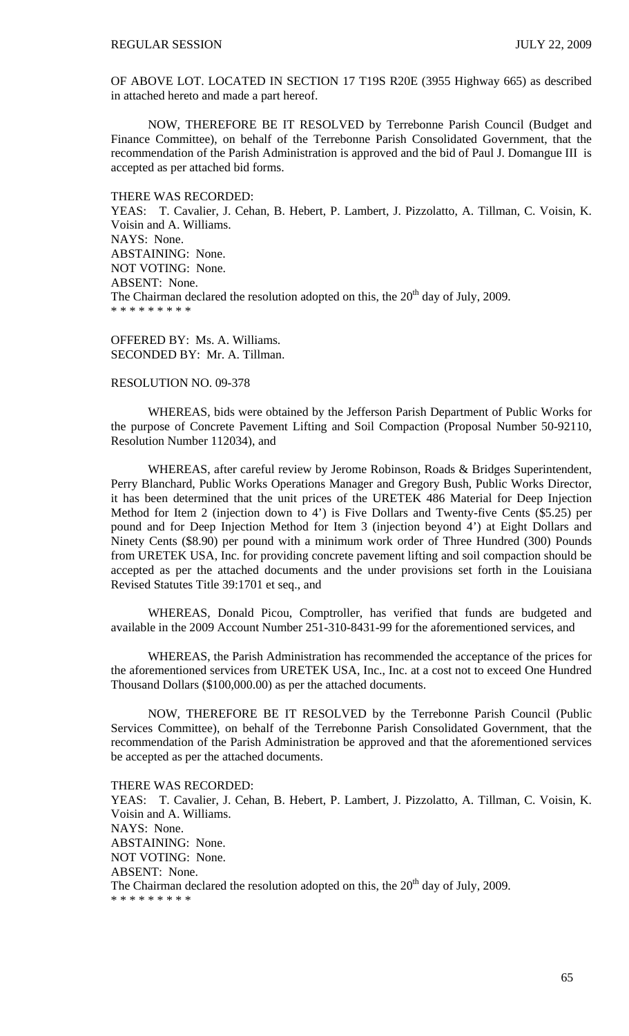OF ABOVE LOT. LOCATED IN SECTION 17 T19S R20E (3955 Highway 665) as described in attached hereto and made a part hereof.

NOW, THEREFORE BE IT RESOLVED by Terrebonne Parish Council (Budget and Finance Committee), on behalf of the Terrebonne Parish Consolidated Government, that the recommendation of the Parish Administration is approved and the bid of Paul J. Domangue III is accepted as per attached bid forms.

#### THERE WAS RECORDED:

YEAS: T. Cavalier, J. Cehan, B. Hebert, P. Lambert, J. Pizzolatto, A. Tillman, C. Voisin, K. Voisin and A. Williams. NAYS: None. ABSTAINING: None. NOT VOTING: None. ABSENT: None. The Chairman declared the resolution adopted on this, the  $20<sup>th</sup>$  day of July, 2009. \* \* \* \* \* \* \* \*

OFFERED BY: Ms. A. Williams. SECONDED BY: Mr. A. Tillman.

### RESOLUTION NO. 09-378

 WHEREAS, bids were obtained by the Jefferson Parish Department of Public Works for the purpose of Concrete Pavement Lifting and Soil Compaction (Proposal Number 50-92110, Resolution Number 112034), and

 WHEREAS, after careful review by Jerome Robinson, Roads & Bridges Superintendent, Perry Blanchard, Public Works Operations Manager and Gregory Bush, Public Works Director, it has been determined that the unit prices of the URETEK 486 Material for Deep Injection Method for Item 2 (injection down to 4') is Five Dollars and Twenty-five Cents (\$5.25) per pound and for Deep Injection Method for Item 3 (injection beyond 4') at Eight Dollars and Ninety Cents (\$8.90) per pound with a minimum work order of Three Hundred (300) Pounds from URETEK USA, Inc. for providing concrete pavement lifting and soil compaction should be accepted as per the attached documents and the under provisions set forth in the Louisiana Revised Statutes Title 39:1701 et seq., and

 WHEREAS, Donald Picou, Comptroller, has verified that funds are budgeted and available in the 2009 Account Number 251-310-8431-99 for the aforementioned services, and

 WHEREAS, the Parish Administration has recommended the acceptance of the prices for the aforementioned services from URETEK USA, Inc., Inc. at a cost not to exceed One Hundred Thousand Dollars (\$100,000.00) as per the attached documents.

 NOW, THEREFORE BE IT RESOLVED by the Terrebonne Parish Council (Public Services Committee), on behalf of the Terrebonne Parish Consolidated Government, that the recommendation of the Parish Administration be approved and that the aforementioned services be accepted as per the attached documents.

THERE WAS RECORDED: YEAS: T. Cavalier, J. Cehan, B. Hebert, P. Lambert, J. Pizzolatto, A. Tillman, C. Voisin, K. Voisin and A. Williams. NAYS: None. ABSTAINING: None. NOT VOTING: None. ABSENT: None. The Chairman declared the resolution adopted on this, the  $20<sup>th</sup>$  day of July, 2009. \* \* \* \* \* \* \* \* \*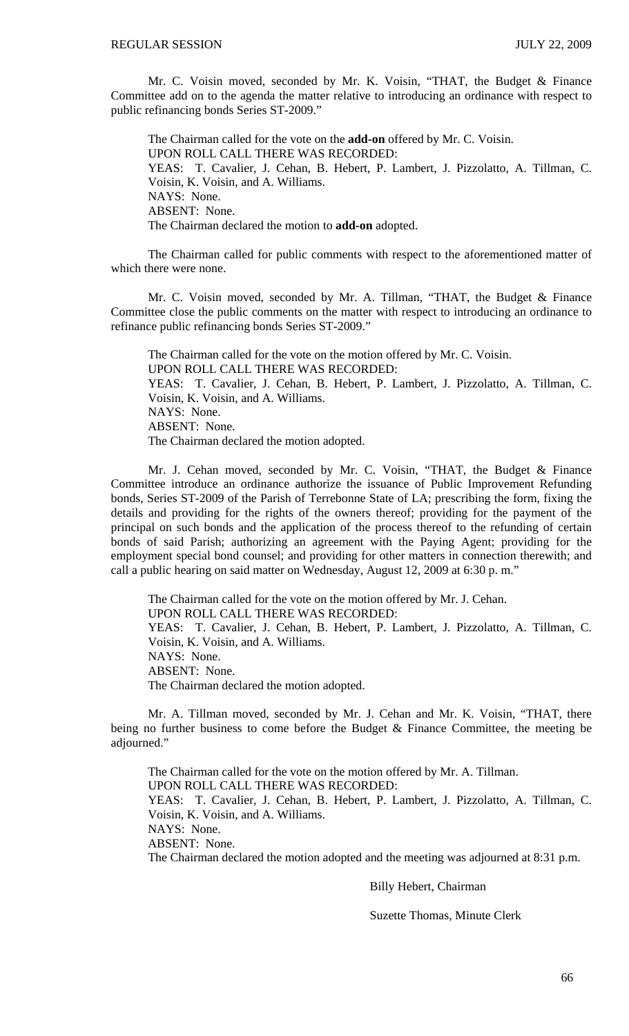Mr. C. Voisin moved, seconded by Mr. K. Voisin, "THAT, the Budget & Finance Committee add on to the agenda the matter relative to introducing an ordinance with respect to public refinancing bonds Series ST-2009."

The Chairman called for the vote on the **add-on** offered by Mr. C. Voisin. UPON ROLL CALL THERE WAS RECORDED: YEAS: T. Cavalier, J. Cehan, B. Hebert, P. Lambert, J. Pizzolatto, A. Tillman, C. Voisin, K. Voisin, and A. Williams. NAYS: None. ABSENT: None. The Chairman declared the motion to **add-on** adopted.

The Chairman called for public comments with respect to the aforementioned matter of which there were none.

Mr. C. Voisin moved, seconded by Mr. A. Tillman, "THAT, the Budget & Finance Committee close the public comments on the matter with respect to introducing an ordinance to refinance public refinancing bonds Series ST-2009."

The Chairman called for the vote on the motion offered by Mr. C. Voisin. UPON ROLL CALL THERE WAS RECORDED: YEAS: T. Cavalier, J. Cehan, B. Hebert, P. Lambert, J. Pizzolatto, A. Tillman, C. Voisin, K. Voisin, and A. Williams. NAYS: None. ABSENT: None. The Chairman declared the motion adopted.

Mr. J. Cehan moved, seconded by Mr. C. Voisin, "THAT, the Budget & Finance Committee introduce an ordinance authorize the issuance of Public Improvement Refunding bonds, Series ST-2009 of the Parish of Terrebonne State of LA; prescribing the form, fixing the details and providing for the rights of the owners thereof; providing for the payment of the principal on such bonds and the application of the process thereof to the refunding of certain bonds of said Parish; authorizing an agreement with the Paying Agent; providing for the employment special bond counsel; and providing for other matters in connection therewith; and call a public hearing on said matter on Wednesday, August 12, 2009 at 6:30 p. m."

The Chairman called for the vote on the motion offered by Mr. J. Cehan. UPON ROLL CALL THERE WAS RECORDED: YEAS: T. Cavalier, J. Cehan, B. Hebert, P. Lambert, J. Pizzolatto, A. Tillman, C. Voisin, K. Voisin, and A. Williams. NAYS: None. ABSENT: None. The Chairman declared the motion adopted.

 Mr. A. Tillman moved, seconded by Mr. J. Cehan and Mr. K. Voisin, "THAT, there being no further business to come before the Budget & Finance Committee, the meeting be adjourned."

 The Chairman called for the vote on the motion offered by Mr. A. Tillman. UPON ROLL CALL THERE WAS RECORDED: YEAS: T. Cavalier, J. Cehan, B. Hebert, P. Lambert, J. Pizzolatto, A. Tillman, C. Voisin, K. Voisin, and A. Williams. NAYS: None. ABSENT: None. The Chairman declared the motion adopted and the meeting was adjourned at 8:31 p.m.

Billy Hebert, Chairman

Suzette Thomas, Minute Clerk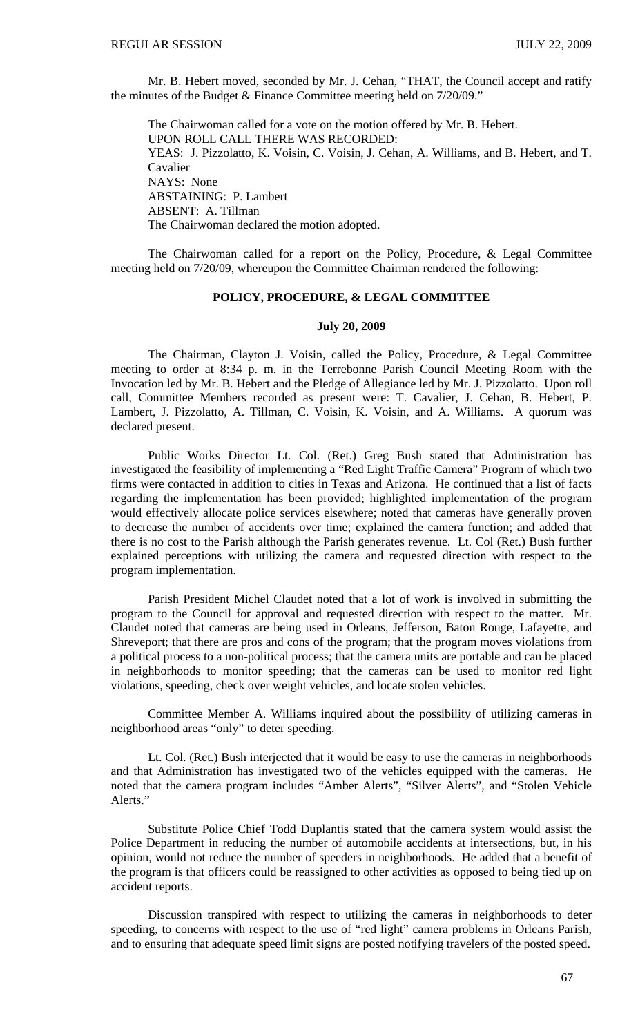Mr. B. Hebert moved, seconded by Mr. J. Cehan, "THAT, the Council accept and ratify the minutes of the Budget & Finance Committee meeting held on 7/20/09."

 The Chairwoman called for a vote on the motion offered by Mr. B. Hebert. UPON ROLL CALL THERE WAS RECORDED: YEAS: J. Pizzolatto, K. Voisin, C. Voisin, J. Cehan, A. Williams, and B. Hebert, and T. Cavalier NAYS: None ABSTAINING: P. Lambert ABSENT: A. Tillman The Chairwoman declared the motion adopted.

 The Chairwoman called for a report on the Policy, Procedure, & Legal Committee meeting held on 7/20/09, whereupon the Committee Chairman rendered the following:

#### **POLICY, PROCEDURE, & LEGAL COMMITTEE**

#### **July 20, 2009**

 The Chairman, Clayton J. Voisin, called the Policy, Procedure, & Legal Committee meeting to order at 8:34 p. m. in the Terrebonne Parish Council Meeting Room with the Invocation led by Mr. B. Hebert and the Pledge of Allegiance led by Mr. J. Pizzolatto. Upon roll call, Committee Members recorded as present were: T. Cavalier, J. Cehan, B. Hebert, P. Lambert, J. Pizzolatto, A. Tillman, C. Voisin, K. Voisin, and A. Williams. A quorum was declared present.

 Public Works Director Lt. Col. (Ret.) Greg Bush stated that Administration has investigated the feasibility of implementing a "Red Light Traffic Camera" Program of which two firms were contacted in addition to cities in Texas and Arizona. He continued that a list of facts regarding the implementation has been provided; highlighted implementation of the program would effectively allocate police services elsewhere; noted that cameras have generally proven to decrease the number of accidents over time; explained the camera function; and added that there is no cost to the Parish although the Parish generates revenue. Lt. Col (Ret.) Bush further explained perceptions with utilizing the camera and requested direction with respect to the program implementation.

 Parish President Michel Claudet noted that a lot of work is involved in submitting the program to the Council for approval and requested direction with respect to the matter. Mr. Claudet noted that cameras are being used in Orleans, Jefferson, Baton Rouge, Lafayette, and Shreveport; that there are pros and cons of the program; that the program moves violations from a political process to a non-political process; that the camera units are portable and can be placed in neighborhoods to monitor speeding; that the cameras can be used to monitor red light violations, speeding, check over weight vehicles, and locate stolen vehicles.

 Committee Member A. Williams inquired about the possibility of utilizing cameras in neighborhood areas "only" to deter speeding.

 Lt. Col. (Ret.) Bush interjected that it would be easy to use the cameras in neighborhoods and that Administration has investigated two of the vehicles equipped with the cameras. He noted that the camera program includes "Amber Alerts", "Silver Alerts", and "Stolen Vehicle Alerts."

 Substitute Police Chief Todd Duplantis stated that the camera system would assist the Police Department in reducing the number of automobile accidents at intersections, but, in his opinion, would not reduce the number of speeders in neighborhoods. He added that a benefit of the program is that officers could be reassigned to other activities as opposed to being tied up on accident reports.

 Discussion transpired with respect to utilizing the cameras in neighborhoods to deter speeding, to concerns with respect to the use of "red light" camera problems in Orleans Parish, and to ensuring that adequate speed limit signs are posted notifying travelers of the posted speed.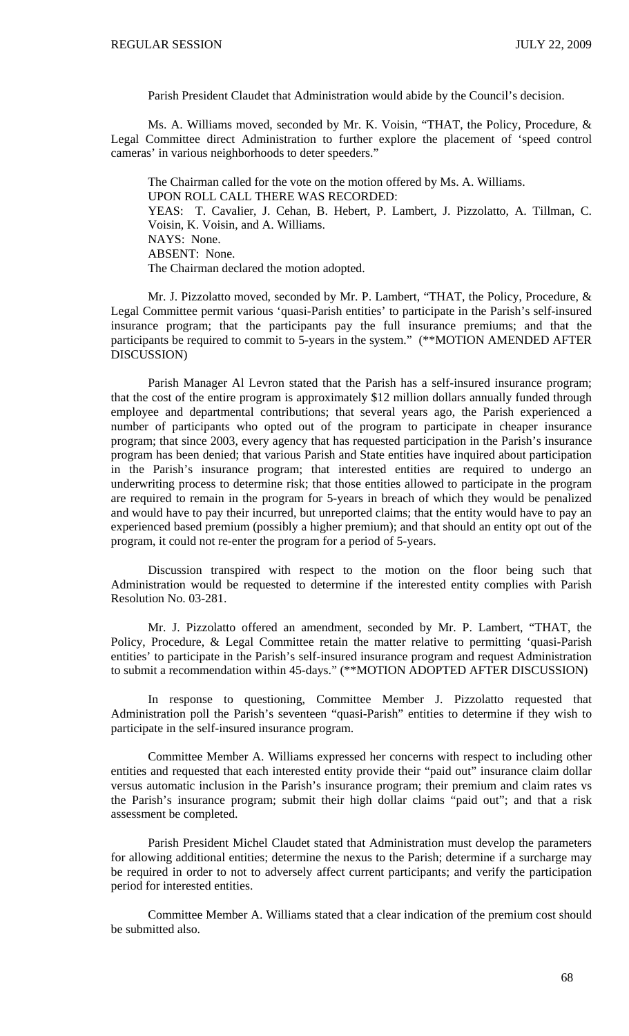Parish President Claudet that Administration would abide by the Council's decision.

 Ms. A. Williams moved, seconded by Mr. K. Voisin, "THAT, the Policy, Procedure, & Legal Committee direct Administration to further explore the placement of 'speed control cameras' in various neighborhoods to deter speeders."

 The Chairman called for the vote on the motion offered by Ms. A. Williams. UPON ROLL CALL THERE WAS RECORDED: YEAS: T. Cavalier, J. Cehan, B. Hebert, P. Lambert, J. Pizzolatto, A. Tillman, C. Voisin, K. Voisin, and A. Williams. NAYS: None. ABSENT: None. The Chairman declared the motion adopted.

 Mr. J. Pizzolatto moved, seconded by Mr. P. Lambert, "THAT, the Policy, Procedure, & Legal Committee permit various 'quasi-Parish entities' to participate in the Parish's self-insured insurance program; that the participants pay the full insurance premiums; and that the participants be required to commit to 5-years in the system." (\*\*MOTION AMENDED AFTER DISCUSSION)

 Parish Manager Al Levron stated that the Parish has a self-insured insurance program; that the cost of the entire program is approximately \$12 million dollars annually funded through employee and departmental contributions; that several years ago, the Parish experienced a number of participants who opted out of the program to participate in cheaper insurance program; that since 2003, every agency that has requested participation in the Parish's insurance program has been denied; that various Parish and State entities have inquired about participation in the Parish's insurance program; that interested entities are required to undergo an underwriting process to determine risk; that those entities allowed to participate in the program are required to remain in the program for 5-years in breach of which they would be penalized and would have to pay their incurred, but unreported claims; that the entity would have to pay an experienced based premium (possibly a higher premium); and that should an entity opt out of the program, it could not re-enter the program for a period of 5-years.

 Discussion transpired with respect to the motion on the floor being such that Administration would be requested to determine if the interested entity complies with Parish Resolution No. 03-281.

 Mr. J. Pizzolatto offered an amendment, seconded by Mr. P. Lambert, "THAT, the Policy, Procedure, & Legal Committee retain the matter relative to permitting 'quasi-Parish entities' to participate in the Parish's self-insured insurance program and request Administration to submit a recommendation within 45-days." (\*\*MOTION ADOPTED AFTER DISCUSSION)

 In response to questioning, Committee Member J. Pizzolatto requested that Administration poll the Parish's seventeen "quasi-Parish" entities to determine if they wish to participate in the self-insured insurance program.

 Committee Member A. Williams expressed her concerns with respect to including other entities and requested that each interested entity provide their "paid out" insurance claim dollar versus automatic inclusion in the Parish's insurance program; their premium and claim rates vs the Parish's insurance program; submit their high dollar claims "paid out"; and that a risk assessment be completed.

 Parish President Michel Claudet stated that Administration must develop the parameters for allowing additional entities; determine the nexus to the Parish; determine if a surcharge may be required in order to not to adversely affect current participants; and verify the participation period for interested entities.

 Committee Member A. Williams stated that a clear indication of the premium cost should be submitted also.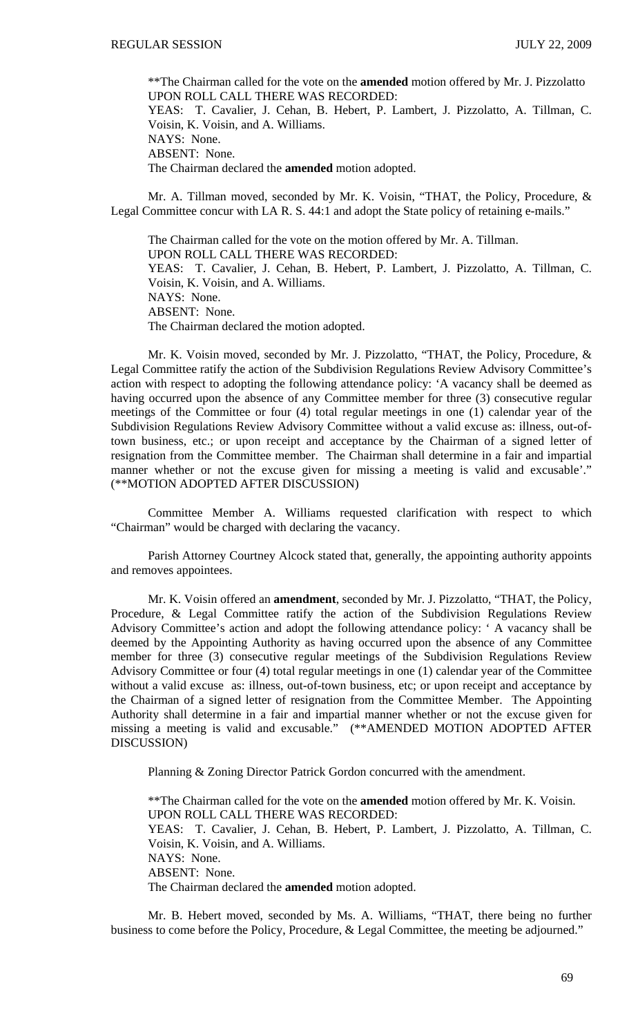\*\*The Chairman called for the vote on the **amended** motion offered by Mr. J. Pizzolatto UPON ROLL CALL THERE WAS RECORDED: YEAS: T. Cavalier, J. Cehan, B. Hebert, P. Lambert, J. Pizzolatto, A. Tillman, C. Voisin, K. Voisin, and A. Williams. NAYS: None. ABSENT: None. The Chairman declared the **amended** motion adopted.

 Mr. A. Tillman moved, seconded by Mr. K. Voisin, "THAT, the Policy, Procedure, & Legal Committee concur with LA R. S. 44:1 and adopt the State policy of retaining e-mails."

 The Chairman called for the vote on the motion offered by Mr. A. Tillman. UPON ROLL CALL THERE WAS RECORDED: YEAS: T. Cavalier, J. Cehan, B. Hebert, P. Lambert, J. Pizzolatto, A. Tillman, C. Voisin, K. Voisin, and A. Williams. NAYS: None. ABSENT: None. The Chairman declared the motion adopted.

 Mr. K. Voisin moved, seconded by Mr. J. Pizzolatto, "THAT, the Policy, Procedure, & Legal Committee ratify the action of the Subdivision Regulations Review Advisory Committee's action with respect to adopting the following attendance policy: 'A vacancy shall be deemed as having occurred upon the absence of any Committee member for three (3) consecutive regular meetings of the Committee or four (4) total regular meetings in one (1) calendar year of the Subdivision Regulations Review Advisory Committee without a valid excuse as: illness, out-oftown business, etc.; or upon receipt and acceptance by the Chairman of a signed letter of resignation from the Committee member. The Chairman shall determine in a fair and impartial manner whether or not the excuse given for missing a meeting is valid and excusable'." (\*\*MOTION ADOPTED AFTER DISCUSSION)

 Committee Member A. Williams requested clarification with respect to which "Chairman" would be charged with declaring the vacancy.

 Parish Attorney Courtney Alcock stated that, generally, the appointing authority appoints and removes appointees.

 Mr. K. Voisin offered an **amendment**, seconded by Mr. J. Pizzolatto, "THAT, the Policy, Procedure, & Legal Committee ratify the action of the Subdivision Regulations Review Advisory Committee's action and adopt the following attendance policy: ' A vacancy shall be deemed by the Appointing Authority as having occurred upon the absence of any Committee member for three (3) consecutive regular meetings of the Subdivision Regulations Review Advisory Committee or four (4) total regular meetings in one (1) calendar year of the Committee without a valid excuse as: illness, out-of-town business, etc; or upon receipt and acceptance by the Chairman of a signed letter of resignation from the Committee Member. The Appointing Authority shall determine in a fair and impartial manner whether or not the excuse given for missing a meeting is valid and excusable." (\*\*AMENDED MOTION ADOPTED AFTER DISCUSSION)

Planning & Zoning Director Patrick Gordon concurred with the amendment.

\*\*The Chairman called for the vote on the **amended** motion offered by Mr. K. Voisin. UPON ROLL CALL THERE WAS RECORDED: YEAS: T. Cavalier, J. Cehan, B. Hebert, P. Lambert, J. Pizzolatto, A. Tillman, C. Voisin, K. Voisin, and A. Williams. NAYS: None. ABSENT: None. The Chairman declared the **amended** motion adopted.

 Mr. B. Hebert moved, seconded by Ms. A. Williams, "THAT, there being no further business to come before the Policy, Procedure, & Legal Committee, the meeting be adjourned."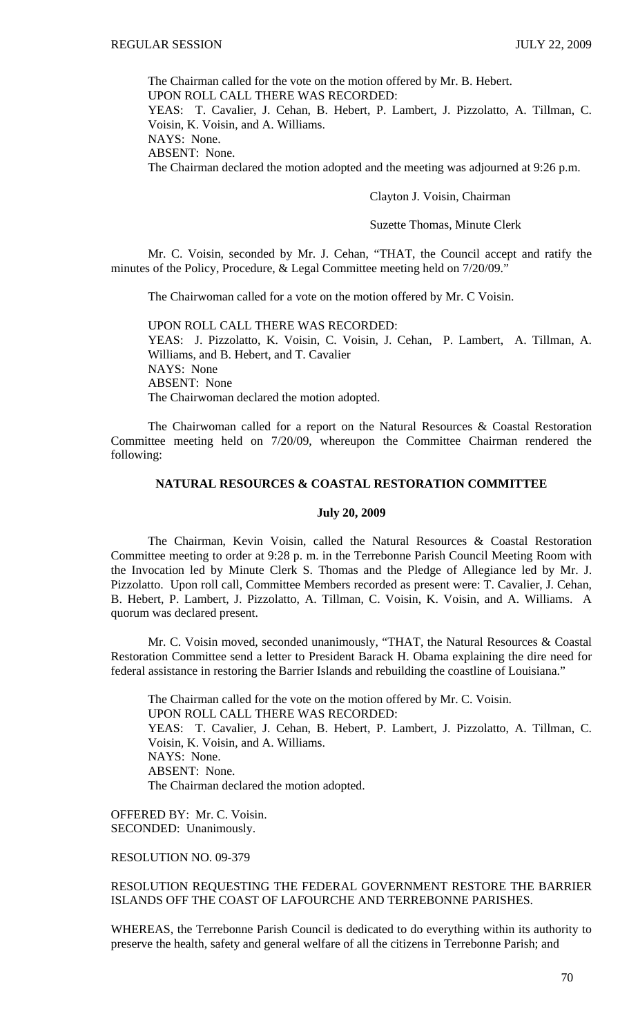The Chairman called for the vote on the motion offered by Mr. B. Hebert. UPON ROLL CALL THERE WAS RECORDED: YEAS: T. Cavalier, J. Cehan, B. Hebert, P. Lambert, J. Pizzolatto, A. Tillman, C. Voisin, K. Voisin, and A. Williams. NAYS: None. ABSENT: None. The Chairman declared the motion adopted and the meeting was adjourned at 9:26 p.m.

### Clayton J. Voisin, Chairman

#### Suzette Thomas, Minute Clerk

 Mr. C. Voisin, seconded by Mr. J. Cehan, "THAT, the Council accept and ratify the minutes of the Policy, Procedure, & Legal Committee meeting held on 7/20/09."

The Chairwoman called for a vote on the motion offered by Mr. C Voisin.

UPON ROLL CALL THERE WAS RECORDED: YEAS: J. Pizzolatto, K. Voisin, C. Voisin, J. Cehan, P. Lambert, A. Tillman, A. Williams, and B. Hebert, and T. Cavalier NAYS: None ABSENT: None The Chairwoman declared the motion adopted.

 The Chairwoman called for a report on the Natural Resources & Coastal Restoration Committee meeting held on 7/20/09, whereupon the Committee Chairman rendered the following:

# **NATURAL RESOURCES & COASTAL RESTORATION COMMITTEE**

#### **July 20, 2009**

The Chairman, Kevin Voisin, called the Natural Resources & Coastal Restoration Committee meeting to order at 9:28 p. m. in the Terrebonne Parish Council Meeting Room with the Invocation led by Minute Clerk S. Thomas and the Pledge of Allegiance led by Mr. J. Pizzolatto. Upon roll call, Committee Members recorded as present were: T. Cavalier, J. Cehan, B. Hebert, P. Lambert, J. Pizzolatto, A. Tillman, C. Voisin, K. Voisin, and A. Williams. A quorum was declared present.

 Mr. C. Voisin moved, seconded unanimously, "THAT, the Natural Resources & Coastal Restoration Committee send a letter to President Barack H. Obama explaining the dire need for federal assistance in restoring the Barrier Islands and rebuilding the coastline of Louisiana."

The Chairman called for the vote on the motion offered by Mr. C. Voisin. UPON ROLL CALL THERE WAS RECORDED: YEAS: T. Cavalier, J. Cehan, B. Hebert, P. Lambert, J. Pizzolatto, A. Tillman, C. Voisin, K. Voisin, and A. Williams. NAYS: None. ABSENT: None. The Chairman declared the motion adopted.

OFFERED BY: Mr. C. Voisin. SECONDED: Unanimously.

RESOLUTION NO. 09-379

RESOLUTION REQUESTING THE FEDERAL GOVERNMENT RESTORE THE BARRIER ISLANDS OFF THE COAST OF LAFOURCHE AND TERREBONNE PARISHES.

WHEREAS, the Terrebonne Parish Council is dedicated to do everything within its authority to preserve the health, safety and general welfare of all the citizens in Terrebonne Parish; and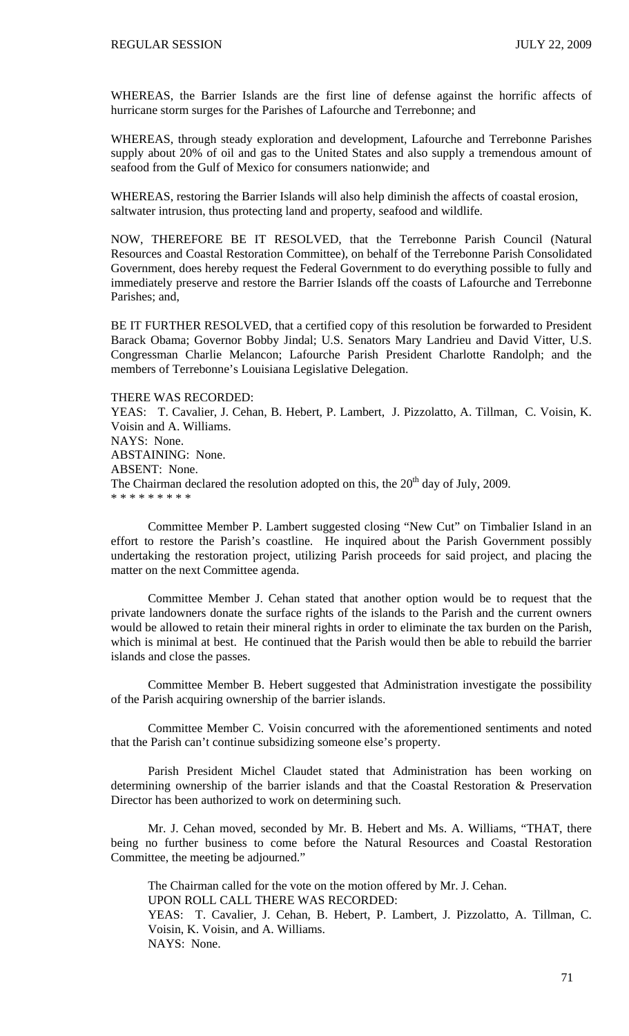WHEREAS, the Barrier Islands are the first line of defense against the horrific affects of hurricane storm surges for the Parishes of Lafourche and Terrebonne; and

WHEREAS, through steady exploration and development, Lafourche and Terrebonne Parishes supply about 20% of oil and gas to the United States and also supply a tremendous amount of seafood from the Gulf of Mexico for consumers nationwide; and

WHEREAS, restoring the Barrier Islands will also help diminish the affects of coastal erosion, saltwater intrusion, thus protecting land and property, seafood and wildlife.

NOW, THEREFORE BE IT RESOLVED, that the Terrebonne Parish Council (Natural Resources and Coastal Restoration Committee), on behalf of the Terrebonne Parish Consolidated Government, does hereby request the Federal Government to do everything possible to fully and immediately preserve and restore the Barrier Islands off the coasts of Lafourche and Terrebonne Parishes; and,

BE IT FURTHER RESOLVED, that a certified copy of this resolution be forwarded to President Barack Obama; Governor Bobby Jindal; U.S. Senators Mary Landrieu and David Vitter, U.S. Congressman Charlie Melancon; Lafourche Parish President Charlotte Randolph; and the members of Terrebonne's Louisiana Legislative Delegation.

## THERE WAS RECORDED:

YEAS: T. Cavalier, J. Cehan, B. Hebert, P. Lambert, J. Pizzolatto, A. Tillman, C. Voisin, K. Voisin and A. Williams. NAYS: None. ABSTAINING: None. ABSENT: None. The Chairman declared the resolution adopted on this, the  $20<sup>th</sup>$  day of July, 2009. \* \* \* \* \* \* \* \* \*

 Committee Member P. Lambert suggested closing "New Cut" on Timbalier Island in an effort to restore the Parish's coastline. He inquired about the Parish Government possibly undertaking the restoration project, utilizing Parish proceeds for said project, and placing the matter on the next Committee agenda.

 Committee Member J. Cehan stated that another option would be to request that the private landowners donate the surface rights of the islands to the Parish and the current owners would be allowed to retain their mineral rights in order to eliminate the tax burden on the Parish, which is minimal at best. He continued that the Parish would then be able to rebuild the barrier islands and close the passes.

 Committee Member B. Hebert suggested that Administration investigate the possibility of the Parish acquiring ownership of the barrier islands.

 Committee Member C. Voisin concurred with the aforementioned sentiments and noted that the Parish can't continue subsidizing someone else's property.

 Parish President Michel Claudet stated that Administration has been working on determining ownership of the barrier islands and that the Coastal Restoration & Preservation Director has been authorized to work on determining such.

 Mr. J. Cehan moved, seconded by Mr. B. Hebert and Ms. A. Williams, "THAT, there being no further business to come before the Natural Resources and Coastal Restoration Committee, the meeting be adjourned."

 The Chairman called for the vote on the motion offered by Mr. J. Cehan. UPON ROLL CALL THERE WAS RECORDED: YEAS: T. Cavalier, J. Cehan, B. Hebert, P. Lambert, J. Pizzolatto, A. Tillman, C. Voisin, K. Voisin, and A. Williams. NAYS: None.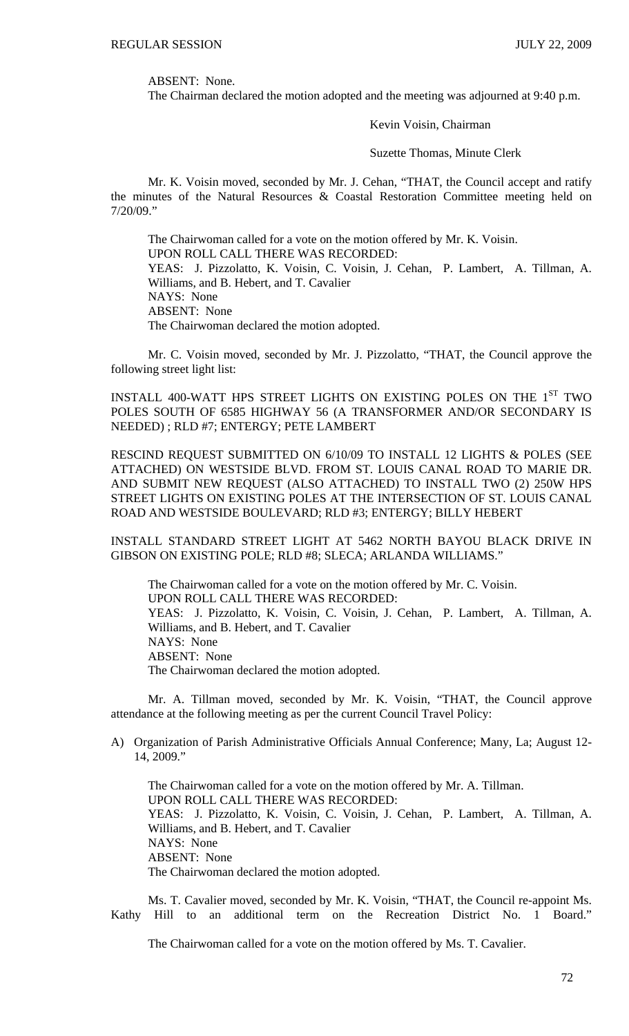ABSENT: None.

The Chairman declared the motion adopted and the meeting was adjourned at 9:40 p.m.

Kevin Voisin, Chairman

Suzette Thomas, Minute Clerk

Mr. K. Voisin moved, seconded by Mr. J. Cehan, "THAT, the Council accept and ratify the minutes of the Natural Resources & Coastal Restoration Committee meeting held on 7/20/09."

 The Chairwoman called for a vote on the motion offered by Mr. K. Voisin. UPON ROLL CALL THERE WAS RECORDED: YEAS: J. Pizzolatto, K. Voisin, C. Voisin, J. Cehan, P. Lambert, A. Tillman, A. Williams, and B. Hebert, and T. Cavalier NAYS: None ABSENT: None The Chairwoman declared the motion adopted.

 Mr. C. Voisin moved, seconded by Mr. J. Pizzolatto, "THAT, the Council approve the following street light list:

INSTALL 400-WATT HPS STREET LIGHTS ON EXISTING POLES ON THE 1ST TWO POLES SOUTH OF 6585 HIGHWAY 56 (A TRANSFORMER AND/OR SECONDARY IS NEEDED) ; RLD #7; ENTERGY; PETE LAMBERT

RESCIND REQUEST SUBMITTED ON 6/10/09 TO INSTALL 12 LIGHTS & POLES (SEE ATTACHED) ON WESTSIDE BLVD. FROM ST. LOUIS CANAL ROAD TO MARIE DR. AND SUBMIT NEW REQUEST (ALSO ATTACHED) TO INSTALL TWO (2) 250W HPS STREET LIGHTS ON EXISTING POLES AT THE INTERSECTION OF ST. LOUIS CANAL ROAD AND WESTSIDE BOULEVARD; RLD #3; ENTERGY; BILLY HEBERT

INSTALL STANDARD STREET LIGHT AT 5462 NORTH BAYOU BLACK DRIVE IN GIBSON ON EXISTING POLE; RLD #8; SLECA; ARLANDA WILLIAMS."

The Chairwoman called for a vote on the motion offered by Mr. C. Voisin. UPON ROLL CALL THERE WAS RECORDED: YEAS: J. Pizzolatto, K. Voisin, C. Voisin, J. Cehan, P. Lambert, A. Tillman, A. Williams, and B. Hebert, and T. Cavalier NAYS: None ABSENT: None The Chairwoman declared the motion adopted.

 Mr. A. Tillman moved, seconded by Mr. K. Voisin, "THAT, the Council approve attendance at the following meeting as per the current Council Travel Policy:

A) Organization of Parish Administrative Officials Annual Conference; Many, La; August 12- 14, 2009."

 The Chairwoman called for a vote on the motion offered by Mr. A. Tillman. UPON ROLL CALL THERE WAS RECORDED: YEAS: J. Pizzolatto, K. Voisin, C. Voisin, J. Cehan, P. Lambert, A. Tillman, A. Williams, and B. Hebert, and T. Cavalier NAYS: None ABSENT: None The Chairwoman declared the motion adopted.

 Ms. T. Cavalier moved, seconded by Mr. K. Voisin, "THAT, the Council re-appoint Ms. Kathy Hill to an additional term on the Recreation District No. 1 Board."

The Chairwoman called for a vote on the motion offered by Ms. T. Cavalier.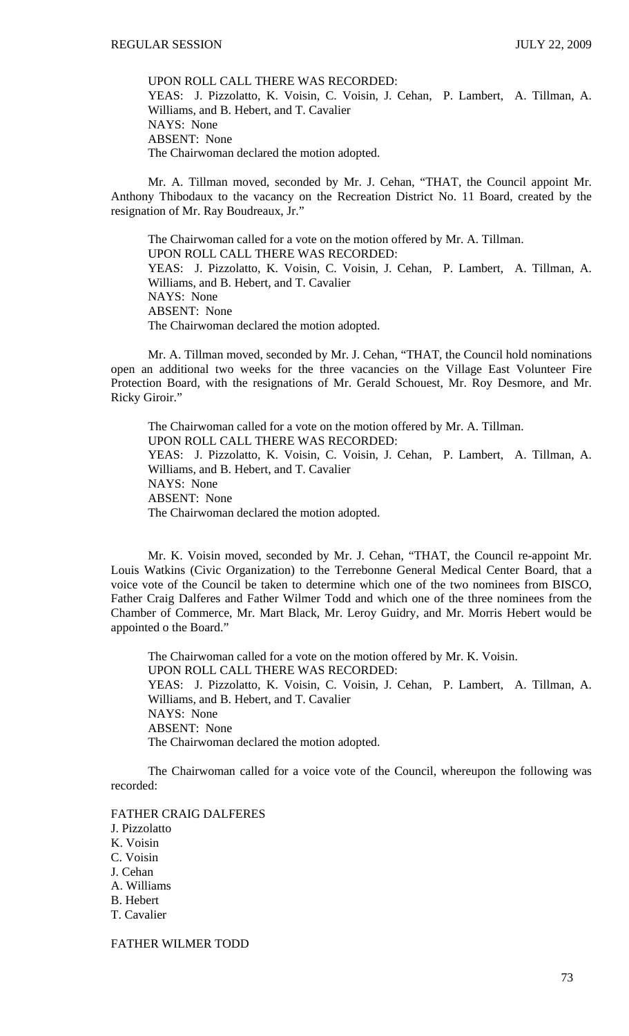UPON ROLL CALL THERE WAS RECORDED: YEAS: J. Pizzolatto, K. Voisin, C. Voisin, J. Cehan, P. Lambert, A. Tillman, A. Williams, and B. Hebert, and T. Cavalier NAYS: None ABSENT: None The Chairwoman declared the motion adopted.

 Mr. A. Tillman moved, seconded by Mr. J. Cehan, "THAT, the Council appoint Mr. Anthony Thibodaux to the vacancy on the Recreation District No. 11 Board, created by the resignation of Mr. Ray Boudreaux, Jr."

 The Chairwoman called for a vote on the motion offered by Mr. A. Tillman. UPON ROLL CALL THERE WAS RECORDED: YEAS: J. Pizzolatto, K. Voisin, C. Voisin, J. Cehan, P. Lambert, A. Tillman, A. Williams, and B. Hebert, and T. Cavalier NAYS: None ABSENT: None The Chairwoman declared the motion adopted.

 Mr. A. Tillman moved, seconded by Mr. J. Cehan, "THAT, the Council hold nominations open an additional two weeks for the three vacancies on the Village East Volunteer Fire Protection Board, with the resignations of Mr. Gerald Schouest, Mr. Roy Desmore, and Mr. Ricky Giroir."

 The Chairwoman called for a vote on the motion offered by Mr. A. Tillman. UPON ROLL CALL THERE WAS RECORDED: YEAS: J. Pizzolatto, K. Voisin, C. Voisin, J. Cehan, P. Lambert, A. Tillman, A. Williams, and B. Hebert, and T. Cavalier NAYS: None ABSENT: None The Chairwoman declared the motion adopted.

 Mr. K. Voisin moved, seconded by Mr. J. Cehan, "THAT, the Council re-appoint Mr. Louis Watkins (Civic Organization) to the Terrebonne General Medical Center Board, that a voice vote of the Council be taken to determine which one of the two nominees from BISCO, Father Craig Dalferes and Father Wilmer Todd and which one of the three nominees from the Chamber of Commerce, Mr. Mart Black, Mr. Leroy Guidry, and Mr. Morris Hebert would be appointed o the Board."

 The Chairwoman called for a vote on the motion offered by Mr. K. Voisin. UPON ROLL CALL THERE WAS RECORDED: YEAS: J. Pizzolatto, K. Voisin, C. Voisin, J. Cehan, P. Lambert, A. Tillman, A. Williams, and B. Hebert, and T. Cavalier NAYS: None ABSENT: None The Chairwoman declared the motion adopted.

 The Chairwoman called for a voice vote of the Council, whereupon the following was recorded:

FATHER CRAIG DALFERES J. Pizzolatto K. Voisin C. Voisin J. Cehan A. Williams B. Hebert T. Cavalier

FATHER WILMER TODD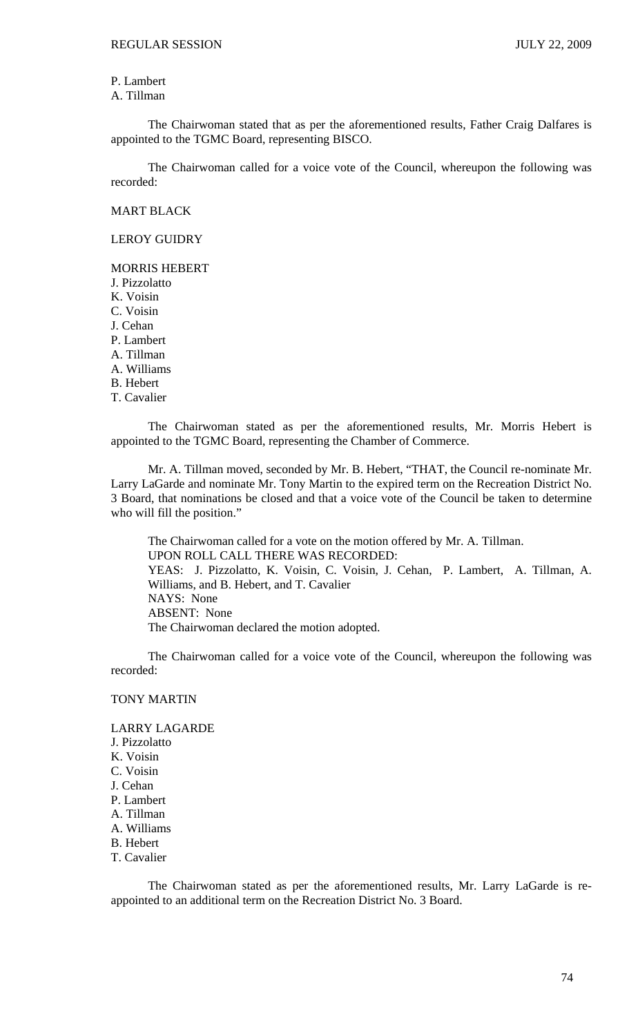P. Lambert A. Tillman

 The Chairwoman stated that as per the aforementioned results, Father Craig Dalfares is appointed to the TGMC Board, representing BISCO.

 The Chairwoman called for a voice vote of the Council, whereupon the following was recorded:

MART BLACK

LEROY GUIDRY

## MORRIS HEBERT

J. Pizzolatto K. Voisin C. Voisin J. Cehan P. Lambert A. Tillman A. Williams B. Hebert T. Cavalier

 The Chairwoman stated as per the aforementioned results, Mr. Morris Hebert is appointed to the TGMC Board, representing the Chamber of Commerce.

 Mr. A. Tillman moved, seconded by Mr. B. Hebert, "THAT, the Council re-nominate Mr. Larry LaGarde and nominate Mr. Tony Martin to the expired term on the Recreation District No. 3 Board, that nominations be closed and that a voice vote of the Council be taken to determine who will fill the position."

 The Chairwoman called for a vote on the motion offered by Mr. A. Tillman. UPON ROLL CALL THERE WAS RECORDED: YEAS: J. Pizzolatto, K. Voisin, C. Voisin, J. Cehan, P. Lambert, A. Tillman, A. Williams, and B. Hebert, and T. Cavalier NAYS: None ABSENT: None The Chairwoman declared the motion adopted.

 The Chairwoman called for a voice vote of the Council, whereupon the following was recorded:

## TONY MARTIN

LARRY LAGARDE J. Pizzolatto K. Voisin C. Voisin J. Cehan P. Lambert A. Tillman A. Williams B. Hebert T. Cavalier

 The Chairwoman stated as per the aforementioned results, Mr. Larry LaGarde is reappointed to an additional term on the Recreation District No. 3 Board.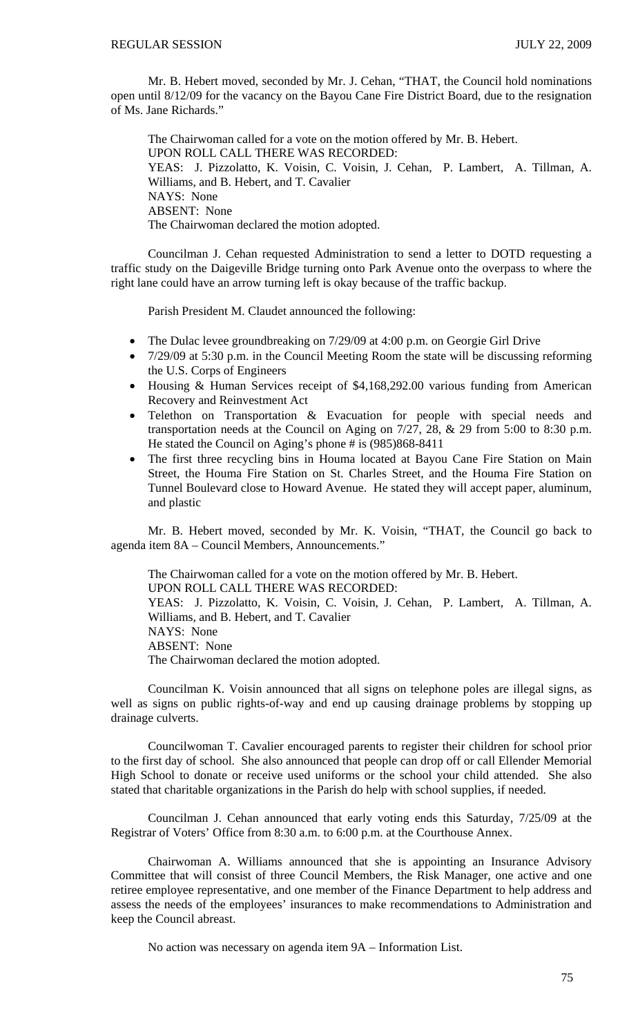Mr. B. Hebert moved, seconded by Mr. J. Cehan, "THAT, the Council hold nominations open until 8/12/09 for the vacancy on the Bayou Cane Fire District Board, due to the resignation of Ms. Jane Richards."

 The Chairwoman called for a vote on the motion offered by Mr. B. Hebert. UPON ROLL CALL THERE WAS RECORDED: YEAS: J. Pizzolatto, K. Voisin, C. Voisin, J. Cehan, P. Lambert, A. Tillman, A. Williams, and B. Hebert, and T. Cavalier NAYS: None ABSENT: None The Chairwoman declared the motion adopted.

 Councilman J. Cehan requested Administration to send a letter to DOTD requesting a traffic study on the Daigeville Bridge turning onto Park Avenue onto the overpass to where the right lane could have an arrow turning left is okay because of the traffic backup.

Parish President M. Claudet announced the following:

- The Dulac levee groundbreaking on 7/29/09 at 4:00 p.m. on Georgie Girl Drive
- 7/29/09 at 5:30 p.m. in the Council Meeting Room the state will be discussing reforming the U.S. Corps of Engineers
- Housing & Human Services receipt of \$4,168,292.00 various funding from American Recovery and Reinvestment Act
- Telethon on Transportation & Evacuation for people with special needs and transportation needs at the Council on Aging on 7/27, 28, & 29 from 5:00 to 8:30 p.m. He stated the Council on Aging's phone # is (985)868-8411
- The first three recycling bins in Houma located at Bayou Cane Fire Station on Main Street, the Houma Fire Station on St. Charles Street, and the Houma Fire Station on Tunnel Boulevard close to Howard Avenue. He stated they will accept paper, aluminum, and plastic

 Mr. B. Hebert moved, seconded by Mr. K. Voisin, "THAT, the Council go back to agenda item 8A – Council Members, Announcements."

 The Chairwoman called for a vote on the motion offered by Mr. B. Hebert. UPON ROLL CALL THERE WAS RECORDED: YEAS: J. Pizzolatto, K. Voisin, C. Voisin, J. Cehan, P. Lambert, A. Tillman, A. Williams, and B. Hebert, and T. Cavalier NAYS: None ABSENT: None The Chairwoman declared the motion adopted.

 Councilman K. Voisin announced that all signs on telephone poles are illegal signs, as well as signs on public rights-of-way and end up causing drainage problems by stopping up drainage culverts.

 Councilwoman T. Cavalier encouraged parents to register their children for school prior to the first day of school. She also announced that people can drop off or call Ellender Memorial High School to donate or receive used uniforms or the school your child attended. She also stated that charitable organizations in the Parish do help with school supplies, if needed.

 Councilman J. Cehan announced that early voting ends this Saturday, 7/25/09 at the Registrar of Voters' Office from 8:30 a.m. to 6:00 p.m. at the Courthouse Annex.

 Chairwoman A. Williams announced that she is appointing an Insurance Advisory Committee that will consist of three Council Members, the Risk Manager, one active and one retiree employee representative, and one member of the Finance Department to help address and assess the needs of the employees' insurances to make recommendations to Administration and keep the Council abreast.

No action was necessary on agenda item 9A – Information List.